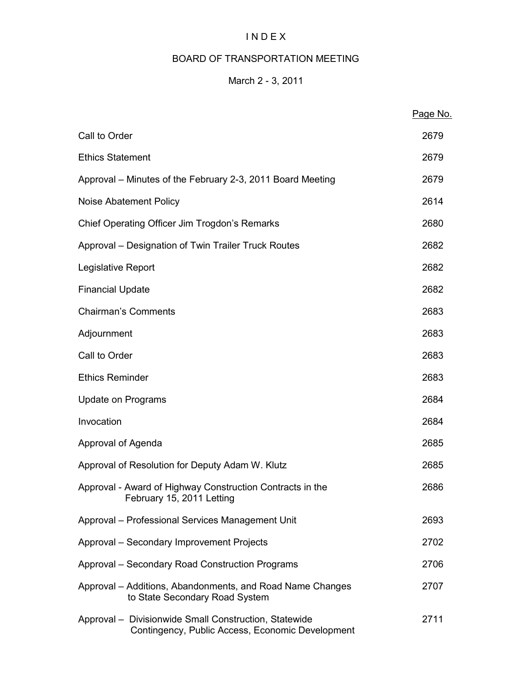# I N D E X

# BOARD OF TRANSPORTATION MEETING

# March 2 - 3, 2011

|                                                                                                           | Page No. |
|-----------------------------------------------------------------------------------------------------------|----------|
| Call to Order                                                                                             | 2679     |
| <b>Ethics Statement</b>                                                                                   | 2679     |
| Approval – Minutes of the February 2-3, 2011 Board Meeting                                                | 2679     |
| Noise Abatement Policy                                                                                    | 2614     |
| Chief Operating Officer Jim Trogdon's Remarks                                                             | 2680     |
| Approval – Designation of Twin Trailer Truck Routes                                                       | 2682     |
| Legislative Report                                                                                        | 2682     |
| <b>Financial Update</b>                                                                                   | 2682     |
| <b>Chairman's Comments</b>                                                                                | 2683     |
| Adjournment                                                                                               | 2683     |
| Call to Order                                                                                             | 2683     |
| <b>Ethics Reminder</b>                                                                                    | 2683     |
| Update on Programs                                                                                        | 2684     |
| Invocation                                                                                                | 2684     |
| Approval of Agenda                                                                                        | 2685     |
| Approval of Resolution for Deputy Adam W. Klutz                                                           | 2685     |
| Approval - Award of Highway Construction Contracts in the<br>February 15, 2011 Letting                    | 2686     |
| Approval - Professional Services Management Unit                                                          | 2693     |
| Approval - Secondary Improvement Projects                                                                 | 2702     |
| Approval - Secondary Road Construction Programs                                                           | 2706     |
| Approval – Additions, Abandonments, and Road Name Changes<br>to State Secondary Road System               | 2707     |
| Approval - Divisionwide Small Construction, Statewide<br>Contingency, Public Access, Economic Development | 2711     |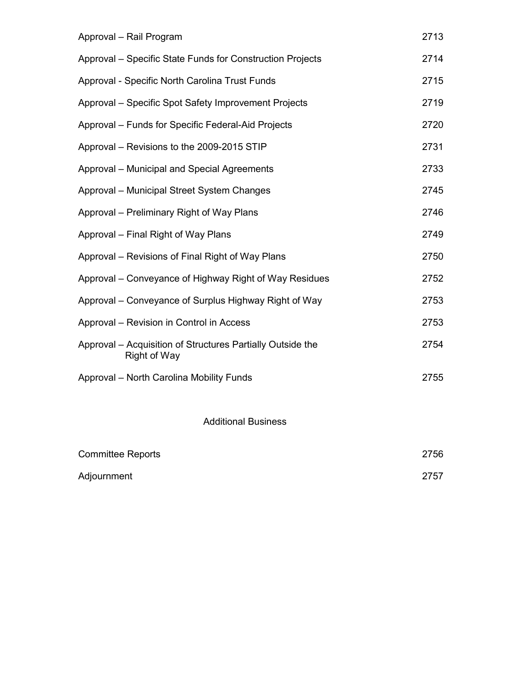| Approval - Rail Program                                                           | 2713 |
|-----------------------------------------------------------------------------------|------|
| Approval – Specific State Funds for Construction Projects                         | 2714 |
| Approval - Specific North Carolina Trust Funds                                    | 2715 |
| Approval - Specific Spot Safety Improvement Projects                              | 2719 |
| Approval - Funds for Specific Federal-Aid Projects                                | 2720 |
| Approval - Revisions to the 2009-2015 STIP                                        | 2731 |
| Approval - Municipal and Special Agreements                                       | 2733 |
| Approval - Municipal Street System Changes                                        | 2745 |
| Approval – Preliminary Right of Way Plans                                         | 2746 |
| Approval – Final Right of Way Plans                                               | 2749 |
| Approval - Revisions of Final Right of Way Plans                                  | 2750 |
| Approval – Conveyance of Highway Right of Way Residues                            | 2752 |
| Approval – Conveyance of Surplus Highway Right of Way                             | 2753 |
| Approval - Revision in Control in Access                                          | 2753 |
| Approval – Acquisition of Structures Partially Outside the<br><b>Right of Way</b> | 2754 |
| Approval - North Carolina Mobility Funds                                          | 2755 |
|                                                                                   |      |

Additional Business

| <b>Committee Reports</b> | 2756 |
|--------------------------|------|
| Adjournment              | 2757 |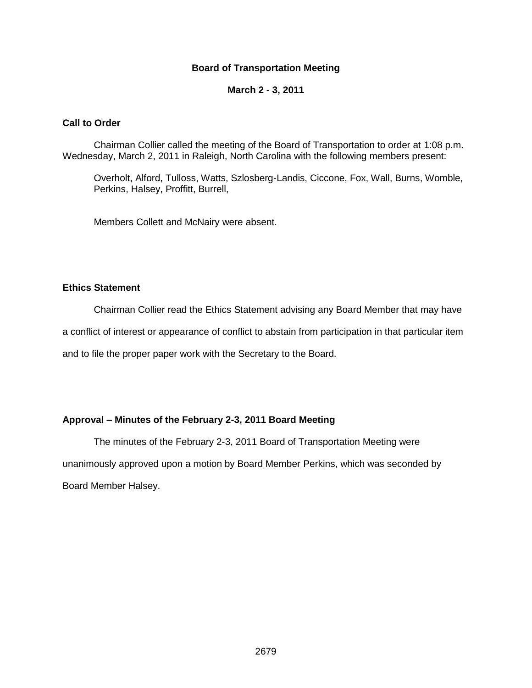## **Board of Transportation Meeting**

#### **March 2 - 3, 2011**

#### **Call to Order**

Chairman Collier called the meeting of the Board of Transportation to order at 1:08 p.m. Wednesday, March 2, 2011 in Raleigh, North Carolina with the following members present:

Overholt, Alford, Tulloss, Watts, Szlosberg-Landis, Ciccone, Fox, Wall, Burns, Womble, Perkins, Halsey, Proffitt, Burrell,

Members Collett and McNairy were absent.

## **Ethics Statement**

Chairman Collier read the Ethics Statement advising any Board Member that may have

a conflict of interest or appearance of conflict to abstain from participation in that particular item

and to file the proper paper work with the Secretary to the Board.

## **Approval – Minutes of the February 2-3, 2011 Board Meeting**

The minutes of the February 2-3, 2011 Board of Transportation Meeting were unanimously approved upon a motion by Board Member Perkins, which was seconded by Board Member Halsey.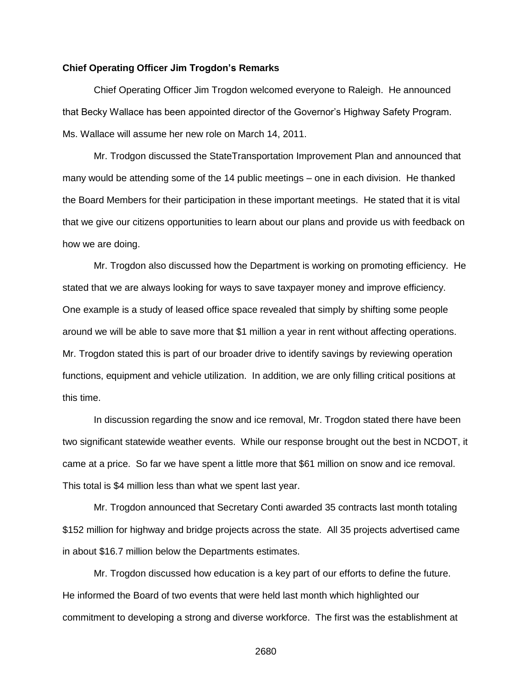#### **Chief Operating Officer Jim Trogdon's Remarks**

Chief Operating Officer Jim Trogdon welcomed everyone to Raleigh. He announced that Becky Wallace has been appointed director of the Governor's Highway Safety Program. Ms. Wallace will assume her new role on March 14, 2011.

Mr. Trodgon discussed the StateTransportation Improvement Plan and announced that many would be attending some of the 14 public meetings – one in each division. He thanked the Board Members for their participation in these important meetings. He stated that it is vital that we give our citizens opportunities to learn about our plans and provide us with feedback on how we are doing.

Mr. Trogdon also discussed how the Department is working on promoting efficiency. He stated that we are always looking for ways to save taxpayer money and improve efficiency. One example is a study of leased office space revealed that simply by shifting some people around we will be able to save more that \$1 million a year in rent without affecting operations. Mr. Trogdon stated this is part of our broader drive to identify savings by reviewing operation functions, equipment and vehicle utilization. In addition, we are only filling critical positions at this time.

In discussion regarding the snow and ice removal, Mr. Trogdon stated there have been two significant statewide weather events. While our response brought out the best in NCDOT, it came at a price. So far we have spent a little more that \$61 million on snow and ice removal. This total is \$4 million less than what we spent last year.

Mr. Trogdon announced that Secretary Conti awarded 35 contracts last month totaling \$152 million for highway and bridge projects across the state. All 35 projects advertised came in about \$16.7 million below the Departments estimates.

Mr. Trogdon discussed how education is a key part of our efforts to define the future. He informed the Board of two events that were held last month which highlighted our commitment to developing a strong and diverse workforce. The first was the establishment at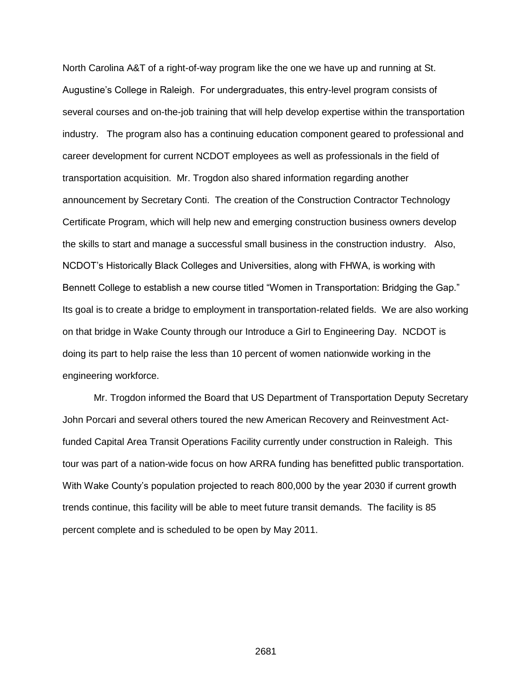North Carolina A&T of a right-of-way program like the one we have up and running at St. Augustine's College in Raleigh. For undergraduates, this entry-level program consists of several courses and on-the-job training that will help develop expertise within the transportation industry. The program also has a continuing education component geared to professional and career development for current NCDOT employees as well as professionals in the field of transportation acquisition. Mr. Trogdon also shared information regarding another announcement by Secretary Conti. The creation of the Construction Contractor Technology Certificate Program, which will help new and emerging construction business owners develop the skills to start and manage a successful small business in the construction industry. Also, NCDOT's Historically Black Colleges and Universities, along with FHWA, is working with Bennett College to establish a new course titled "Women in Transportation: Bridging the Gap." Its goal is to create a bridge to employment in transportation-related fields. We are also working on that bridge in Wake County through our Introduce a Girl to Engineering Day. NCDOT is doing its part to help raise the less than 10 percent of women nationwide working in the engineering workforce.

Mr. Trogdon informed the Board that US Department of Transportation Deputy Secretary John Porcari and several others toured the new American Recovery and Reinvestment Actfunded Capital Area Transit Operations Facility currently under construction in Raleigh. This tour was part of a nation-wide focus on how ARRA funding has benefitted public transportation. With Wake County's population projected to reach 800,000 by the year 2030 if current growth trends continue, this facility will be able to meet future transit demands. The facility is 85 percent complete and is scheduled to be open by May 2011.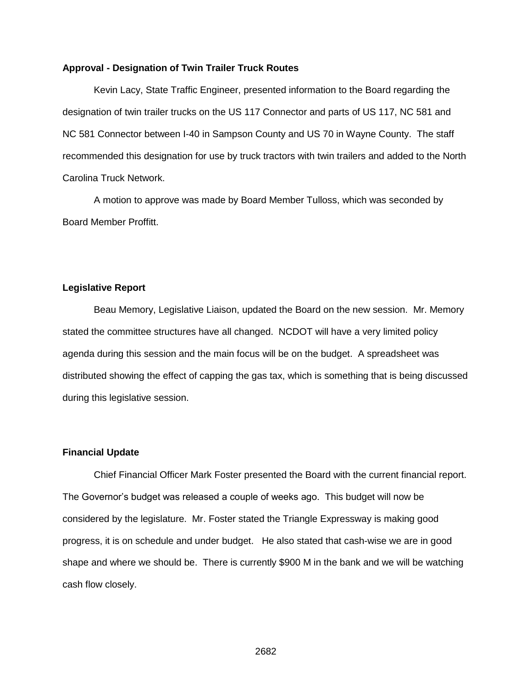#### **Approval - Designation of Twin Trailer Truck Routes**

Kevin Lacy, State Traffic Engineer, presented information to the Board regarding the designation of twin trailer trucks on the US 117 Connector and parts of US 117, NC 581 and NC 581 Connector between I-40 in Sampson County and US 70 in Wayne County. The staff recommended this designation for use by truck tractors with twin trailers and added to the North Carolina Truck Network.

A motion to approve was made by Board Member Tulloss, which was seconded by Board Member Proffitt.

#### **Legislative Report**

Beau Memory, Legislative Liaison, updated the Board on the new session. Mr. Memory stated the committee structures have all changed. NCDOT will have a very limited policy agenda during this session and the main focus will be on the budget. A spreadsheet was distributed showing the effect of capping the gas tax, which is something that is being discussed during this legislative session.

#### **Financial Update**

Chief Financial Officer Mark Foster presented the Board with the current financial report. The Governor's budget was released a couple of weeks ago. This budget will now be considered by the legislature. Mr. Foster stated the Triangle Expressway is making good progress, it is on schedule and under budget. He also stated that cash-wise we are in good shape and where we should be. There is currently \$900 M in the bank and we will be watching cash flow closely.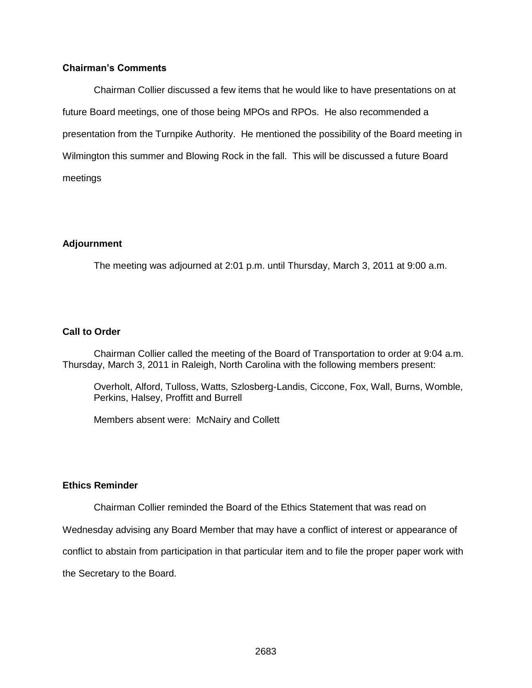## **Chairman's Comments**

Chairman Collier discussed a few items that he would like to have presentations on at future Board meetings, one of those being MPOs and RPOs. He also recommended a presentation from the Turnpike Authority. He mentioned the possibility of the Board meeting in Wilmington this summer and Blowing Rock in the fall. This will be discussed a future Board meetings

### **Adjournment**

The meeting was adjourned at 2:01 p.m. until Thursday, March 3, 2011 at 9:00 a.m.

### **Call to Order**

Chairman Collier called the meeting of the Board of Transportation to order at 9:04 a.m. Thursday, March 3, 2011 in Raleigh, North Carolina with the following members present:

Overholt, Alford, Tulloss, Watts, Szlosberg-Landis, Ciccone, Fox, Wall, Burns, Womble, Perkins, Halsey, Proffitt and Burrell

Members absent were: McNairy and Collett

#### **Ethics Reminder**

Chairman Collier reminded the Board of the Ethics Statement that was read on

Wednesday advising any Board Member that may have a conflict of interest or appearance of

conflict to abstain from participation in that particular item and to file the proper paper work with

the Secretary to the Board.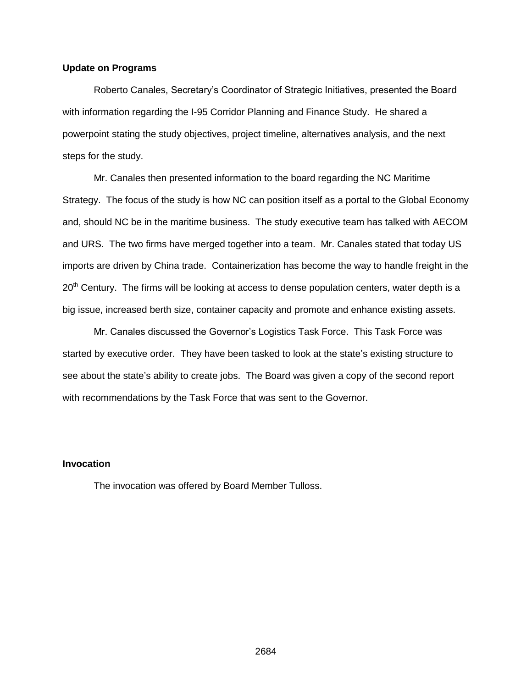### **Update on Programs**

Roberto Canales, Secretary's Coordinator of Strategic Initiatives, presented the Board with information regarding the I-95 Corridor Planning and Finance Study. He shared a powerpoint stating the study objectives, project timeline, alternatives analysis, and the next steps for the study.

Mr. Canales then presented information to the board regarding the NC Maritime Strategy. The focus of the study is how NC can position itself as a portal to the Global Economy and, should NC be in the maritime business. The study executive team has talked with AECOM and URS. The two firms have merged together into a team. Mr. Canales stated that today US imports are driven by China trade. Containerization has become the way to handle freight in the  $20<sup>th</sup>$  Century. The firms will be looking at access to dense population centers, water depth is a big issue, increased berth size, container capacity and promote and enhance existing assets.

Mr. Canales discussed the Governor's Logistics Task Force. This Task Force was started by executive order. They have been tasked to look at the state's existing structure to see about the state's ability to create jobs. The Board was given a copy of the second report with recommendations by the Task Force that was sent to the Governor.

## **Invocation**

The invocation was offered by Board Member Tulloss.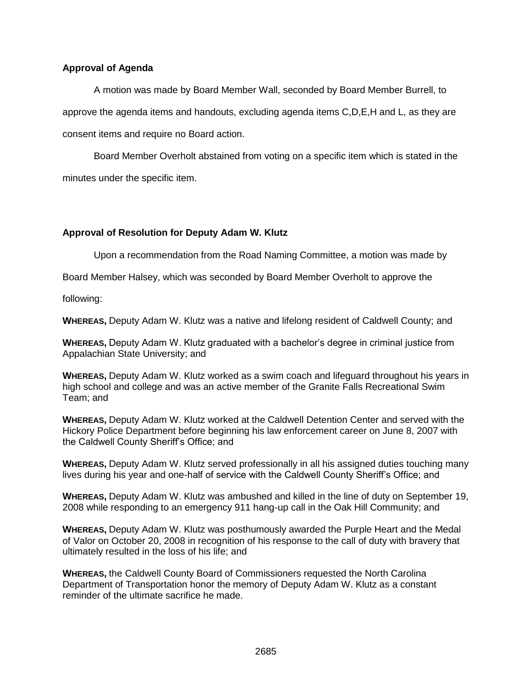## **Approval of Agenda**

A motion was made by Board Member Wall, seconded by Board Member Burrell, to approve the agenda items and handouts, excluding agenda items C,D,E,H and L, as they are consent items and require no Board action.

Board Member Overholt abstained from voting on a specific item which is stated in the minutes under the specific item.

# **Approval of Resolution for Deputy Adam W. Klutz**

Upon a recommendation from the Road Naming Committee, a motion was made by

Board Member Halsey, which was seconded by Board Member Overholt to approve the

following:

**WHEREAS,** Deputy Adam W. Klutz was a native and lifelong resident of Caldwell County; and

**WHEREAS,** Deputy Adam W. Klutz graduated with a bachelor's degree in criminal justice from Appalachian State University; and

**WHEREAS,** Deputy Adam W. Klutz worked as a swim coach and lifeguard throughout his years in high school and college and was an active member of the Granite Falls Recreational Swim Team; and

**WHEREAS,** Deputy Adam W. Klutz worked at the Caldwell Detention Center and served with the Hickory Police Department before beginning his law enforcement career on June 8, 2007 with the Caldwell County Sheriff's Office; and

**WHEREAS,** Deputy Adam W. Klutz served professionally in all his assigned duties touching many lives during his year and one-half of service with the Caldwell County Sheriff's Office; and

**WHEREAS,** Deputy Adam W. Klutz was ambushed and killed in the line of duty on September 19, 2008 while responding to an emergency 911 hang-up call in the Oak Hill Community; and

**WHEREAS,** Deputy Adam W. Klutz was posthumously awarded the Purple Heart and the Medal of Valor on October 20, 2008 in recognition of his response to the call of duty with bravery that ultimately resulted in the loss of his life; and

**WHEREAS,** the Caldwell County Board of Commissioners requested the North Carolina Department of Transportation honor the memory of Deputy Adam W. Klutz as a constant reminder of the ultimate sacrifice he made.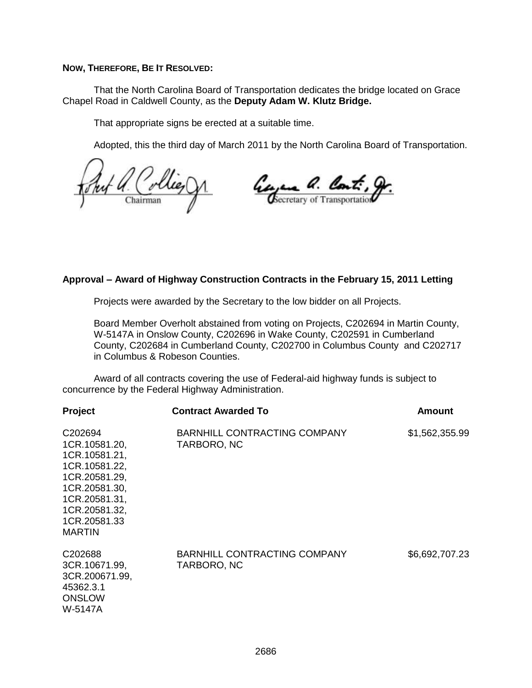### **NOW, THEREFORE, BE IT RESOLVED:**

That the North Carolina Board of Transportation dedicates the bridge located on Grace Chapel Road in Caldwell County, as the **Deputy Adam W. Klutz Bridge.**

That appropriate signs be erected at a suitable time.

Adopted, this the third day of March 2011 by the North Carolina Board of Transportation.

Georgene a. Cont., gr. Chairman

## **Approval – Award of Highway Construction Contracts in the February 15, 2011 Letting**

Projects were awarded by the Secretary to the low bidder on all Projects.

Board Member Overholt abstained from voting on Projects, C202694 in Martin County, W-5147A in Onslow County, C202696 in Wake County, C202591 in Cumberland County, C202684 in Cumberland County, C202700 in Columbus County and C202717 in Columbus & Robeson Counties.

Award of all contracts covering the use of Federal-aid highway funds is subject to concurrence by the Federal Highway Administration.

| Project                                                                                                                                                                     | <b>Contract Awarded To</b>                         | <b>Amount</b>  |
|-----------------------------------------------------------------------------------------------------------------------------------------------------------------------------|----------------------------------------------------|----------------|
| C <sub>202694</sub><br>1CR.10581.20,<br>1CR.10581.21,<br>1CR.10581.22,<br>1CR.20581.29,<br>1CR.20581.30,<br>1CR.20581.31,<br>1CR.20581.32,<br>1CR.20581.33<br><b>MARTIN</b> | <b>BARNHILL CONTRACTING COMPANY</b><br>TARBORO, NC | \$1,562,355.99 |
| C202688<br>3CR.10671.99,<br>3CR.200671.99,<br>45362.3.1<br><b>ONSLOW</b><br>W-5147A                                                                                         | <b>BARNHILL CONTRACTING COMPANY</b><br>TARBORO, NC | \$6,692,707.23 |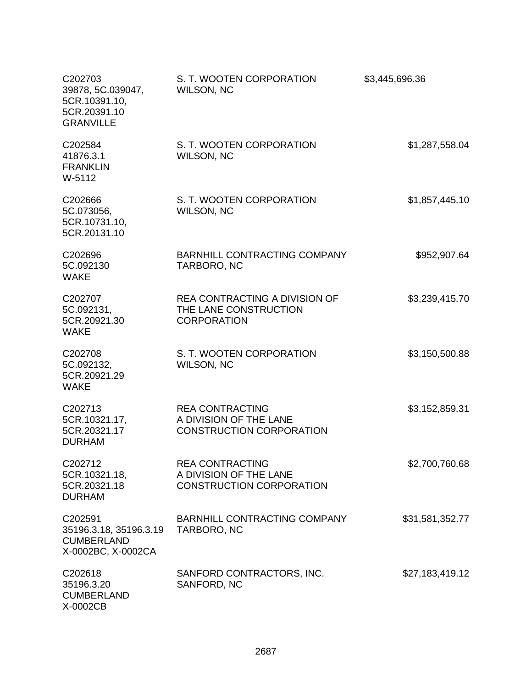| C202703<br>39878, 5C.039047,<br>5CR.10391.10,<br>5CR.20391.10<br><b>GRANVILLE</b> | S. T. WOOTEN CORPORATION<br>WILSON, NC                                              | \$3,445,696.36  |
|-----------------------------------------------------------------------------------|-------------------------------------------------------------------------------------|-----------------|
| C202584<br>41876.3.1<br><b>FRANKLIN</b><br>W-5112                                 | S. T. WOOTEN CORPORATION<br>WILSON, NC                                              | \$1,287,558.04  |
| C202666<br>5C.073056,<br>5CR.10731.10,<br>5CR.20131.10                            | S. T. WOOTEN CORPORATION<br>WILSON, NC                                              | \$1,857,445.10  |
| C202696<br>5C.092130<br><b>WAKE</b>                                               | <b>BARNHILL CONTRACTING COMPANY</b><br>TARBORO, NC                                  | \$952,907.64    |
| C202707<br>5C.092131,<br>5CR.20921.30<br><b>WAKE</b>                              | <b>REA CONTRACTING A DIVISION OF</b><br>THE LANE CONSTRUCTION<br><b>CORPORATION</b> | \$3,239,415.70  |
| C202708<br>5C.092132,<br>5CR.20921.29<br><b>WAKE</b>                              | S. T. WOOTEN CORPORATION<br>WILSON, NC                                              | \$3,150,500.88  |
| C202713<br>5CR.10321.17,<br>5CR.20321.17<br><b>DURHAM</b>                         | <b>REA CONTRACTING</b><br>A DIVISION OF THE LANE<br><b>CONSTRUCTION CORPORATION</b> | \$3,152,859.31  |
| C <sub>202712</sub><br>5CR.10321.18,<br>5CR.20321.18<br><b>DURHAM</b>             | <b>REA CONTRACTING</b><br>A DIVISION OF THE LANE<br><b>CONSTRUCTION CORPORATION</b> | \$2,700,760.68  |
| C202591<br>35196.3.18, 35196.3.19<br><b>CUMBERLAND</b><br>X-0002BC, X-0002CA      | BARNHILL CONTRACTING COMPANY<br>TARBORO, NC                                         | \$31,581,352.77 |
| C202618<br>35196.3.20<br><b>CUMBERLAND</b><br>X-0002CB                            | SANFORD CONTRACTORS, INC.<br>SANFORD, NC                                            | \$27,183,419.12 |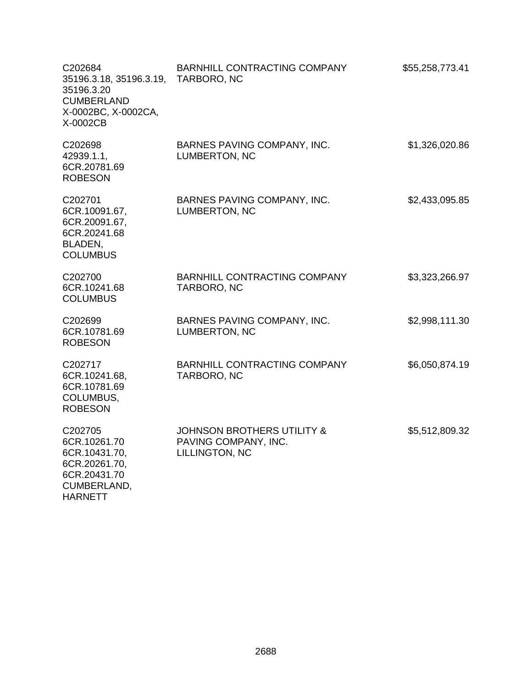| C202684<br>35196.3.18, 35196.3.19, TARBORO, NC<br>35196.3.20<br><b>CUMBERLAND</b><br>X-0002BC, X-0002CA,<br>X-0002CB | BARNHILL CONTRACTING COMPANY                                                    | \$55,258,773.41 |
|----------------------------------------------------------------------------------------------------------------------|---------------------------------------------------------------------------------|-----------------|
| C202698<br>42939.1.1,<br>6CR.20781.69<br><b>ROBESON</b>                                                              | BARNES PAVING COMPANY, INC.<br>LUMBERTON, NC                                    | \$1,326,020.86  |
| C202701<br>6CR.10091.67,<br>6CR.20091.67,<br>6CR.20241.68<br>BLADEN,<br><b>COLUMBUS</b>                              | BARNES PAVING COMPANY, INC.<br>LUMBERTON, NC                                    | \$2,433,095.85  |
| C202700<br>6CR.10241.68<br><b>COLUMBUS</b>                                                                           | BARNHILL CONTRACTING COMPANY<br>TARBORO, NC                                     | \$3,323,266.97  |
| C202699<br>6CR.10781.69<br><b>ROBESON</b>                                                                            | BARNES PAVING COMPANY, INC.<br>LUMBERTON, NC                                    | \$2,998,111.30  |
| C202717<br>6CR.10241.68,<br>6CR.10781.69<br>COLUMBUS,<br><b>ROBESON</b>                                              | BARNHILL CONTRACTING COMPANY<br>TARBORO, NC                                     | \$6,050,874.19  |
| C202705<br>6CR.10261.70<br>6CR.10431.70,<br>6CR.20261.70,<br>6CR.20431.70<br>CUMBERLAND,<br><b>HARNETT</b>           | <b>JOHNSON BROTHERS UTILITY &amp;</b><br>PAVING COMPANY, INC.<br>LILLINGTON, NC | \$5,512,809.32  |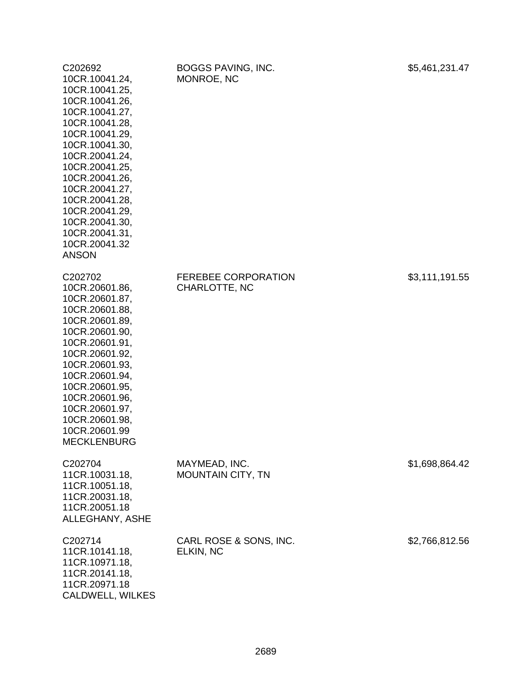| C202692<br>10CR.10041.24,<br>10CR.10041.25,<br>10CR.10041.26,<br>10CR.10041.27,<br>10CR.10041.28,<br>10CR.10041.29,<br>10CR.10041.30,<br>10CR.20041.24,<br>10CR.20041.25,<br>10CR.20041.26,<br>10CR.20041.27,<br>10CR.20041.28,<br>10CR.20041.29,<br>10CR.20041.30,<br>10CR.20041.31,<br>10CR.20041.32<br><b>ANSON</b> | BOGGS PAVING, INC.<br>MONROE, NC                   | \$5,461,231.47 |
|------------------------------------------------------------------------------------------------------------------------------------------------------------------------------------------------------------------------------------------------------------------------------------------------------------------------|----------------------------------------------------|----------------|
| C202702<br>10CR.20601.86,<br>10CR.20601.87,<br>10CR.20601.88,<br>10CR.20601.89,<br>10CR.20601.90,<br>10CR.20601.91,<br>10CR.20601.92,<br>10CR.20601.93,<br>10CR.20601.94,<br>10CR.20601.95,<br>10CR.20601.96,<br>10CR.20601.97,<br>10CR.20601.98,<br>10CR.20601.99<br><b>MECKLENBURG</b>                               | <b>FEREBEE CORPORATION</b><br><b>CHARLOTTE, NC</b> | \$3,111,191.55 |
| C202704<br>11CR.10031.18,<br>11CR.10051.18,<br>11CR.20031.18,<br>11CR.20051.18<br>ALLEGHANY, ASHE                                                                                                                                                                                                                      | MAYMEAD, INC.<br><b>MOUNTAIN CITY, TN</b>          | \$1,698,864.42 |
| C202714<br>11CR.10141.18,<br>11CR.10971.18,<br>11CR.20141.18,<br>11CR.20971.18<br>CALDWELL, WILKES                                                                                                                                                                                                                     | CARL ROSE & SONS, INC.<br>ELKIN, NC                | \$2,766,812.56 |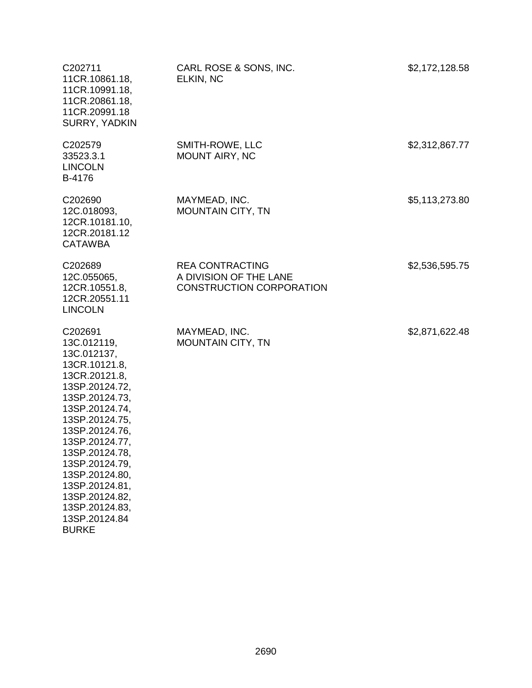| C202711<br>11CR.10861.18,<br>11CR.10991.18,<br>11CR.20861.18,<br>11CR.20991.18<br>SURRY, YADKIN                                                                                                                                                                                                                                  | CARL ROSE & SONS, INC.<br>ELKIN, NC                                                 | \$2,172,128.58 |
|----------------------------------------------------------------------------------------------------------------------------------------------------------------------------------------------------------------------------------------------------------------------------------------------------------------------------------|-------------------------------------------------------------------------------------|----------------|
| C202579<br>33523.3.1<br><b>LINCOLN</b><br>B-4176                                                                                                                                                                                                                                                                                 | SMITH-ROWE, LLC<br><b>MOUNT AIRY, NC</b>                                            | \$2,312,867.77 |
| C202690<br>12C.018093,<br>12CR.10181.10,<br>12CR.20181.12<br><b>CATAWBA</b>                                                                                                                                                                                                                                                      | MAYMEAD, INC.<br><b>MOUNTAIN CITY, TN</b>                                           | \$5,113,273.80 |
| C202689<br>12C.055065,<br>12CR.10551.8,<br>12CR.20551.11<br><b>LINCOLN</b>                                                                                                                                                                                                                                                       | <b>REA CONTRACTING</b><br>A DIVISION OF THE LANE<br><b>CONSTRUCTION CORPORATION</b> | \$2,536,595.75 |
| C202691<br>13C.012119,<br>13C.012137,<br>13CR.10121.8,<br>13CR.20121.8,<br>13SP.20124.72,<br>13SP.20124.73,<br>13SP.20124.74,<br>13SP.20124.75,<br>13SP.20124.76,<br>13SP.20124.77,<br>13SP.20124.78,<br>13SP.20124.79,<br>13SP.20124.80,<br>13SP.20124.81,<br>13SP.20124.82,<br>13SP.20124.83,<br>13SP.20124.84<br><b>BURKE</b> | MAYMEAD, INC.<br><b>MOUNTAIN CITY, TN</b>                                           | \$2,871,622.48 |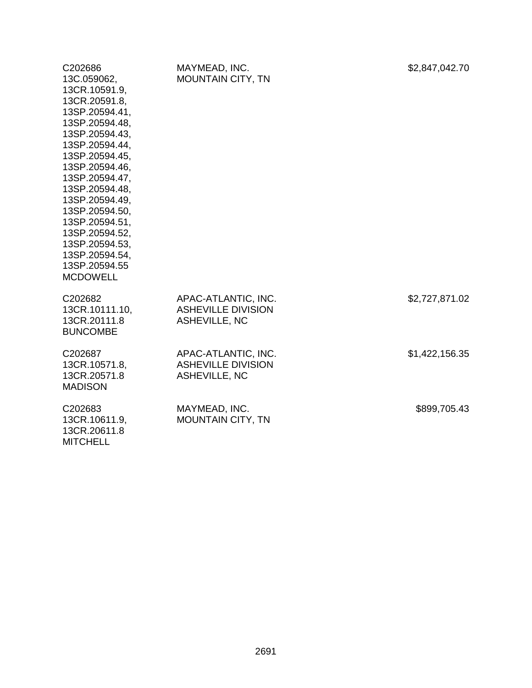| C202686<br>13C.059062,<br>13CR.10591.9,<br>13CR.20591.8,<br>13SP.20594.41,<br>13SP.20594.48,<br>13SP.20594.43,<br>13SP.20594.44,<br>13SP.20594.45,<br>13SP.20594.46,<br>13SP.20594.47,<br>13SP.20594.48,<br>13SP.20594.49,<br>13SP.20594.50,<br>13SP.20594.51,<br>13SP.20594.52,<br>13SP.20594.53,<br>13SP.20594.54,<br>13SP.20594.55<br><b>MCDOWELL</b> | MAYMEAD, INC.<br><b>MOUNTAIN CITY, TN</b>                         | \$2,847,042.70 |
|----------------------------------------------------------------------------------------------------------------------------------------------------------------------------------------------------------------------------------------------------------------------------------------------------------------------------------------------------------|-------------------------------------------------------------------|----------------|
| C202682<br>13CR.10111.10,<br>13CR.20111.8<br><b>BUNCOMBE</b>                                                                                                                                                                                                                                                                                             | APAC-ATLANTIC, INC.<br><b>ASHEVILLE DIVISION</b><br>ASHEVILLE, NC | \$2,727,871.02 |
| C202687<br>13CR.10571.8,<br>13CR.20571.8<br><b>MADISON</b>                                                                                                                                                                                                                                                                                               | APAC-ATLANTIC, INC.<br><b>ASHEVILLE DIVISION</b><br>ASHEVILLE, NC | \$1,422,156.35 |
| C202683<br>13CR.10611.9,<br>13CR.20611.8                                                                                                                                                                                                                                                                                                                 | MAYMEAD, INC.<br><b>MOUNTAIN CITY, TN</b>                         | \$899,705.43   |

MITCHELL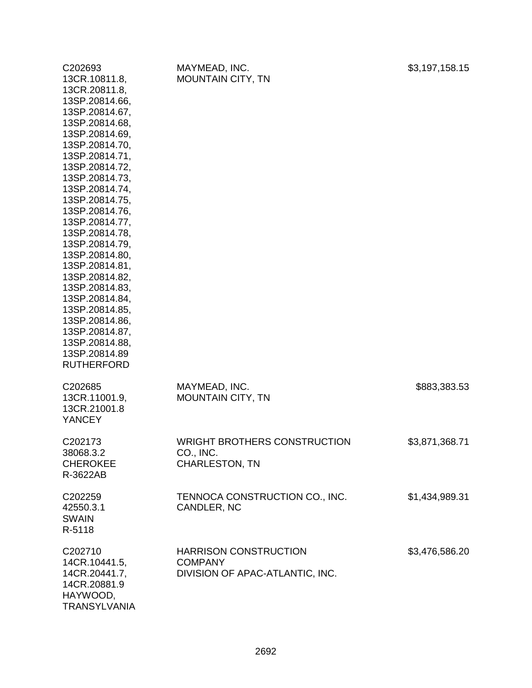| C <sub>202693</sub><br>13CR.10811.8,<br>13CR.20811.8,<br>13SP.20814.66,<br>13SP.20814.67,<br>13SP.20814.68,<br>13SP.20814.69,<br>13SP.20814.70,<br>13SP.20814.71,<br>13SP.20814.72,<br>13SP.20814.73,<br>13SP.20814.74,<br>13SP.20814.75,<br>13SP.20814.76,<br>13SP.20814.77,<br>13SP.20814.78,<br>13SP.20814.79,<br>13SP.20814.80,<br>13SP.20814.81,<br>13SP.20814.82,<br>13SP.20814.83,<br>13SP.20814.84,<br>13SP.20814.85,<br>13SP.20814.86,<br>13SP.20814.87,<br>13SP.20814.88,<br>13SP.20814.89<br><b>RUTHERFORD</b> | MAYMEAD, INC.<br><b>MOUNTAIN CITY, TN</b>                                         | \$3,197,158.15 |
|---------------------------------------------------------------------------------------------------------------------------------------------------------------------------------------------------------------------------------------------------------------------------------------------------------------------------------------------------------------------------------------------------------------------------------------------------------------------------------------------------------------------------|-----------------------------------------------------------------------------------|----------------|
| C202685<br>13CR.11001.9,<br>13CR.21001.8<br><b>YANCEY</b>                                                                                                                                                                                                                                                                                                                                                                                                                                                                 | MAYMEAD, INC.<br><b>MOUNTAIN CITY, TN</b>                                         | \$883,383.53   |
| C202173<br>38068.3.2<br><b>CHEROKEE</b><br>R-3622AB                                                                                                                                                                                                                                                                                                                                                                                                                                                                       | <b>WRIGHT BROTHERS CONSTRUCTION</b><br>CO., INC.<br><b>CHARLESTON, TN</b>         | \$3,871,368.71 |
| C202259<br>42550.3.1<br><b>SWAIN</b><br>R-5118                                                                                                                                                                                                                                                                                                                                                                                                                                                                            | TENNOCA CONSTRUCTION CO., INC.<br>CANDLER, NC                                     | \$1,434,989.31 |
| C202710<br>14CR.10441.5,<br>14CR.20441.7,<br>14CR.20881.9<br>HAYWOOD,<br><b>TRANSYLVANIA</b>                                                                                                                                                                                                                                                                                                                                                                                                                              | <b>HARRISON CONSTRUCTION</b><br><b>COMPANY</b><br>DIVISION OF APAC-ATLANTIC, INC. | \$3,476,586.20 |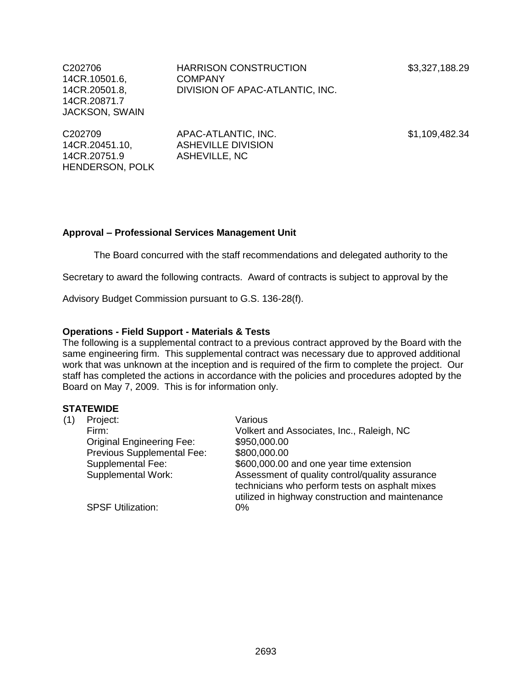\$3,327,188.29

C202706 14CR.10501.6, 14CR.20501.8, 14CR.20871.7 JACKSON, SWAIN HARRISON CONSTRUCTION COMPANY DIVISION OF APAC-ATLANTIC, INC.

C202709 14CR.20451.10, 14CR.20751.9 HENDERSON, POLK

APAC-ATLANTIC, INC. ASHEVILLE DIVISION ASHEVILLE, NC

\$1,109,482.34

## **Approval – Professional Services Management Unit**

The Board concurred with the staff recommendations and delegated authority to the

Secretary to award the following contracts. Award of contracts is subject to approval by the

Advisory Budget Commission pursuant to G.S. 136-28(f).

### **Operations - Field Support - Materials & Tests**

The following is a supplemental contract to a previous contract approved by the Board with the same engineering firm. This supplemental contract was necessary due to approved additional work that was unknown at the inception and is required of the firm to complete the project. Our staff has completed the actions in accordance with the policies and procedures adopted by the Board on May 7, 2009. This is for information only.

| (1) | Project:                         | Various                                                                                                                                               |
|-----|----------------------------------|-------------------------------------------------------------------------------------------------------------------------------------------------------|
|     | Firm:                            | Volkert and Associates, Inc., Raleigh, NC                                                                                                             |
|     | <b>Original Engineering Fee:</b> | \$950,000.00                                                                                                                                          |
|     | Previous Supplemental Fee:       | \$800,000.00                                                                                                                                          |
|     | Supplemental Fee:                | \$600,000.00 and one year time extension                                                                                                              |
|     | <b>Supplemental Work:</b>        | Assessment of quality control/quality assurance<br>technicians who perform tests on asphalt mixes<br>utilized in highway construction and maintenance |
|     | <b>SPSF Utilization:</b>         | 0%                                                                                                                                                    |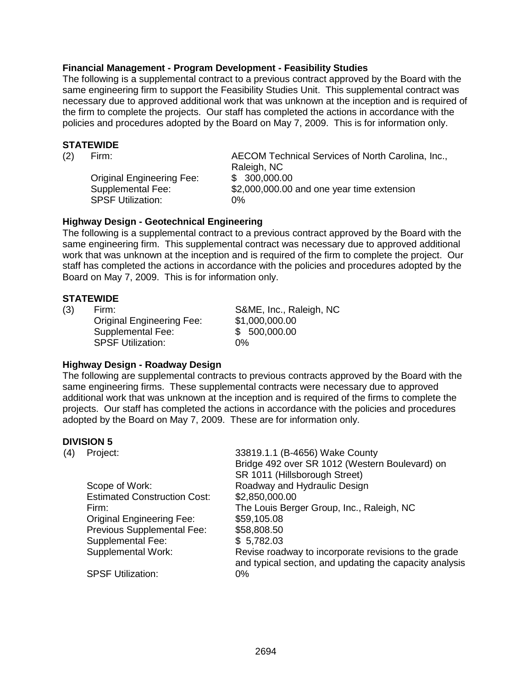## **Financial Management - Program Development - Feasibility Studies**

The following is a supplemental contract to a previous contract approved by the Board with the same engineering firm to support the Feasibility Studies Unit. This supplemental contract was necessary due to approved additional work that was unknown at the inception and is required of the firm to complete the projects. Our staff has completed the actions in accordance with the policies and procedures adopted by the Board on May 7, 2009. This is for information only.

### **STATEWIDE**

**Original Engineering Fee:** SPSF Utilization: 0%

(2) Firm: AECOM Technical Services of North Carolina, Inc., Raleigh, NC<br>\$ 300.000.00 Supplemental Fee: \$2,000,000.00 and one year time extension

## **Highway Design - Geotechnical Engineering**

The following is a supplemental contract to a previous contract approved by the Board with the same engineering firm. This supplemental contract was necessary due to approved additional work that was unknown at the inception and is required of the firm to complete the project. Our staff has completed the actions in accordance with the policies and procedures adopted by the Board on May 7, 2009. This is for information only.

### **STATEWIDE**

(3) Firm: S&ME, Inc., Raleigh, NC Original Engineering Fee: \$1,000,000.00 Supplemental Fee: \$ 500,000.00 SPSF Utilization: 0%

### **Highway Design - Roadway Design**

The following are supplemental contracts to previous contracts approved by the Board with the same engineering firms. These supplemental contracts were necessary due to approved additional work that was unknown at the inception and is required of the firms to complete the projects. Our staff has completed the actions in accordance with the policies and procedures adopted by the Board on May 7, 2009. These are for information only.

### **DIVISION 5**

| (4) | Project:                            | 33819.1.1 (B-4656) Wake County                                                                                  |
|-----|-------------------------------------|-----------------------------------------------------------------------------------------------------------------|
|     |                                     | Bridge 492 over SR 1012 (Western Boulevard) on                                                                  |
|     |                                     | SR 1011 (Hillsborough Street)                                                                                   |
|     | Scope of Work:                      | Roadway and Hydraulic Design                                                                                    |
|     | <b>Estimated Construction Cost:</b> | \$2,850,000.00                                                                                                  |
|     | Firm:                               | The Louis Berger Group, Inc., Raleigh, NC                                                                       |
|     | <b>Original Engineering Fee:</b>    | \$59,105.08                                                                                                     |
|     | Previous Supplemental Fee:          | \$58,808.50                                                                                                     |
|     | <b>Supplemental Fee:</b>            | \$5,782.03                                                                                                      |
|     | Supplemental Work:                  | Revise roadway to incorporate revisions to the grade<br>and typical section, and updating the capacity analysis |
|     | <b>SPSF Utilization:</b>            | $0\%$                                                                                                           |
|     |                                     |                                                                                                                 |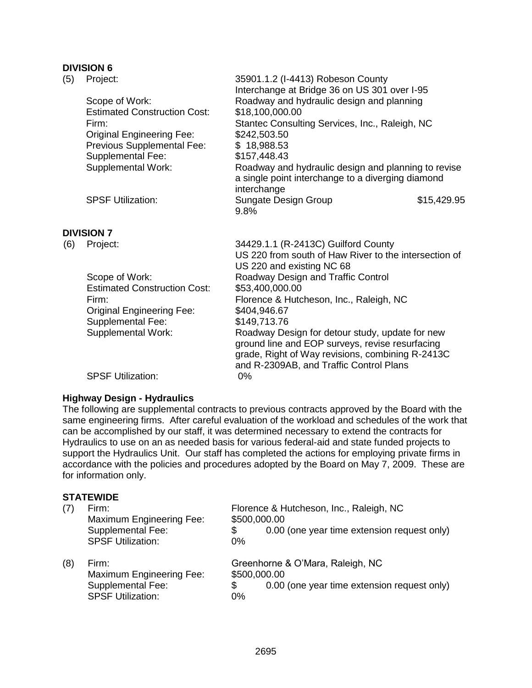# **DIVISION 6**

|     | <b>DIVISIUN 6</b>                   |                                                                                                                                                        |             |
|-----|-------------------------------------|--------------------------------------------------------------------------------------------------------------------------------------------------------|-------------|
| (5) | Project:                            | 35901.1.2 (I-4413) Robeson County<br>Interchange at Bridge 36 on US 301 over I-95                                                                      |             |
|     | Scope of Work:                      | Roadway and hydraulic design and planning                                                                                                              |             |
|     | <b>Estimated Construction Cost:</b> | \$18,100,000.00                                                                                                                                        |             |
|     | Firm:                               | Stantec Consulting Services, Inc., Raleigh, NC                                                                                                         |             |
|     | <b>Original Engineering Fee:</b>    | \$242,503.50                                                                                                                                           |             |
|     | Previous Supplemental Fee:          | \$18,988.53                                                                                                                                            |             |
|     | Supplemental Fee:                   | \$157,448.43                                                                                                                                           |             |
|     | <b>Supplemental Work:</b>           | Roadway and hydraulic design and planning to revise<br>a single point interchange to a diverging diamond                                               |             |
|     | <b>SPSF Utilization:</b>            | interchange<br>Sungate Design Group                                                                                                                    | \$15,429.95 |
|     |                                     | 9.8%                                                                                                                                                   |             |
|     | <b>DIVISION 7</b>                   |                                                                                                                                                        |             |
| (6) | Project:                            | 34429.1.1 (R-2413C) Guilford County                                                                                                                    |             |
|     |                                     | US 220 from south of Haw River to the intersection of                                                                                                  |             |
|     |                                     | US 220 and existing NC 68                                                                                                                              |             |
|     | Scope of Work:                      | Roadway Design and Traffic Control                                                                                                                     |             |
|     | <b>Estimated Construction Cost:</b> | \$53,400,000.00                                                                                                                                        |             |
|     | Firm:                               | Florence & Hutcheson, Inc., Raleigh, NC                                                                                                                |             |
|     | <b>Original Engineering Fee:</b>    | \$404,946.67                                                                                                                                           |             |
|     | <b>Supplemental Fee:</b>            | \$149,713.76                                                                                                                                           |             |
|     | <b>Supplemental Work:</b>           | Roadway Design for detour study, update for new<br>ground line and EOP surveys, revise resurfacing<br>grade, Right of Way revisions, combining R-2413C |             |
|     |                                     | and R-2309AB, and Traffic Control Plans                                                                                                                |             |

SPSF Utilization: 0%

# **Highway Design - Hydraulics**

The following are supplemental contracts to previous contracts approved by the Board with the same engineering firms. After careful evaluation of the workload and schedules of the work that can be accomplished by our staff, it was determined necessary to extend the contracts for Hydraulics to use on an as needed basis for various federal-aid and state funded projects to support the Hydraulics Unit. Our staff has completed the actions for employing private firms in accordance with the policies and procedures adopted by the Board on May 7, 2009. These are for information only.

| (7) | Firm:<br>Maximum Engineering Fee:<br>Supplemental Fee:<br><b>SPSF Utilization:</b> | \$500,000.00<br>\$<br>0% | Florence & Hutcheson, Inc., Raleigh, NC<br>0.00 (one year time extension request only) |
|-----|------------------------------------------------------------------------------------|--------------------------|----------------------------------------------------------------------------------------|
| (8) | Firm:<br>Maximum Engineering Fee:<br>Supplemental Fee:<br><b>SPSF Utilization:</b> | \$500,000.00<br>\$<br>0% | Greenhorne & O'Mara, Raleigh, NC<br>0.00 (one year time extension request only)        |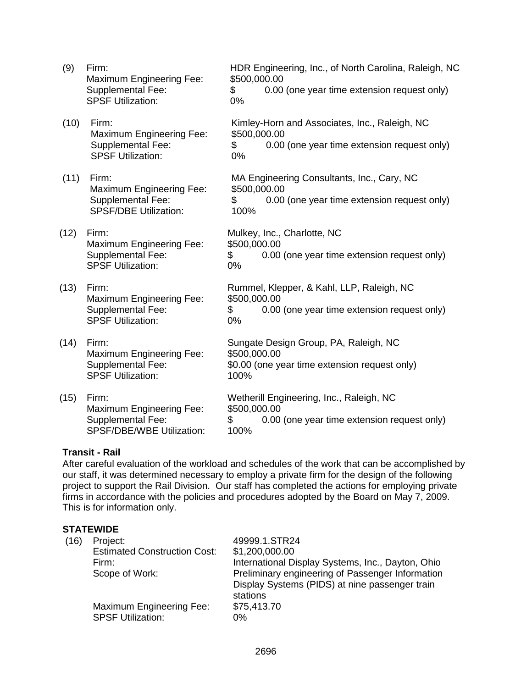| (9)  | Firm:<br><b>Maximum Engineering Fee:</b><br><b>Supplemental Fee:</b><br><b>SPSF Utilization:</b> | HDR Engineering, Inc., of North Carolina, Raleigh, NC<br>\$500,000.00<br>0.00 (one year time extension request only)<br>\$<br>0% |
|------|--------------------------------------------------------------------------------------------------|----------------------------------------------------------------------------------------------------------------------------------|
| (10) | Firm:<br><b>Maximum Engineering Fee:</b><br><b>Supplemental Fee:</b><br><b>SPSF Utilization:</b> | Kimley-Horn and Associates, Inc., Raleigh, NC<br>\$500,000.00<br>0.00 (one year time extension request only)<br>\$<br>0%         |
| (11) | Firm:<br>Maximum Engineering Fee:<br><b>Supplemental Fee:</b><br><b>SPSF/DBE Utilization:</b>    | MA Engineering Consultants, Inc., Cary, NC<br>\$500,000.00<br>0.00 (one year time extension request only)<br>\$<br>100%          |
| (12) | Firm:<br><b>Maximum Engineering Fee:</b><br>Supplemental Fee:<br><b>SPSF Utilization:</b>        | Mulkey, Inc., Charlotte, NC<br>\$500,000.00<br>\$<br>0.00 (one year time extension request only)<br>0%                           |
| (13) | Firm:<br><b>Maximum Engineering Fee:</b><br><b>Supplemental Fee:</b><br><b>SPSF Utilization:</b> | Rummel, Klepper, & Kahl, LLP, Raleigh, NC<br>\$500,000.00<br>\$<br>0.00 (one year time extension request only)<br>0%             |
| (14) | Firm:<br>Maximum Engineering Fee:<br>Supplemental Fee:<br><b>SPSF Utilization:</b>               | Sungate Design Group, PA, Raleigh, NC<br>\$500,000.00<br>\$0.00 (one year time extension request only)<br>100%                   |
| (15) | Firm:<br><b>Maximum Engineering Fee:</b><br>Supplemental Fee:<br>SPSF/DBE/WBE Utilization:       | Wetherill Engineering, Inc., Raleigh, NC<br>\$500,000.00<br>0.00 (one year time extension request only)<br>\$<br>100%            |

## **Transit - Rail**

After careful evaluation of the workload and schedules of the work that can be accomplished by our staff, it was determined necessary to employ a private firm for the design of the following project to support the Rail Division. Our staff has completed the actions for employing private firms in accordance with the policies and procedures adopted by the Board on May 7, 2009. This is for information only.

| (16) | Project:<br><b>Estimated Construction Cost:</b><br>Firm:<br>Scope of Work: | 49999.1.STR24<br>\$1,200,000.00<br>International Display Systems, Inc., Dayton, Ohio<br>Preliminary engineering of Passenger Information<br>Display Systems (PIDS) at nine passenger train<br>stations |
|------|----------------------------------------------------------------------------|--------------------------------------------------------------------------------------------------------------------------------------------------------------------------------------------------------|
|      | Maximum Engineering Fee:<br><b>SPSF Utilization:</b>                       | \$75,413.70<br>0%                                                                                                                                                                                      |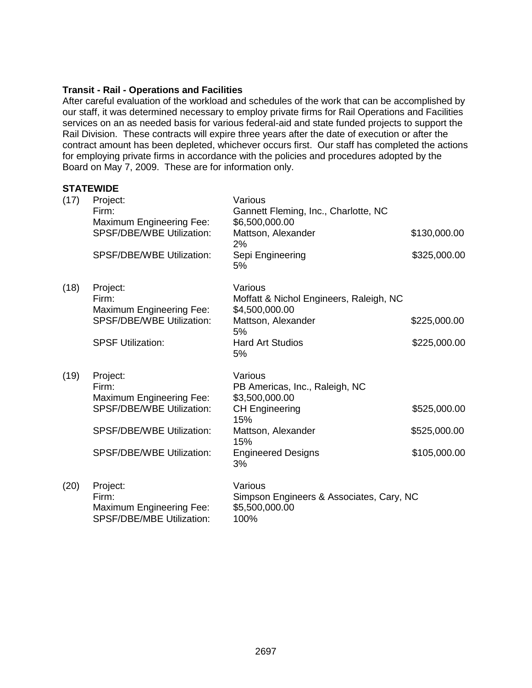## **Transit - Rail - Operations and Facilities**

After careful evaluation of the workload and schedules of the work that can be accomplished by our staff, it was determined necessary to employ private firms for Rail Operations and Facilities services on an as needed basis for various federal-aid and state funded projects to support the Rail Division. These contracts will expire three years after the date of execution or after the contract amount has been depleted, whichever occurs first. Our staff has completed the actions for employing private firms in accordance with the policies and procedures adopted by the Board on May 7, 2009. These are for information only.

| (17) | Project:<br>Firm:<br>Maximum Engineering Fee:<br><b>SPSF/DBE/WBE Utilization:</b><br>SPSF/DBE/WBE Utilization:                                            | Various<br>Gannett Fleming, Inc., Charlotte, NC<br>\$6,500,000.00<br>Mattson, Alexander<br>2%<br>Sepi Engineering<br>5%                                     | \$130,000.00<br>\$325,000.00                 |
|------|-----------------------------------------------------------------------------------------------------------------------------------------------------------|-------------------------------------------------------------------------------------------------------------------------------------------------------------|----------------------------------------------|
| (18) | Project:<br>Firm:<br>Maximum Engineering Fee:<br><b>SPSF/DBE/WBE Utilization:</b><br><b>SPSF Utilization:</b>                                             | Various<br>Moffatt & Nichol Engineers, Raleigh, NC<br>\$4,500,000.00<br>Mattson, Alexander<br>5%<br><b>Hard Art Studios</b><br>5%                           | \$225,000.00<br>\$225,000.00                 |
| (19) | Project:<br>Firm:<br>Maximum Engineering Fee:<br><b>SPSF/DBE/WBE Utilization:</b><br><b>SPSF/DBE/WBE Utilization:</b><br><b>SPSF/DBE/WBE Utilization:</b> | Various<br>PB Americas, Inc., Raleigh, NC<br>\$3,500,000.00<br><b>CH Engineering</b><br>15%<br>Mattson, Alexander<br>15%<br><b>Engineered Designs</b><br>3% | \$525,000.00<br>\$525,000.00<br>\$105,000.00 |
| (20) | Project:<br>Firm:<br>Maximum Engineering Fee:<br>SPSF/DBE/MBE Utilization:                                                                                | Various<br>Simpson Engineers & Associates, Cary, NC<br>\$5,500,000.00<br>100%                                                                               |                                              |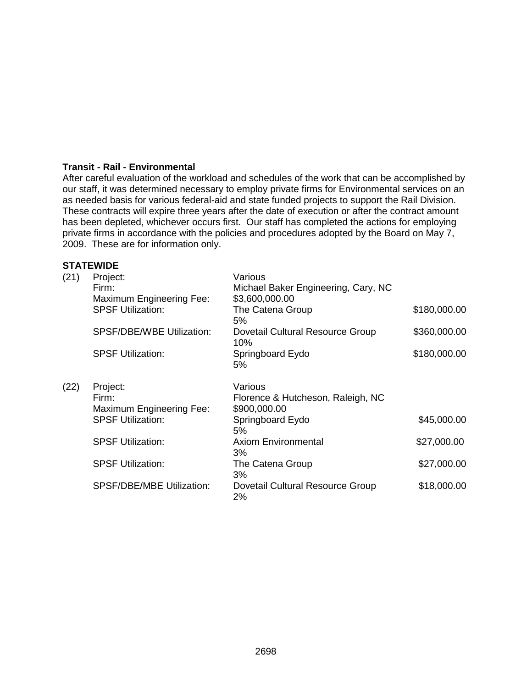## **Transit - Rail - Environmental**

After careful evaluation of the workload and schedules of the work that can be accomplished by our staff, it was determined necessary to employ private firms for Environmental services on an as needed basis for various federal-aid and state funded projects to support the Rail Division. These contracts will expire three years after the date of execution or after the contract amount has been depleted, whichever occurs first. Our staff has completed the actions for employing private firms in accordance with the policies and procedures adopted by the Board on May 7, 2009. These are for information only.

| (21) | Project:<br>Firm:<br><b>Maximum Engineering Fee:</b> | Various<br>Michael Baker Engineering, Cary, NC<br>\$3,600,000.00 |              |
|------|------------------------------------------------------|------------------------------------------------------------------|--------------|
|      | <b>SPSF Utilization:</b>                             | The Catena Group<br>5%                                           | \$180,000.00 |
|      | SPSF/DBE/WBE Utilization:                            | Dovetail Cultural Resource Group<br>10%                          | \$360,000.00 |
|      | <b>SPSF Utilization:</b>                             | Springboard Eydo<br>5%                                           | \$180,000.00 |
| (22) | Project:<br>Firm:<br><b>Maximum Engineering Fee:</b> | Various<br>Florence & Hutcheson, Raleigh, NC<br>\$900,000.00     |              |
|      | <b>SPSF Utilization:</b>                             | Springboard Eydo<br>5%                                           | \$45,000.00  |
|      | <b>SPSF Utilization:</b>                             | <b>Axiom Environmental</b><br>3%                                 | \$27,000.00  |
|      | <b>SPSF Utilization:</b>                             | The Catena Group<br>3%                                           | \$27,000.00  |
|      | <b>SPSF/DBE/MBE Utilization:</b>                     | Dovetail Cultural Resource Group<br>2%                           | \$18,000.00  |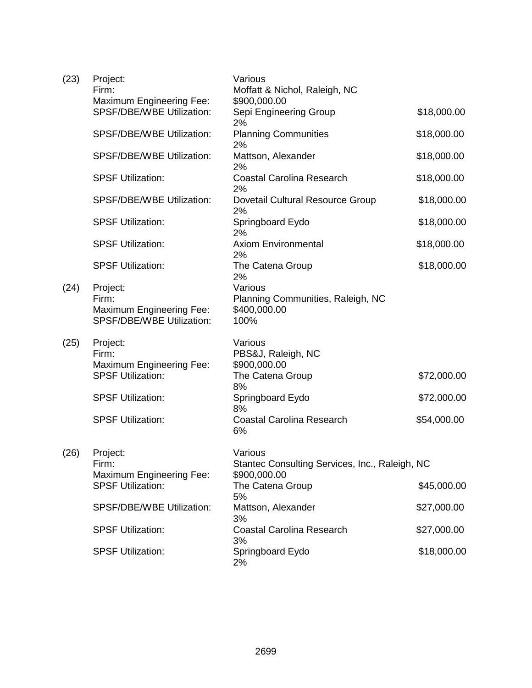| (23) | Project:<br>Firm:<br><b>Maximum Engineering Fee:</b>                              | Various<br>Moffatt & Nichol, Raleigh, NC<br>\$900,000.00             |             |
|------|-----------------------------------------------------------------------------------|----------------------------------------------------------------------|-------------|
|      | SPSF/DBE/WBE Utilization:                                                         | Sepi Engineering Group<br>2%                                         | \$18,000.00 |
|      | SPSF/DBE/WBE Utilization:                                                         | <b>Planning Communities</b><br>2%                                    | \$18,000.00 |
|      | SPSF/DBE/WBE Utilization:                                                         | Mattson, Alexander<br>2%                                             | \$18,000.00 |
|      | <b>SPSF Utilization:</b>                                                          | <b>Coastal Carolina Research</b><br>2%                               | \$18,000.00 |
|      | <b>SPSF/DBE/WBE Utilization:</b>                                                  | Dovetail Cultural Resource Group<br>2%                               | \$18,000.00 |
|      | <b>SPSF Utilization:</b>                                                          | Springboard Eydo<br>2%                                               | \$18,000.00 |
|      | <b>SPSF Utilization:</b>                                                          | <b>Axiom Environmental</b><br>2%                                     | \$18,000.00 |
|      | <b>SPSF Utilization:</b>                                                          | The Catena Group<br>2%                                               | \$18,000.00 |
| (24) | Project:<br>Firm:<br><b>Maximum Engineering Fee:</b><br>SPSF/DBE/WBE Utilization: | Various<br>Planning Communities, Raleigh, NC<br>\$400,000.00<br>100% |             |
| (25) | Project:<br>Firm:<br><b>Maximum Engineering Fee:</b>                              | Various<br>PBS&J, Raleigh, NC<br>\$900,000.00                        |             |
|      | <b>SPSF Utilization:</b>                                                          | The Catena Group<br>8%                                               | \$72,000.00 |
|      | <b>SPSF Utilization:</b>                                                          | Springboard Eydo<br>8%                                               | \$72,000.00 |
|      | <b>SPSF Utilization:</b>                                                          | <b>Coastal Carolina Research</b><br>6%                               | \$54,000.00 |
| (26) | Project:<br>Firm:                                                                 | Various<br>Stantec Consulting Services, Inc., Raleigh, NC            |             |
|      | <b>Maximum Engineering Fee:</b><br><b>SPSF Utilization:</b>                       | \$900,000.00<br>The Catena Group                                     | \$45,000.00 |
|      | <b>SPSF/DBE/WBE Utilization:</b>                                                  | 5%<br>Mattson, Alexander                                             | \$27,000.00 |
|      | <b>SPSF Utilization:</b>                                                          | 3%<br><b>Coastal Carolina Research</b><br>3%                         | \$27,000.00 |
|      | <b>SPSF Utilization:</b>                                                          | Springboard Eydo<br>2%                                               | \$18,000.00 |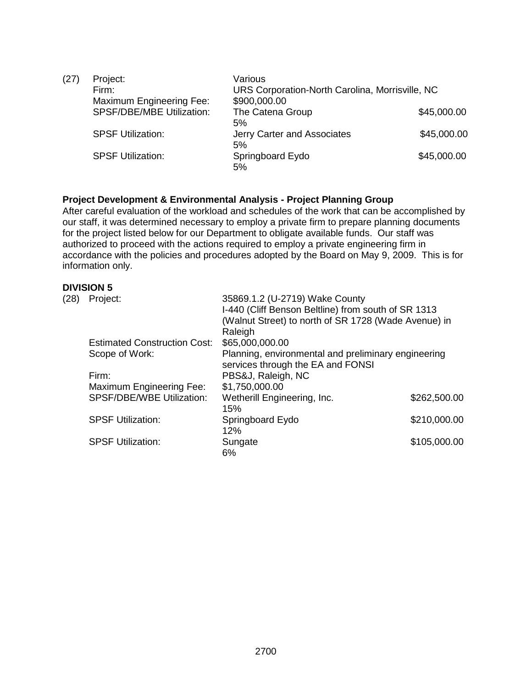| (27) | Project:                         | Various                                         |             |
|------|----------------------------------|-------------------------------------------------|-------------|
|      | Firm:                            | URS Corporation-North Carolina, Morrisville, NC |             |
|      | Maximum Engineering Fee:         | \$900,000.00                                    |             |
|      | <b>SPSF/DBE/MBE Utilization:</b> | The Catena Group                                | \$45,000.00 |
|      |                                  | 5%                                              |             |
|      | <b>SPSF Utilization:</b>         | Jerry Carter and Associates                     | \$45,000.00 |
|      |                                  | 5%                                              |             |
|      | <b>SPSF Utilization:</b>         | Springboard Eydo                                | \$45,000.00 |
|      |                                  | 5%                                              |             |

### **Project Development & Environmental Analysis - Project Planning Group**

After careful evaluation of the workload and schedules of the work that can be accomplished by our staff, it was determined necessary to employ a private firm to prepare planning documents for the project listed below for our Department to obligate available funds. Our staff was authorized to proceed with the actions required to employ a private engineering firm in accordance with the policies and procedures adopted by the Board on May 9, 2009. This is for information only.

## **DIVISION 5**

| (28) | Project:                            | 35869.1.2 (U-2719) Wake County<br>I-440 (Cliff Benson Beltline) from south of SR 1313<br>(Walnut Street) to north of SR 1728 (Wade Avenue) in<br>Raleigh |              |
|------|-------------------------------------|----------------------------------------------------------------------------------------------------------------------------------------------------------|--------------|
|      | <b>Estimated Construction Cost:</b> | \$65,000,000.00                                                                                                                                          |              |
|      | Scope of Work:                      | Planning, environmental and preliminary engineering<br>services through the EA and FONSI                                                                 |              |
|      | Firm:                               | PBS&J, Raleigh, NC                                                                                                                                       |              |
|      | Maximum Engineering Fee:            | \$1,750,000.00                                                                                                                                           |              |
|      | <b>SPSF/DBE/WBE Utilization:</b>    | Wetherill Engineering, Inc.<br>15%                                                                                                                       | \$262,500.00 |
|      | <b>SPSF Utilization:</b>            | Springboard Eydo<br>12%                                                                                                                                  | \$210,000.00 |
|      | <b>SPSF Utilization:</b>            | Sungate<br>6%                                                                                                                                            | \$105,000.00 |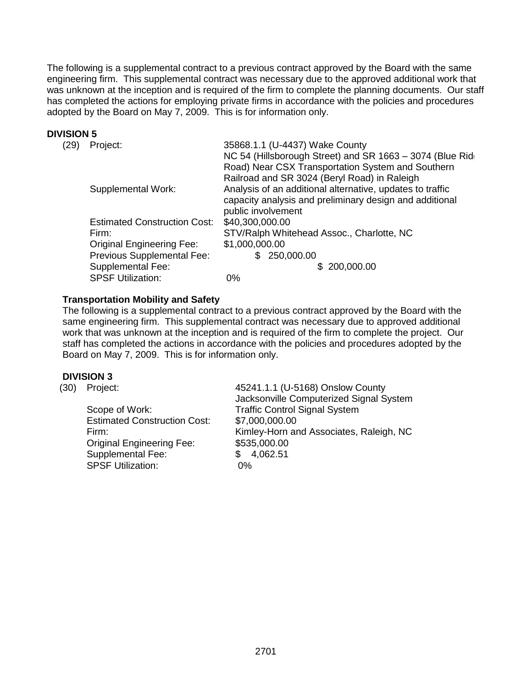The following is a supplemental contract to a previous contract approved by the Board with the same engineering firm. This supplemental contract was necessary due to the approved additional work that was unknown at the inception and is required of the firm to complete the planning documents. Our staff has completed the actions for employing private firms in accordance with the policies and procedures adopted by the Board on May 7, 2009. This is for information only.

## **DIVISION 5**

| (29) | Project:                            | 35868.1.1 (U-4437) Wake County                            |
|------|-------------------------------------|-----------------------------------------------------------|
|      |                                     | NC 54 (Hillsborough Street) and SR 1663 - 3074 (Blue Rid  |
|      |                                     | Road) Near CSX Transportation System and Southern         |
|      |                                     | Railroad and SR 3024 (Beryl Road) in Raleigh              |
|      | Supplemental Work:                  | Analysis of an additional alternative, updates to traffic |
|      |                                     | capacity analysis and preliminary design and additional   |
|      |                                     | public involvement                                        |
|      | <b>Estimated Construction Cost:</b> | \$40,300,000.00                                           |
|      | Firm:                               | STV/Ralph Whitehead Assoc., Charlotte, NC                 |
|      | <b>Original Engineering Fee:</b>    | \$1,000,000.00                                            |
|      | Previous Supplemental Fee:          | 250,000.00<br>£.                                          |
|      | <b>Supplemental Fee:</b>            | \$200,000.00                                              |
|      | <b>SPSF Utilization:</b>            | 0%                                                        |

## **Transportation Mobility and Safety**

The following is a supplemental contract to a previous contract approved by the Board with the same engineering firm. This supplemental contract was necessary due to approved additional work that was unknown at the inception and is required of the firm to complete the project. Our staff has completed the actions in accordance with the policies and procedures adopted by the Board on May 7, 2009. This is for information only.

## **DIVISION 3**

| (30) | Project:                            | 45241.1.1 (U-5168) Onslow County<br>Jacksonville Computerized Signal System |
|------|-------------------------------------|-----------------------------------------------------------------------------|
|      | Scope of Work:                      | <b>Traffic Control Signal System</b>                                        |
|      | <b>Estimated Construction Cost:</b> | \$7,000,000.00                                                              |
|      | Firm:                               | Kimley-Horn and Associates, Raleigh, NC                                     |
|      | <b>Original Engineering Fee:</b>    | \$535,000.00                                                                |
|      | Supplemental Fee:                   | 4,062.51<br>\$                                                              |
|      | <b>SPSF Utilization:</b>            | 0%                                                                          |
|      |                                     |                                                                             |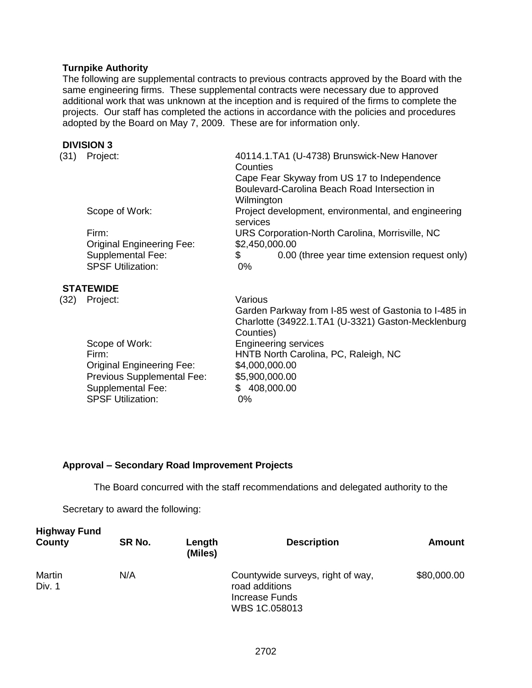## **Turnpike Authority**

The following are supplemental contracts to previous contracts approved by the Board with the same engineering firms. These supplemental contracts were necessary due to approved additional work that was unknown at the inception and is required of the firms to complete the projects. Our staff has completed the actions in accordance with the policies and procedures adopted by the Board on May 7, 2009. These are for information only.

#### **DIVISION 3**

| (31) | Project:                                             | 40114.1.TA1 (U-4738) Brunswick-New Hanover<br>Counties          |
|------|------------------------------------------------------|-----------------------------------------------------------------|
|      |                                                      | Cape Fear Skyway from US 17 to Independence                     |
|      |                                                      | Boulevard-Carolina Beach Road Intersection in                   |
|      |                                                      | Wilmington                                                      |
|      | Scope of Work:                                       | Project development, environmental, and engineering<br>services |
|      | Firm:                                                | URS Corporation-North Carolina, Morrisville, NC                 |
|      | <b>Original Engineering Fee:</b>                     | \$2,450,000.00                                                  |
|      | <b>Supplemental Fee:</b><br><b>SPSF Utilization:</b> | \$<br>0.00 (three year time extension request only)<br>$0\%$    |
|      |                                                      |                                                                 |

## **STATEWIDE**

| (32) | Project:                         | Various                                               |
|------|----------------------------------|-------------------------------------------------------|
|      |                                  | Garden Parkway from I-85 west of Gastonia to I-485 in |
|      |                                  | Charlotte (34922.1.TA1 (U-3321) Gaston-Mecklenburg    |
|      |                                  | Counties)                                             |
|      | Scope of Work:                   | <b>Engineering services</b>                           |
|      | Firm:                            | HNTB North Carolina, PC, Raleigh, NC                  |
|      | <b>Original Engineering Fee:</b> | \$4,000,000.00                                        |
|      | Previous Supplemental Fee:       | \$5,900,000.00                                        |
|      | <b>Supplemental Fee:</b>         | 408,000.00<br>\$.                                     |
|      | <b>SPSF Utilization:</b>         | $0\%$                                                 |
|      |                                  |                                                       |

## **Approval – Secondary Road Improvement Projects**

The Board concurred with the staff recommendations and delegated authority to the

Secretary to award the following:

| <b>Highway Fund</b><br>County | SR No. | Length<br>(Miles) | <b>Description</b>                                                                     | <b>Amount</b> |
|-------------------------------|--------|-------------------|----------------------------------------------------------------------------------------|---------------|
| Martin<br>Div. 1              | N/A    |                   | Countywide surveys, right of way,<br>road additions<br>Increase Funds<br>WBS 1C.058013 | \$80,000.00   |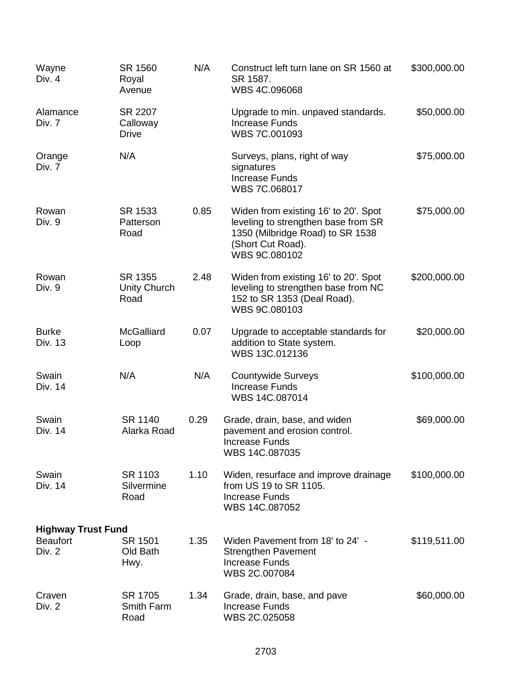| Wayne<br>Div. 4                                        | SR 1560<br>Royal<br>Avenue          | N/A  | Construct left turn lane on SR 1560 at<br>SR 1587.<br>WBS 4C.096068                                                                                   | \$300,000.00 |
|--------------------------------------------------------|-------------------------------------|------|-------------------------------------------------------------------------------------------------------------------------------------------------------|--------------|
| Alamance<br>Div. 7                                     | SR 2207<br>Calloway<br><b>Drive</b> |      | Upgrade to min. unpaved standards.<br><b>Increase Funds</b><br>WBS 7C.001093                                                                          | \$50,000.00  |
| Orange<br>Div. 7                                       | N/A                                 |      | Surveys, plans, right of way<br>signatures<br><b>Increase Funds</b><br>WBS 7C.068017                                                                  | \$75,000.00  |
| Rowan<br>Div. 9                                        | SR 1533<br>Patterson<br>Road        | 0.85 | Widen from existing 16' to 20'. Spot<br>leveling to strengthen base from SR<br>1350 (Milbridge Road) to SR 1538<br>(Short Cut Road).<br>WBS 9C.080102 | \$75,000.00  |
| Rowan<br>Div. 9                                        | SR 1355<br>Unity Church<br>Road     | 2.48 | Widen from existing 16' to 20'. Spot<br>leveling to strengthen base from NC<br>152 to SR 1353 (Deal Road).<br>WBS 9C.080103                           | \$200,000.00 |
| <b>Burke</b><br>Div. 13                                | <b>McGalliard</b><br>Loop           | 0.07 | Upgrade to acceptable standards for<br>addition to State system.<br>WBS 13C.012136                                                                    | \$20,000.00  |
| Swain<br>Div. 14                                       | N/A                                 | N/A  | <b>Countywide Surveys</b><br><b>Increase Funds</b><br>WBS 14C.087014                                                                                  | \$100,000.00 |
| Swain<br>Div. 14                                       | SR 1140<br>Alarka Road              | 0.29 | Grade, drain, base, and widen<br>pavement and erosion control.<br><b>Increase Funds</b><br>WBS 14C.087035                                             | \$69,000.00  |
| Swain<br>Div. 14                                       | SR 1103<br>Silvermine<br>Road       | 1.10 | Widen, resurface and improve drainage<br>from US 19 to SR 1105.<br><b>Increase Funds</b><br>WBS 14C.087052                                            | \$100,000.00 |
| <b>Highway Trust Fund</b><br><b>Beaufort</b><br>Div. 2 | SR 1501<br>Old Bath<br>Hwy.         | 1.35 | Widen Pavement from 18' to 24' -<br><b>Strengthen Pavement</b><br><b>Increase Funds</b><br>WBS 2C.007084                                              | \$119,511.00 |
| Craven<br>Div. 2                                       | SR 1705<br>Smith Farm<br>Road       | 1.34 | Grade, drain, base, and pave<br><b>Increase Funds</b><br>WBS 2C.025058                                                                                | \$60,000.00  |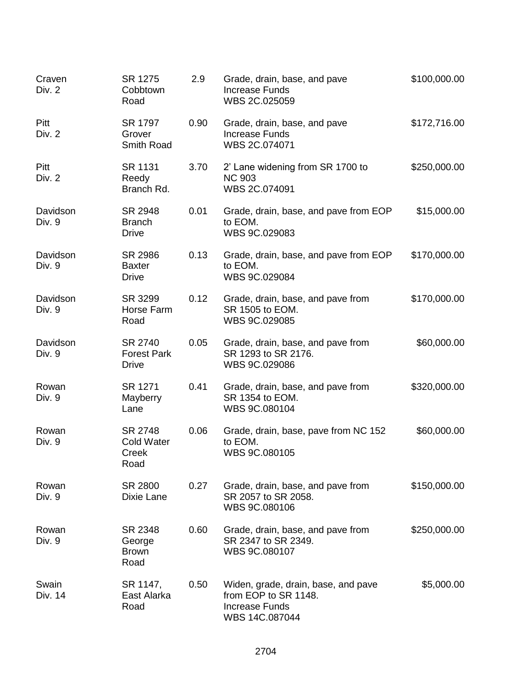| Craven<br>Div. 2   | SR 1275<br>Cobbtown<br>Road                   | 2.9  | Grade, drain, base, and pave<br><b>Increase Funds</b><br>WBS 2C.025059                                 | \$100,000.00 |
|--------------------|-----------------------------------------------|------|--------------------------------------------------------------------------------------------------------|--------------|
| Pitt<br>Div. 2     | SR 1797<br>Grover<br>Smith Road               | 0.90 | Grade, drain, base, and pave<br><b>Increase Funds</b><br>WBS 2C.074071                                 | \$172,716.00 |
| Pitt<br>Div. 2     | SR 1131<br>Reedy<br>Branch Rd.                | 3.70 | 2' Lane widening from SR 1700 to<br><b>NC 903</b><br>WBS 2C.074091                                     | \$250,000.00 |
| Davidson<br>Div. 9 | SR 2948<br><b>Branch</b><br><b>Drive</b>      | 0.01 | Grade, drain, base, and pave from EOP<br>to EOM.<br>WBS 9C.029083                                      | \$15,000.00  |
| Davidson<br>Div. 9 | SR 2986<br><b>Baxter</b><br><b>Drive</b>      | 0.13 | Grade, drain, base, and pave from EOP<br>to EOM.<br>WBS 9C.029084                                      | \$170,000.00 |
| Davidson<br>Div. 9 | SR 3299<br>Horse Farm<br>Road                 | 0.12 | Grade, drain, base, and pave from<br>SR 1505 to EOM.<br>WBS 9C.029085                                  | \$170,000.00 |
| Davidson<br>Div. 9 | SR 2740<br><b>Forest Park</b><br><b>Drive</b> | 0.05 | Grade, drain, base, and pave from<br>SR 1293 to SR 2176.<br>WBS 9C.029086                              | \$60,000.00  |
| Rowan<br>Div. 9    | SR 1271<br>Mayberry<br>Lane                   | 0.41 | Grade, drain, base, and pave from<br>SR 1354 to EOM.<br>WBS 9C.080104                                  | \$320,000.00 |
| Rowan<br>Div. 9    | SR 2748<br><b>Cold Water</b><br>Creek<br>Road | 0.06 | Grade, drain, base, pave from NC 152<br>to EOM.<br>WBS 9C.080105                                       | \$60,000.00  |
| Rowan<br>Div. 9    | SR 2800<br>Dixie Lane                         | 0.27 | Grade, drain, base, and pave from<br>SR 2057 to SR 2058.<br>WBS 9C.080106                              | \$150,000.00 |
| Rowan<br>Div. 9    | SR 2348<br>George<br><b>Brown</b><br>Road     | 0.60 | Grade, drain, base, and pave from<br>SR 2347 to SR 2349.<br>WBS 9C.080107                              | \$250,000.00 |
| Swain<br>Div. 14   | SR 1147,<br>East Alarka<br>Road               | 0.50 | Widen, grade, drain, base, and pave<br>from EOP to SR 1148.<br><b>Increase Funds</b><br>WBS 14C.087044 | \$5,000.00   |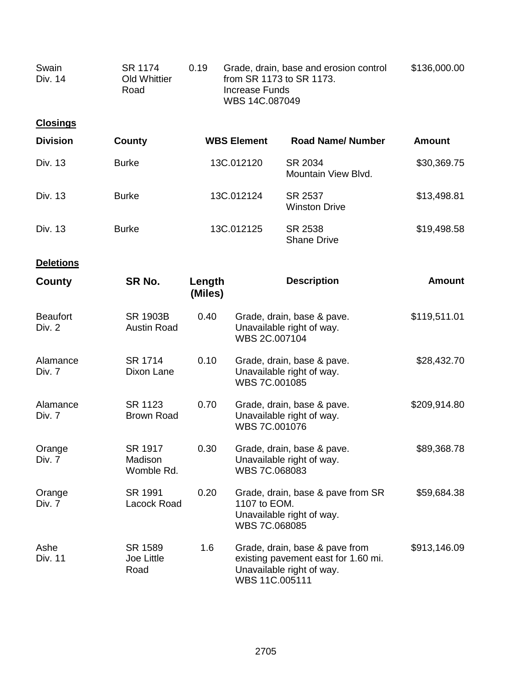| Swain<br>Div. 14          | SR 1174<br><b>Old Whittier</b><br>Road | 0.19              |                               | Grade, drain, base and erosion control<br>from SR 1173 to SR 1173.<br><b>Increase Funds</b><br>WBS 14C.087049 |               |
|---------------------------|----------------------------------------|-------------------|-------------------------------|---------------------------------------------------------------------------------------------------------------|---------------|
| <b>Closings</b>           |                                        |                   |                               |                                                                                                               |               |
| <b>Division</b>           | <b>County</b>                          |                   | <b>WBS Element</b>            | <b>Road Name/Number</b>                                                                                       | <b>Amount</b> |
| Div. 13                   | <b>Burke</b>                           |                   | 13C.012120                    | SR 2034<br>Mountain View Blvd.                                                                                | \$30,369.75   |
| Div. 13                   | <b>Burke</b>                           |                   | 13C.012124                    | SR 2537<br><b>Winston Drive</b>                                                                               | \$13,498.81   |
| Div. 13                   | <b>Burke</b>                           |                   | 13C.012125                    | SR 2538<br><b>Shane Drive</b>                                                                                 | \$19,498.58   |
| <b>Deletions</b>          |                                        |                   |                               |                                                                                                               |               |
| County                    | SR No.                                 | Length<br>(Miles) |                               | <b>Description</b>                                                                                            | <b>Amount</b> |
| <b>Beaufort</b><br>Div. 2 | <b>SR 1903B</b><br><b>Austin Road</b>  | 0.40              | WBS 2C.007104                 | Grade, drain, base & pave.<br>Unavailable right of way.                                                       | \$119,511.01  |
| Alamance<br>Div. 7        | SR 1714<br>Dixon Lane                  | 0.10              | WBS 7C.001085                 | Grade, drain, base & pave.<br>Unavailable right of way.                                                       | \$28,432.70   |
| Alamance<br>Div. 7        | SR 1123<br><b>Brown Road</b>           | 0.70              | WBS 7C.001076                 | Grade, drain, base & pave.<br>Unavailable right of way.                                                       | \$209,914.80  |
| Orange<br>Div. 7          | SR 1917<br>Madison<br>Womble Rd.       | 0.30              | WBS 7C.068083                 | Grade, drain, base & pave.<br>Unavailable right of way.                                                       | \$89,368.78   |
| Orange<br>Div. 7          | SR 1991<br>Lacock Road                 | 0.20              | 1107 to EOM.<br>WBS 7C.068085 | Grade, drain, base & pave from SR<br>Unavailable right of way.                                                | \$59,684.38   |
| Ashe<br>Div. 11           | SR 1589<br>Joe Little<br>Road          | 1.6               | WBS 11C.005111                | Grade, drain, base & pave from<br>existing pavement east for 1.60 mi.<br>Unavailable right of way.            | \$913,146.09  |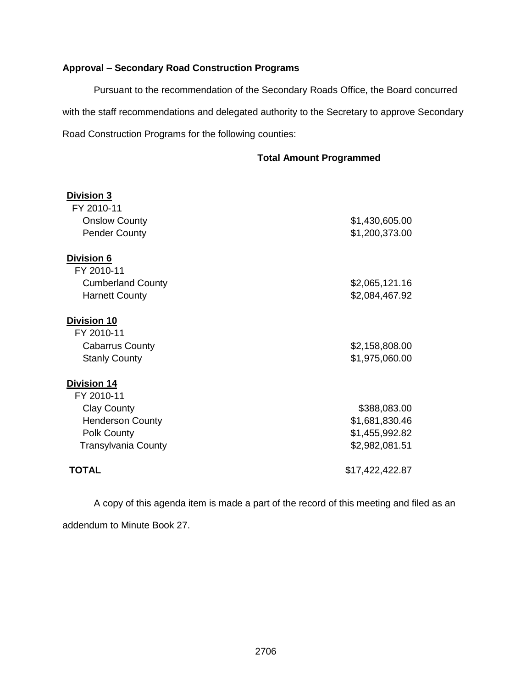# **Approval – Secondary Road Construction Programs**

Pursuant to the recommendation of the Secondary Roads Office, the Board concurred with the staff recommendations and delegated authority to the Secretary to approve Secondary Road Construction Programs for the following counties:

## **Total Amount Programmed**

| <u>Division 3</u>          |                 |
|----------------------------|-----------------|
| FY 2010-11                 |                 |
| <b>Onslow County</b>       | \$1,430,605.00  |
| <b>Pender County</b>       | \$1,200,373.00  |
| <b>Division 6</b>          |                 |
| FY 2010-11                 |                 |
| <b>Cumberland County</b>   | \$2,065,121.16  |
| <b>Harnett County</b>      | \$2,084,467.92  |
| <b>Division 10</b>         |                 |
| FY 2010-11                 |                 |
| <b>Cabarrus County</b>     | \$2,158,808.00  |
| <b>Stanly County</b>       | \$1,975,060.00  |
| <b>Division 14</b>         |                 |
| FY 2010-11                 |                 |
| <b>Clay County</b>         | \$388,083.00    |
| <b>Henderson County</b>    | \$1,681,830.46  |
| Polk County                | \$1,455,992.82  |
| <b>Transylvania County</b> | \$2,982,081.51  |
| <b>TOTAL</b>               | \$17,422,422.87 |
|                            |                 |

A copy of this agenda item is made a part of the record of this meeting and filed as an addendum to Minute Book 27.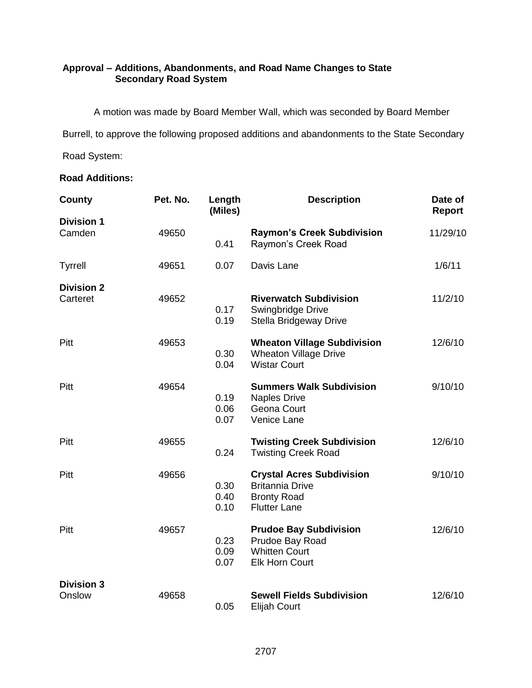# **Approval – Additions, Abandonments, and Road Name Changes to State Secondary Road System**

A motion was made by Board Member Wall, which was seconded by Board Member

Burrell, to approve the following proposed additions and abandonments to the State Secondary

Road System:

## **Road Additions:**

| County                        | Pet. No. | Length<br>(Miles)    | <b>Description</b>                                                                                      | Date of<br>Report |
|-------------------------------|----------|----------------------|---------------------------------------------------------------------------------------------------------|-------------------|
| <b>Division 1</b><br>Camden   | 49650    | 0.41                 | <b>Raymon's Creek Subdivision</b><br>Raymon's Creek Road                                                | 11/29/10          |
| <b>Tyrrell</b>                | 49651    | 0.07                 | Davis Lane                                                                                              | 1/6/11            |
| <b>Division 2</b><br>Carteret | 49652    | 0.17<br>0.19         | <b>Riverwatch Subdivision</b><br>Swingbridge Drive<br>Stella Bridgeway Drive                            | 11/2/10           |
| Pitt                          | 49653    | 0.30<br>0.04         | <b>Wheaton Village Subdivision</b><br><b>Wheaton Village Drive</b><br><b>Wistar Court</b>               | 12/6/10           |
| Pitt                          | 49654    | 0.19<br>0.06<br>0.07 | <b>Summers Walk Subdivision</b><br><b>Naples Drive</b><br>Geona Court<br>Venice Lane                    | 9/10/10           |
| Pitt                          | 49655    | 0.24                 | <b>Twisting Creek Subdivision</b><br><b>Twisting Creek Road</b>                                         | 12/6/10           |
| Pitt                          | 49656    | 0.30<br>0.40<br>0.10 | <b>Crystal Acres Subdivision</b><br><b>Britannia Drive</b><br><b>Bronty Road</b><br><b>Flutter Lane</b> | 9/10/10           |
| Pitt                          | 49657    | 0.23<br>0.09<br>0.07 | <b>Prudoe Bay Subdivision</b><br>Prudoe Bay Road<br><b>Whitten Court</b><br><b>Elk Horn Court</b>       | 12/6/10           |
| <b>Division 3</b><br>Onslow   | 49658    | 0.05                 | <b>Sewell Fields Subdivision</b><br><b>Elijah Court</b>                                                 | 12/6/10           |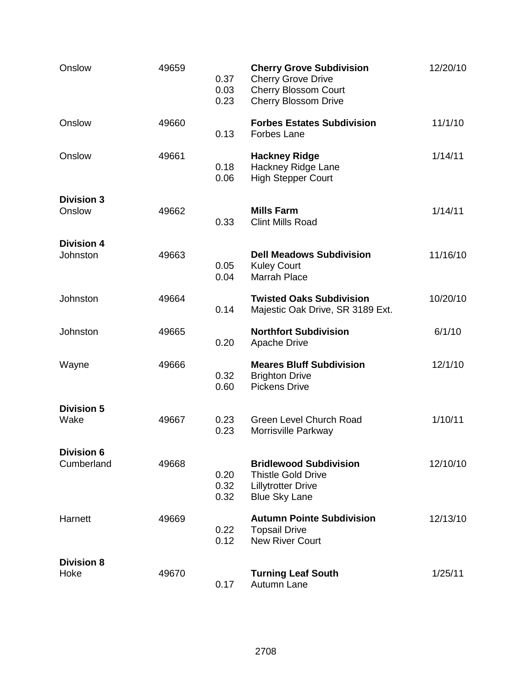| Onslow                          | 49659 | 0.37<br>0.03<br>0.23 | <b>Cherry Grove Subdivision</b><br><b>Cherry Grove Drive</b><br><b>Cherry Blossom Court</b><br><b>Cherry Blossom Drive</b> | 12/20/10 |
|---------------------------------|-------|----------------------|----------------------------------------------------------------------------------------------------------------------------|----------|
| Onslow                          | 49660 | 0.13                 | <b>Forbes Estates Subdivision</b><br><b>Forbes Lane</b>                                                                    | 11/1/10  |
| Onslow                          | 49661 | 0.18<br>0.06         | <b>Hackney Ridge</b><br>Hackney Ridge Lane<br><b>High Stepper Court</b>                                                    | 1/14/11  |
| <b>Division 3</b><br>Onslow     | 49662 | 0.33                 | <b>Mills Farm</b><br><b>Clint Mills Road</b>                                                                               | 1/14/11  |
| <b>Division 4</b><br>Johnston   | 49663 | 0.05<br>0.04         | <b>Dell Meadows Subdivision</b><br><b>Kuley Court</b><br>Marrah Place                                                      | 11/16/10 |
| Johnston                        | 49664 | 0.14                 | <b>Twisted Oaks Subdivision</b><br>Majestic Oak Drive, SR 3189 Ext.                                                        | 10/20/10 |
| Johnston                        | 49665 | 0.20                 | <b>Northfort Subdivision</b><br><b>Apache Drive</b>                                                                        | 6/1/10   |
| Wayne                           | 49666 | 0.32<br>0.60         | <b>Meares Bluff Subdivision</b><br><b>Brighton Drive</b><br><b>Pickens Drive</b>                                           | 12/1/10  |
| <b>Division 5</b><br>Wake       | 49667 | 0.23<br>0.23         | <b>Green Level Church Road</b><br>Morrisville Parkway                                                                      | 1/10/11  |
| <b>Division 6</b><br>Cumberland | 49668 | 0.20<br>0.32<br>0.32 | <b>Bridlewood Subdivision</b><br><b>Thistle Gold Drive</b><br><b>Lillytrotter Drive</b><br><b>Blue Sky Lane</b>            | 12/10/10 |
| Harnett                         | 49669 | 0.22<br>0.12         | <b>Autumn Pointe Subdivision</b><br><b>Topsail Drive</b><br><b>New River Court</b>                                         | 12/13/10 |
| <b>Division 8</b><br>Hoke       | 49670 | 0.17                 | <b>Turning Leaf South</b><br>Autumn Lane                                                                                   | 1/25/11  |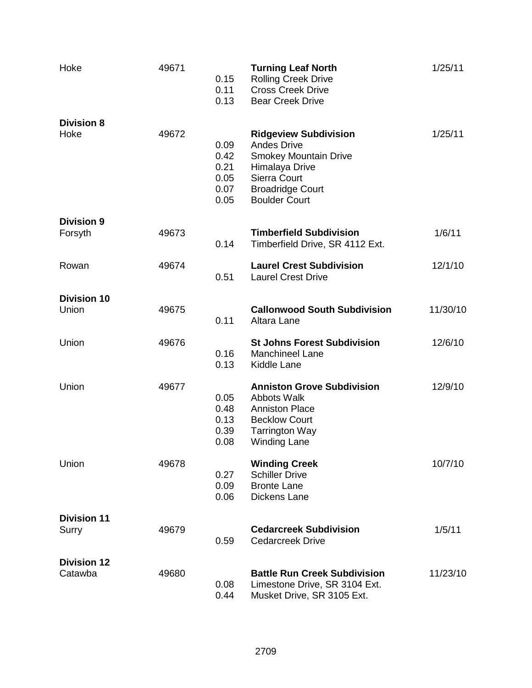| Hoke                          | 49671 | 0.15<br>0.11<br>0.13                         | <b>Turning Leaf North</b><br><b>Rolling Creek Drive</b><br><b>Cross Creek Drive</b><br><b>Bear Creek Drive</b>                                                          | 1/25/11  |
|-------------------------------|-------|----------------------------------------------|-------------------------------------------------------------------------------------------------------------------------------------------------------------------------|----------|
| <b>Division 8</b><br>Hoke     | 49672 | 0.09<br>0.42<br>0.21<br>0.05<br>0.07<br>0.05 | <b>Ridgeview Subdivision</b><br><b>Andes Drive</b><br><b>Smokey Mountain Drive</b><br>Himalaya Drive<br>Sierra Court<br><b>Broadridge Court</b><br><b>Boulder Court</b> | 1/25/11  |
| <b>Division 9</b><br>Forsyth  | 49673 | 0.14                                         | <b>Timberfield Subdivision</b><br>Timberfield Drive, SR 4112 Ext.                                                                                                       | 1/6/11   |
| Rowan                         | 49674 | 0.51                                         | <b>Laurel Crest Subdivision</b><br><b>Laurel Crest Drive</b>                                                                                                            | 12/1/10  |
| <b>Division 10</b><br>Union   | 49675 | 0.11                                         | <b>Callonwood South Subdivision</b><br>Altara Lane                                                                                                                      | 11/30/10 |
| Union                         | 49676 | 0.16<br>0.13                                 | <b>St Johns Forest Subdivision</b><br><b>Manchineel Lane</b><br>Kiddle Lane                                                                                             | 12/6/10  |
| Union                         | 49677 | 0.05<br>0.48<br>0.13<br>0.39<br>0.08         | <b>Anniston Grove Subdivision</b><br><b>Abbots Walk</b><br><b>Anniston Place</b><br><b>Becklow Court</b><br><b>Tarrington Way</b><br><b>Winding Lane</b>                | 12/9/10  |
| Union                         | 49678 | 0.27<br>0.09<br>0.06                         | <b>Winding Creek</b><br><b>Schiller Drive</b><br><b>Bronte Lane</b><br>Dickens Lane                                                                                     | 10/7/10  |
| <b>Division 11</b><br>Surry   | 49679 | 0.59                                         | <b>Cedarcreek Subdivision</b><br><b>Cedarcreek Drive</b>                                                                                                                | 1/5/11   |
| <b>Division 12</b><br>Catawba | 49680 | 0.08<br>0.44                                 | <b>Battle Run Creek Subdivision</b><br>Limestone Drive, SR 3104 Ext.<br>Musket Drive, SR 3105 Ext.                                                                      | 11/23/10 |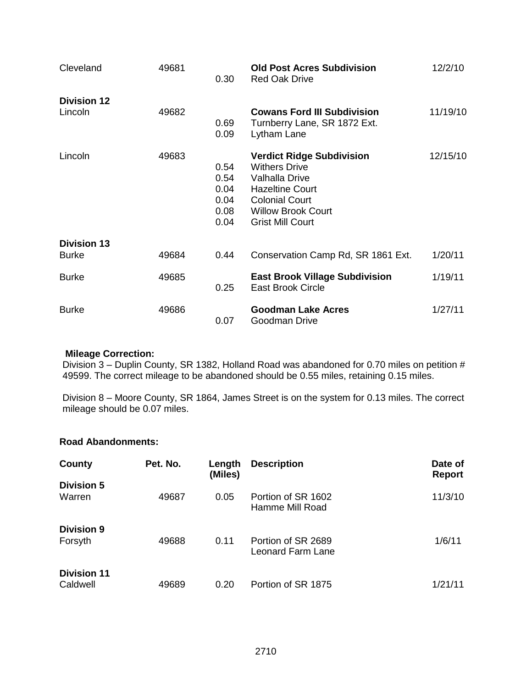| Cleveland                          | 49681 | 0.30                                         | <b>Old Post Acres Subdivision</b><br><b>Red Oak Drive</b>                                                                                                                             | 12/2/10  |
|------------------------------------|-------|----------------------------------------------|---------------------------------------------------------------------------------------------------------------------------------------------------------------------------------------|----------|
| <b>Division 12</b><br>Lincoln      | 49682 | 0.69                                         | <b>Cowans Ford III Subdivision</b><br>Turnberry Lane, SR 1872 Ext.                                                                                                                    | 11/19/10 |
|                                    |       | 0.09                                         | Lytham Lane                                                                                                                                                                           |          |
| Lincoln                            | 49683 | 0.54<br>0.54<br>0.04<br>0.04<br>0.08<br>0.04 | <b>Verdict Ridge Subdivision</b><br><b>Withers Drive</b><br>Valhalla Drive<br><b>Hazeltine Court</b><br><b>Colonial Court</b><br><b>Willow Brook Court</b><br><b>Grist Mill Court</b> | 12/15/10 |
| <b>Division 13</b><br><b>Burke</b> | 49684 | 0.44                                         | Conservation Camp Rd, SR 1861 Ext.                                                                                                                                                    | 1/20/11  |
| <b>Burke</b>                       | 49685 | 0.25                                         | <b>East Brook Village Subdivision</b><br><b>East Brook Circle</b>                                                                                                                     | 1/19/11  |
| <b>Burke</b>                       | 49686 | 0.07                                         | <b>Goodman Lake Acres</b><br>Goodman Drive                                                                                                                                            | 1/27/11  |

### **Mileage Correction:**

Division 3 – Duplin County, SR 1382, Holland Road was abandoned for 0.70 miles on petition # 49599. The correct mileage to be abandoned should be 0.55 miles, retaining 0.15 miles.

Division 8 – Moore County, SR 1864, James Street is on the system for 0.13 miles. The correct mileage should be 0.07 miles.

## **Road Abandonments:**

| County                         | Pet. No. | Length<br>(Miles) | <b>Description</b>                      | Date of<br><b>Report</b> |
|--------------------------------|----------|-------------------|-----------------------------------------|--------------------------|
| <b>Division 5</b><br>Warren    | 49687    | 0.05              | Portion of SR 1602<br>Hamme Mill Road   | 11/3/10                  |
| <b>Division 9</b><br>Forsyth   | 49688    | 0.11              | Portion of SR 2689<br>Leonard Farm Lane | 1/6/11                   |
| <b>Division 11</b><br>Caldwell | 49689    | 0.20              | Portion of SR 1875                      | 1/21/11                  |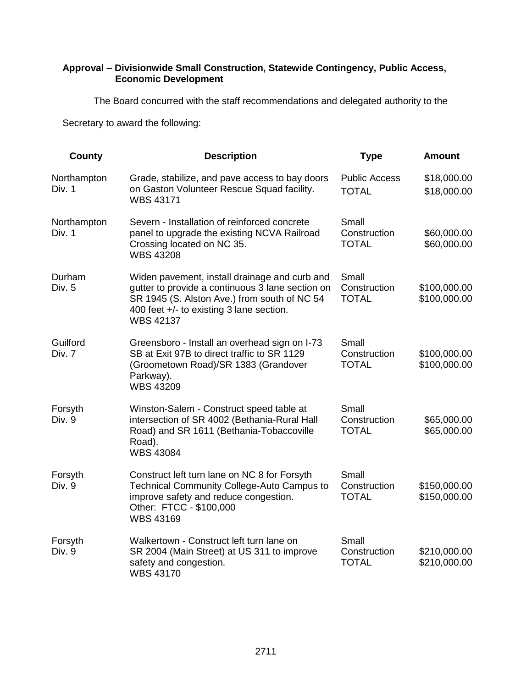## **Approval – Divisionwide Small Construction, Statewide Contingency, Public Access, Economic Development**

The Board concurred with the staff recommendations and delegated authority to the

Secretary to award the following:

| <b>County</b>         | <b>Description</b>                                                                                                                                                                                                | <b>Type</b>                           | <b>Amount</b>                |
|-----------------------|-------------------------------------------------------------------------------------------------------------------------------------------------------------------------------------------------------------------|---------------------------------------|------------------------------|
| Northampton<br>Div. 1 | Grade, stabilize, and pave access to bay doors<br>on Gaston Volunteer Rescue Squad facility.<br><b>WBS 43171</b>                                                                                                  | <b>Public Access</b><br><b>TOTAL</b>  | \$18,000.00<br>\$18,000.00   |
| Northampton<br>Div. 1 | Severn - Installation of reinforced concrete<br>panel to upgrade the existing NCVA Railroad<br>Crossing located on NC 35.<br><b>WBS 43208</b>                                                                     | Small<br>Construction<br><b>TOTAL</b> | \$60,000.00<br>\$60,000.00   |
| Durham<br>Div. 5      | Widen pavement, install drainage and curb and<br>gutter to provide a continuous 3 lane section on<br>SR 1945 (S. Alston Ave.) from south of NC 54<br>400 feet +/- to existing 3 lane section.<br><b>WBS 42137</b> | Small<br>Construction<br><b>TOTAL</b> | \$100,000.00<br>\$100,000.00 |
| Guilford<br>Div. 7    | Greensboro - Install an overhead sign on I-73<br>SB at Exit 97B to direct traffic to SR 1129<br>(Groometown Road)/SR 1383 (Grandover<br>Parkway).<br><b>WBS 43209</b>                                             | Small<br>Construction<br><b>TOTAL</b> | \$100,000.00<br>\$100,000.00 |
| Forsyth<br>Div. 9     | Winston-Salem - Construct speed table at<br>intersection of SR 4002 (Bethania-Rural Hall<br>Road) and SR 1611 (Bethania-Tobaccoville<br>Road).<br><b>WBS 43084</b>                                                | Small<br>Construction<br><b>TOTAL</b> | \$65,000.00<br>\$65,000.00   |
| Forsyth<br>Div. 9     | Construct left turn lane on NC 8 for Forsyth<br>Technical Community College-Auto Campus to<br>improve safety and reduce congestion.<br>Other: FTCC - \$100,000<br><b>WBS 43169</b>                                | Small<br>Construction<br><b>TOTAL</b> | \$150,000.00<br>\$150,000.00 |
| Forsyth<br>Div. 9     | Walkertown - Construct left turn lane on<br>SR 2004 (Main Street) at US 311 to improve<br>safety and congestion.<br><b>WBS 43170</b>                                                                              | Small<br>Construction<br><b>TOTAL</b> | \$210,000.00<br>\$210,000.00 |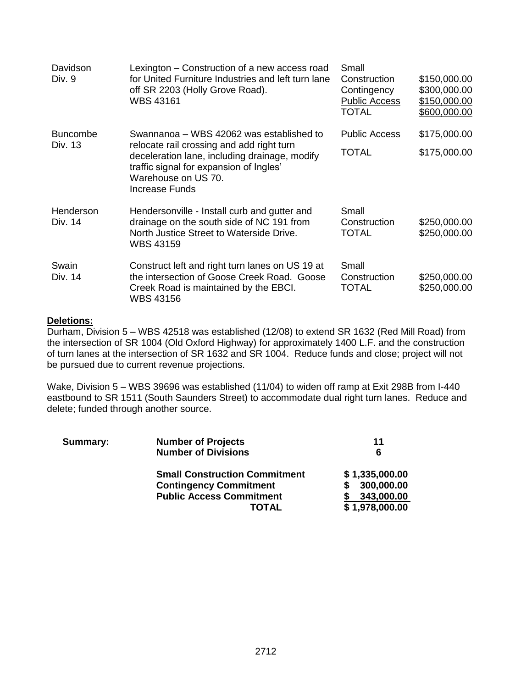| Davidson<br>Div. 9         | Lexington – Construction of a new access road<br>for United Furniture Industries and left turn lane<br>off SR 2203 (Holly Grove Road).<br><b>WBS 43161</b>                                                                        | Small<br>Construction<br>Contingency<br><b>Public Access</b><br>TOTAL | \$150,000.00<br>\$300,000.00<br>\$150,000.00<br>\$600,000.00 |
|----------------------------|-----------------------------------------------------------------------------------------------------------------------------------------------------------------------------------------------------------------------------------|-----------------------------------------------------------------------|--------------------------------------------------------------|
| <b>Buncombe</b><br>Div. 13 | Swannanoa – WBS 42062 was established to<br>relocate rail crossing and add right turn<br>deceleration lane, including drainage, modify<br>traffic signal for expansion of Ingles'<br>Warehouse on US 70.<br><b>Increase Funds</b> | <b>Public Access</b><br>TOTAL                                         | \$175,000.00<br>\$175,000.00                                 |
| Henderson<br>Div. 14       | Hendersonville - Install curb and gutter and<br>drainage on the south side of NC 191 from<br>North Justice Street to Waterside Drive.<br><b>WBS 43159</b>                                                                         | Small<br>Construction<br><b>TOTAL</b>                                 | \$250,000.00<br>\$250,000.00                                 |
| Swain<br>Div. 14           | Construct left and right turn lanes on US 19 at<br>the intersection of Goose Creek Road. Goose<br>Creek Road is maintained by the EBCI.<br><b>WBS 43156</b>                                                                       | Small<br>Construction<br>TOTAL                                        | \$250,000.00<br>\$250,000.00                                 |

## **Deletions:**

Durham, Division 5 – WBS 42518 was established (12/08) to extend SR 1632 (Red Mill Road) from the intersection of SR 1004 (Old Oxford Highway) for approximately 1400 L.F. and the construction of turn lanes at the intersection of SR 1632 and SR 1004. Reduce funds and close; project will not be pursued due to current revenue projections.

Wake, Division 5 – WBS 39696 was established (11/04) to widen off ramp at Exit 298B from I-440 eastbound to SR 1511 (South Saunders Street) to accommodate dual right turn lanes. Reduce and delete; funded through another source.

| Summary: | <b>Number of Projects</b>            | 11             |
|----------|--------------------------------------|----------------|
|          | <b>Number of Divisions</b>           | 6              |
|          | <b>Small Construction Commitment</b> | \$1,335,000.00 |
|          | <b>Contingency Commitment</b>        | 300,000.00     |
|          | <b>Public Access Commitment</b>      | 343,000.00     |
|          | TOTAL                                | \$1,978,000.00 |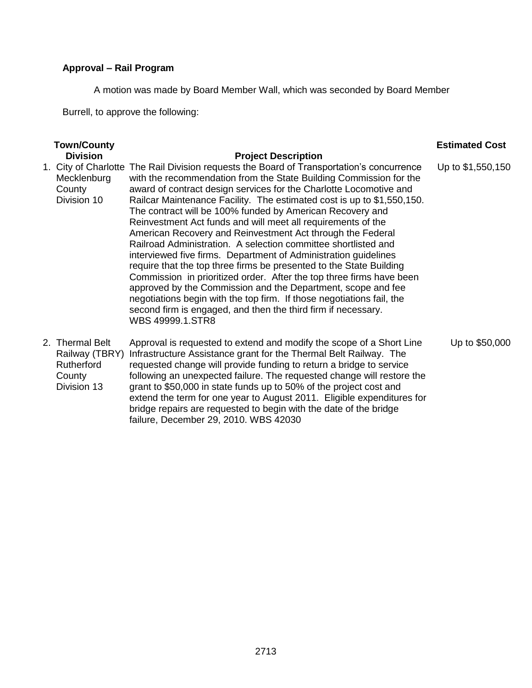# **Approval – Rail Program**

A motion was made by Board Member Wall, which was seconded by Board Member

Burrell, to approve the following:

| <b>Town/County</b>                                                       |                                                                                                                                                                                                                                                                                                                                                                                                                                                                                                                                                                                                                                                                                                                                                                                                                                                                                                                                                                                                                              | <b>Estimated Cost</b> |
|--------------------------------------------------------------------------|------------------------------------------------------------------------------------------------------------------------------------------------------------------------------------------------------------------------------------------------------------------------------------------------------------------------------------------------------------------------------------------------------------------------------------------------------------------------------------------------------------------------------------------------------------------------------------------------------------------------------------------------------------------------------------------------------------------------------------------------------------------------------------------------------------------------------------------------------------------------------------------------------------------------------------------------------------------------------------------------------------------------------|-----------------------|
| <b>Division</b>                                                          | <b>Project Description</b>                                                                                                                                                                                                                                                                                                                                                                                                                                                                                                                                                                                                                                                                                                                                                                                                                                                                                                                                                                                                   |                       |
| Mecklenburg<br>County<br>Division 10                                     | 1. City of Charlotte The Rail Division requests the Board of Transportation's concurrence<br>with the recommendation from the State Building Commission for the<br>award of contract design services for the Charlotte Locomotive and<br>Railcar Maintenance Facility. The estimated cost is up to \$1,550,150.<br>The contract will be 100% funded by American Recovery and<br>Reinvestment Act funds and will meet all requirements of the<br>American Recovery and Reinvestment Act through the Federal<br>Railroad Administration. A selection committee shortlisted and<br>interviewed five firms. Department of Administration guidelines<br>require that the top three firms be presented to the State Building<br>Commission in prioritized order. After the top three firms have been<br>approved by the Commission and the Department, scope and fee<br>negotiations begin with the top firm. If those negotiations fail, the<br>second firm is engaged, and then the third firm if necessary.<br>WBS 49999.1.STR8 | Up to \$1,550,150     |
| 2. Thermal Belt<br>Railway (TBRY)<br>Rutherford<br>County<br>Division 13 | Approval is requested to extend and modify the scope of a Short Line<br>Infrastructure Assistance grant for the Thermal Belt Railway. The<br>requested change will provide funding to return a bridge to service<br>following an unexpected failure. The requested change will restore the<br>grant to \$50,000 in state funds up to 50% of the project cost and<br>extend the term for one year to August 2011. Eligible expenditures for<br>bridge repairs are requested to begin with the date of the bridge<br>failure, December 29, 2010. WBS 42030                                                                                                                                                                                                                                                                                                                                                                                                                                                                     | Up to \$50,000        |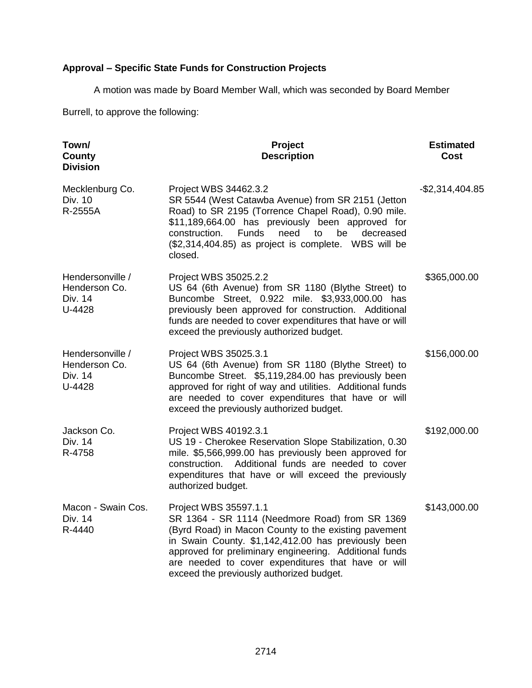# **Approval – Specific State Funds for Construction Projects**

A motion was made by Board Member Wall, which was seconded by Board Member

Burrell, to approve the following:

| Town/<br>County<br><b>Division</b>                     | Project<br><b>Description</b>                                                                                                                                                                                                                                                                                                                      | <b>Estimated</b><br>Cost |
|--------------------------------------------------------|----------------------------------------------------------------------------------------------------------------------------------------------------------------------------------------------------------------------------------------------------------------------------------------------------------------------------------------------------|--------------------------|
| Mecklenburg Co.<br>Div. 10<br>R-2555A                  | Project WBS 34462.3.2<br>SR 5544 (West Catawba Avenue) from SR 2151 (Jetton<br>Road) to SR 2195 (Torrence Chapel Road), 0.90 mile.<br>\$11,189,664.00 has previously been approved for<br>construction.<br><b>Funds</b><br>need<br>be<br>to<br>decreased<br>(\$2,314,404.85) as project is complete. WBS will be<br>closed.                        | $-$2,314,404.85$         |
| Hendersonville /<br>Henderson Co.<br>Div. 14<br>U-4428 | Project WBS 35025.2.2<br>US 64 (6th Avenue) from SR 1180 (Blythe Street) to<br>Buncombe Street, 0.922 mile. \$3,933,000.00 has<br>previously been approved for construction. Additional<br>funds are needed to cover expenditures that have or will<br>exceed the previously authorized budget.                                                    | \$365,000.00             |
| Hendersonville /<br>Henderson Co.<br>Div. 14<br>U-4428 | Project WBS 35025.3.1<br>US 64 (6th Avenue) from SR 1180 (Blythe Street) to<br>Buncombe Street. \$5,119,284.00 has previously been<br>approved for right of way and utilities. Additional funds<br>are needed to cover expenditures that have or will<br>exceed the previously authorized budget.                                                  | \$156,000.00             |
| Jackson Co.<br>Div. 14<br>R-4758                       | Project WBS 40192.3.1<br>US 19 - Cherokee Reservation Slope Stabilization, 0.30<br>mile. \$5,566,999.00 has previously been approved for<br>construction. Additional funds are needed to cover<br>expenditures that have or will exceed the previously<br>authorized budget.                                                                       | \$192,000.00             |
| Macon - Swain Cos.<br>Div. 14<br>R-4440                | Project WBS 35597.1.1<br>SR 1364 - SR 1114 (Needmore Road) from SR 1369<br>(Byrd Road) in Macon County to the existing pavement<br>in Swain County. \$1,142,412.00 has previously been<br>approved for preliminary engineering. Additional funds<br>are needed to cover expenditures that have or will<br>exceed the previously authorized budget. | \$143,000.00             |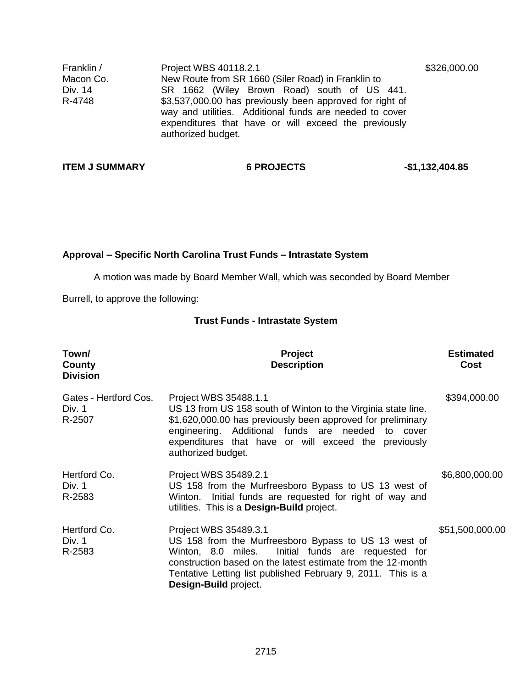| Franklin / | Project WBS 40118.2.1                                                                                                                                                                             | \$326,000.00 |
|------------|---------------------------------------------------------------------------------------------------------------------------------------------------------------------------------------------------|--------------|
| Macon Co.  | New Route from SR 1660 (Siler Road) in Franklin to                                                                                                                                                |              |
| Div. 14    | SR 1662 (Wiley Brown Road) south of US 441.                                                                                                                                                       |              |
| R-4748     | \$3,537,000.00 has previously been approved for right of<br>way and utilities. Additional funds are needed to cover<br>expenditures that have or will exceed the previously<br>authorized budget. |              |

**ITEM J SUMMARY 6 PROJECTS** 451,132,404.85

# **Approval – Specific North Carolina Trust Funds – Intrastate System**

A motion was made by Board Member Wall, which was seconded by Board Member

Burrell, to approve the following:

# **Trust Funds - Intrastate System**

| Town/<br>County<br><b>Division</b>        | <b>Project</b><br><b>Description</b>                                                                                                                                                                                                                                                           | <b>Estimated</b><br>Cost |
|-------------------------------------------|------------------------------------------------------------------------------------------------------------------------------------------------------------------------------------------------------------------------------------------------------------------------------------------------|--------------------------|
| Gates - Hertford Cos.<br>Div. 1<br>R-2507 | Project WBS 35488.1.1<br>US 13 from US 158 south of Winton to the Virginia state line.<br>\$1,620,000.00 has previously been approved for preliminary<br>engineering. Additional funds are needed to cover<br>expenditures that have or will exceed the previously<br>authorized budget.       | \$394,000.00             |
| Hertford Co.<br>Div. 1<br>R-2583          | Project WBS 35489.2.1<br>US 158 from the Murfreesboro Bypass to US 13 west of<br>Winton. Initial funds are requested for right of way and<br>utilities. This is a <b>Design-Build</b> project.                                                                                                 | \$6,800,000.00           |
| Hertford Co.<br>Div. 1<br>R-2583          | Project WBS 35489.3.1<br>US 158 from the Murfreesboro Bypass to US 13 west of<br>Initial funds are requested for<br>Winton, 8.0 miles.<br>construction based on the latest estimate from the 12-month<br>Tentative Letting list published February 9, 2011. This is a<br>Design-Build project. | \$51,500,000.00          |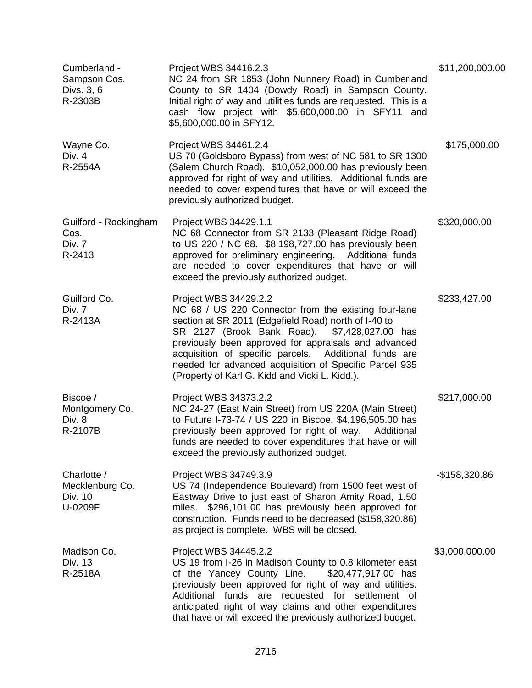| Cumberland -<br>Sampson Cos.<br>Divs. 3, 6<br>R-2303B | Project WBS 34416.2.3<br>NC 24 from SR 1853 (John Nunnery Road) in Cumberland<br>County to SR 1404 (Dowdy Road) in Sampson County.<br>Initial right of way and utilities funds are requested. This is a<br>cash flow project with \$5,600,000.00 in SFY11 and<br>\$5,600,000.00 in SFY12.                                                                                                                              | \$11,200,000.00 |
|-------------------------------------------------------|------------------------------------------------------------------------------------------------------------------------------------------------------------------------------------------------------------------------------------------------------------------------------------------------------------------------------------------------------------------------------------------------------------------------|-----------------|
| Wayne Co.<br>Div. 4<br>R-2554A                        | Project WBS 34461.2.4<br>US 70 (Goldsboro Bypass) from west of NC 581 to SR 1300<br>(Salem Church Road). \$10,052,000.00 has previously been<br>approved for right of way and utilities. Additional funds are<br>needed to cover expenditures that have or will exceed the<br>previously authorized budget.                                                                                                            | \$175,000.00    |
| Guilford - Rockingham<br>Cos.<br>Div. 7<br>R-2413     | Project WBS 34429.1.1<br>NC 68 Connector from SR 2133 (Pleasant Ridge Road)<br>to US 220 / NC 68. \$8,198,727.00 has previously been<br>approved for preliminary engineering. Additional funds<br>are needed to cover expenditures that have or will<br>exceed the previously authorized budget.                                                                                                                       | \$320,000.00    |
| Guilford Co.<br>Div. 7<br>R-2413A                     | Project WBS 34429.2.2<br>NC 68 / US 220 Connector from the existing four-lane<br>section at SR 2011 (Edgefield Road) north of I-40 to<br>SR 2127 (Brook Bank Road).<br>\$7,428,027.00 has<br>previously been approved for appraisals and advanced<br>acquisition of specific parcels. Additional funds are<br>needed for advanced acquisition of Specific Parcel 935<br>(Property of Karl G. Kidd and Vicki L. Kidd.). | \$233,427.00    |
| Biscoe /<br>Montgomery Co.<br>Div. 8<br>R-2107B       | Project WBS 34373.2.2<br>NC 24-27 (East Main Street) from US 220A (Main Street)<br>to Future I-73-74 / US 220 in Biscoe. \$4,196,505.00 has<br>previously been approved for right of way. Additional<br>funds are needed to cover expenditures that have or will<br>exceed the previously authorized budget.                                                                                                           | \$217,000.00    |
| Charlotte /<br>Mecklenburg Co.<br>Div. 10<br>U-0209F  | Project WBS 34749.3.9<br>US 74 (Independence Boulevard) from 1500 feet west of<br>Eastway Drive to just east of Sharon Amity Road, 1.50<br>miles. \$296,101.00 has previously been approved for<br>construction. Funds need to be decreased (\$158,320.86)<br>as project is complete. WBS will be closed.                                                                                                              | $-$158,320.86$  |
| Madison Co.<br>Div. 13<br>R-2518A                     | Project WBS 34445.2.2<br>US 19 from I-26 in Madison County to 0.8 kilometer east<br>of the Yancey County Line.<br>\$20,477,917.00 has<br>previously been approved for right of way and utilities.<br>Additional funds are requested for settlement of<br>anticipated right of way claims and other expenditures<br>that have or will exceed the previously authorized budget.                                          | \$3,000,000.00  |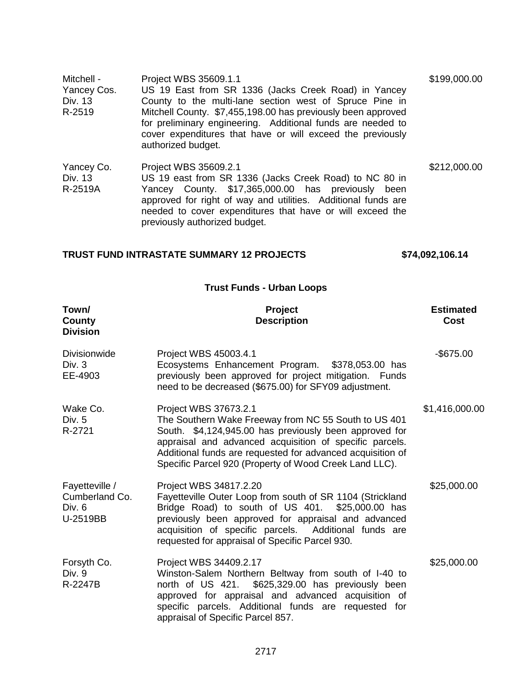| Mitchell -<br>Yancey Cos.<br>Div. 13<br>R-2519 | Project WBS 35609.1.1<br>US 19 East from SR 1336 (Jacks Creek Road) in Yancey<br>County to the multi-lane section west of Spruce Pine in<br>Mitchell County. \$7,455,198.00 has previously been approved<br>for preliminary engineering. Additional funds are needed to<br>cover expenditures that have or will exceed the previously<br>authorized budget. | \$199,000.00 |
|------------------------------------------------|-------------------------------------------------------------------------------------------------------------------------------------------------------------------------------------------------------------------------------------------------------------------------------------------------------------------------------------------------------------|--------------|
| Yancey Co.<br>Div. 13<br>R-2519A               | Project WBS 35609.2.1<br>US 19 east from SR 1336 (Jacks Creek Road) to NC 80 in<br>Yancey County. \$17,365,000.00 has previously been<br>approved for right of way and utilities. Additional funds are<br>needed to cover expenditures that have or will exceed the<br>previously authorized budget.                                                        | \$212,000.00 |

# **TRUST FUND INTRASTATE SUMMARY 12 PROJECTS \$74,092,106.14**

# **Trust Funds - Urban Loops**

| Town/<br>County<br><b>Division</b>                     | Project<br><b>Description</b>                                                                                                                                                                                                                                                                                              | <b>Estimated</b><br>Cost |
|--------------------------------------------------------|----------------------------------------------------------------------------------------------------------------------------------------------------------------------------------------------------------------------------------------------------------------------------------------------------------------------------|--------------------------|
| <b>Divisionwide</b><br>Div. 3<br>EE-4903               | Project WBS 45003.4.1<br>Ecosystems Enhancement Program. \$378,053.00 has<br>previously been approved for project mitigation. Funds<br>need to be decreased (\$675.00) for SFY09 adjustment.                                                                                                                               | $-$ \$675.00             |
| Wake Co.<br>Div. 5<br>R-2721                           | Project WBS 37673.2.1<br>The Southern Wake Freeway from NC 55 South to US 401<br>South. \$4,124,945.00 has previously been approved for<br>appraisal and advanced acquisition of specific parcels.<br>Additional funds are requested for advanced acquisition of<br>Specific Parcel 920 (Property of Wood Creek Land LLC). | \$1,416,000.00           |
| Fayetteville /<br>Cumberland Co.<br>Div. 6<br>U-2519BB | Project WBS 34817.2.20<br>Fayetteville Outer Loop from south of SR 1104 (Strickland<br>Bridge Road) to south of US 401. \$25,000.00 has<br>previously been approved for appraisal and advanced<br>acquisition of specific parcels. Additional funds are<br>requested for appraisal of Specific Parcel 930.                 | \$25,000.00              |
| Forsyth Co.<br>Div. 9<br>R-2247B                       | Project WBS 34409.2.17<br>Winston-Salem Northern Beltway from south of I-40 to<br>\$625,329.00 has previously been<br>north of US 421.<br>approved for appraisal and advanced acquisition of<br>specific parcels. Additional funds are requested for<br>appraisal of Specific Parcel 857.                                  | \$25,000.00              |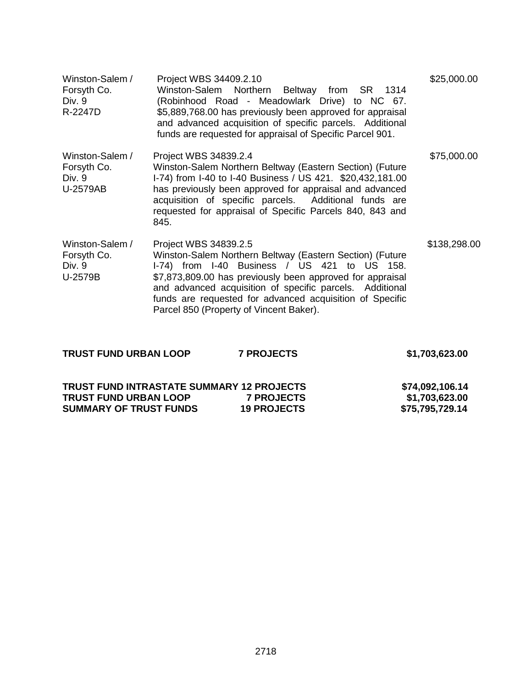| Winston-Salem /<br>Forsyth Co.<br>Div. 9<br>R-2247D  | Project WBS 34409.2.10<br>Winston-Salem Northern<br>Beltway from SR 1314<br>(Robinhood Road - Meadowlark Drive) to NC 67.<br>\$5,889,768.00 has previously been approved for appraisal<br>and advanced acquisition of specific parcels. Additional<br>funds are requested for appraisal of Specific Parcel 901.                                                   | \$25,000.00  |
|------------------------------------------------------|-------------------------------------------------------------------------------------------------------------------------------------------------------------------------------------------------------------------------------------------------------------------------------------------------------------------------------------------------------------------|--------------|
| Winston-Salem /<br>Forsyth Co.<br>Div. 9<br>U-2579AB | Project WBS 34839.2.4<br>Winston-Salem Northern Beltway (Eastern Section) (Future<br>I-74) from I-40 to I-40 Business / US 421. \$20,432,181.00<br>has previously been approved for appraisal and advanced<br>acquisition of specific parcels. Additional funds are<br>requested for appraisal of Specific Parcels 840, 843 and<br>845.                           | \$75,000.00  |
| Winston-Salem /<br>Forsyth Co.<br>Div. 9<br>U-2579B  | Project WBS 34839.2.5<br>Winston-Salem Northern Beltway (Eastern Section) (Future<br>I-74) from I-40 Business / US 421 to US 158.<br>\$7,873,809.00 has previously been approved for appraisal<br>and advanced acquisition of specific parcels. Additional<br>funds are requested for advanced acquisition of Specific<br>Parcel 850 (Property of Vincent Baker). | \$138,298.00 |

| \$1,703,623.00                    |
|-----------------------------------|
| \$74,092,106.14                   |
| \$1,703,623.00<br>\$75,795,729.14 |
|                                   |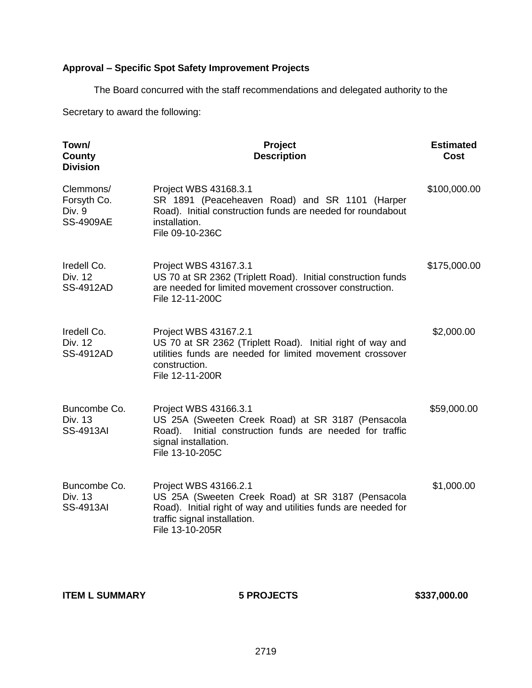# **Approval – Specific Spot Safety Improvement Projects**

The Board concurred with the staff recommendations and delegated authority to the

Secretary to award the following:

| Town/<br>County<br><b>Division</b>                     | Project<br><b>Description</b>                                                                                                                                                                   | <b>Estimated</b><br>Cost |
|--------------------------------------------------------|-------------------------------------------------------------------------------------------------------------------------------------------------------------------------------------------------|--------------------------|
| Clemmons/<br>Forsyth Co.<br>Div. 9<br><b>SS-4909AE</b> | Project WBS 43168.3.1<br>SR 1891 (Peaceheaven Road) and SR 1101 (Harper<br>Road). Initial construction funds are needed for roundabout<br>installation.<br>File 09-10-236C                      | \$100,000.00             |
| Iredell Co.<br>Div. 12<br><b>SS-4912AD</b>             | Project WBS 43167.3.1<br>US 70 at SR 2362 (Triplett Road). Initial construction funds<br>are needed for limited movement crossover construction.<br>File 12-11-200C                             | \$175,000.00             |
| Iredell Co.<br>Div. 12<br><b>SS-4912AD</b>             | Project WBS 43167.2.1<br>US 70 at SR 2362 (Triplett Road). Initial right of way and<br>utilities funds are needed for limited movement crossover<br>construction.<br>File 12-11-200R            | \$2,000.00               |
| Buncombe Co.<br>Div. 13<br><b>SS-4913AI</b>            | Project WBS 43166.3.1<br>US 25A (Sweeten Creek Road) at SR 3187 (Pensacola<br>Initial construction funds are needed for traffic<br>Road).<br>signal installation.<br>File 13-10-205C            | \$59,000.00              |
| Buncombe Co.<br>Div. 13<br><b>SS-4913AI</b>            | Project WBS 43166.2.1<br>US 25A (Sweeten Creek Road) at SR 3187 (Pensacola<br>Road). Initial right of way and utilities funds are needed for<br>traffic signal installation.<br>File 13-10-205R | \$1,000.00               |

**ITEM L SUMMARY 6 PROJECTS** \$337,000.00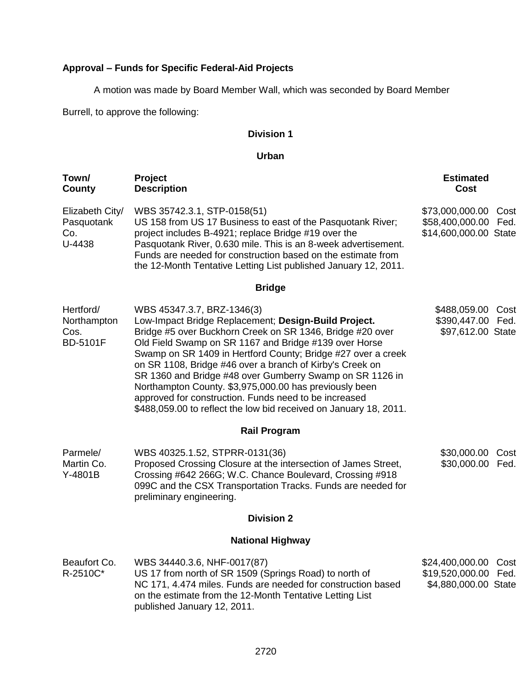# **Approval – Funds for Specific Federal-Aid Projects**

A motion was made by Board Member Wall, which was seconded by Board Member

Burrell, to approve the following:

# **Division 1**

### **Urban**

| Town/<br>County                                     | Project<br><b>Description</b>                                                                                                                                                                                                                                                                                                                                                                                                                                                                                                                                                            | <b>Estimated</b><br>Cost                                                 |  |  |
|-----------------------------------------------------|------------------------------------------------------------------------------------------------------------------------------------------------------------------------------------------------------------------------------------------------------------------------------------------------------------------------------------------------------------------------------------------------------------------------------------------------------------------------------------------------------------------------------------------------------------------------------------------|--------------------------------------------------------------------------|--|--|
| Elizabeth City/<br>Pasquotank<br>Co.<br>U-4438      | WBS 35742.3.1, STP-0158(51)<br>US 158 from US 17 Business to east of the Pasquotank River;<br>project includes B-4921; replace Bridge #19 over the<br>Pasquotank River, 0.630 mile. This is an 8-week advertisement.<br>Funds are needed for construction based on the estimate from<br>the 12-Month Tentative Letting List published January 12, 2011.                                                                                                                                                                                                                                  | \$73,000,000.00<br>Cost<br>\$58,400,000.00 Fed.<br>\$14,600,000.00 State |  |  |
|                                                     | <b>Bridge</b>                                                                                                                                                                                                                                                                                                                                                                                                                                                                                                                                                                            |                                                                          |  |  |
| Hertford/<br>Northampton<br>Cos.<br><b>BD-5101F</b> | WBS 45347.3.7, BRZ-1346(3)<br>Low-Impact Bridge Replacement; Design-Build Project.<br>Bridge #5 over Buckhorn Creek on SR 1346, Bridge #20 over<br>Old Field Swamp on SR 1167 and Bridge #139 over Horse<br>Swamp on SR 1409 in Hertford County; Bridge #27 over a creek<br>on SR 1108, Bridge #46 over a branch of Kirby's Creek on<br>SR 1360 and Bridge #48 over Gumberry Swamp on SR 1126 in<br>Northampton County. \$3,975,000.00 has previously been<br>approved for construction. Funds need to be increased<br>\$488,059.00 to reflect the low bid received on January 18, 2011. | \$488,059.00<br>Cost<br>\$390,447.00 Fed.<br>\$97,612.00 State           |  |  |
| <b>Rail Program</b>                                 |                                                                                                                                                                                                                                                                                                                                                                                                                                                                                                                                                                                          |                                                                          |  |  |
| Parmele/<br>Martin Co.<br>Y-4801B                   | WBS 40325.1.52, STPRR-0131(36)<br>Proposed Crossing Closure at the intersection of James Street,<br>Crossing #642 266G; W.C. Chance Boulevard, Crossing #918<br>099C and the CSX Transportation Tracks. Funds are needed for<br>preliminary engineering.                                                                                                                                                                                                                                                                                                                                 | \$30,000.00<br>Cost<br>\$30,000.00 Fed.                                  |  |  |
|                                                     | <b>Division 2</b>                                                                                                                                                                                                                                                                                                                                                                                                                                                                                                                                                                        |                                                                          |  |  |
| <b>National Highway</b>                             |                                                                                                                                                                                                                                                                                                                                                                                                                                                                                                                                                                                          |                                                                          |  |  |
| Beaufort Co.<br>R-2510C*                            | WBS 34440.3.6, NHF-0017(87)<br>US 17 from north of SR 1509 (Springs Road) to north of<br>NC 171, 4.474 miles. Funds are needed for construction based<br>on the estimate from the 12-Month Tentative Letting List<br>published January 12, 2011.                                                                                                                                                                                                                                                                                                                                         | \$24,400,000.00<br>Cost<br>\$19,520,000.00 Fed.<br>\$4,880,000.00 State  |  |  |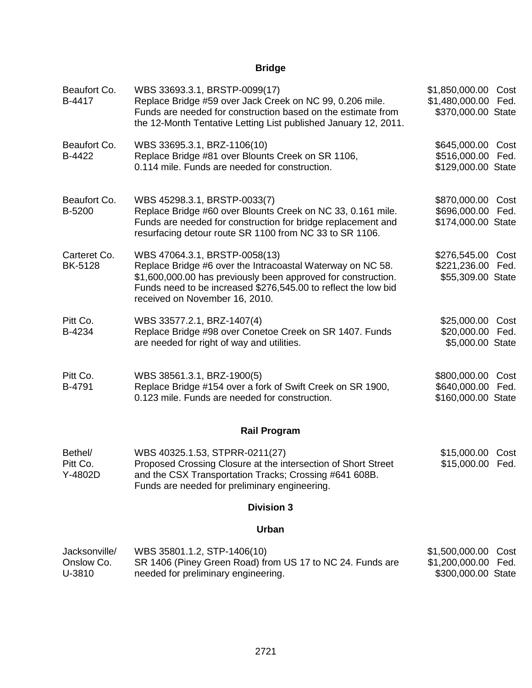# **Bridge**

| Beaufort Co.<br>B-4417                | WBS 33693.3.1, BRSTP-0099(17)<br>Replace Bridge #59 over Jack Creek on NC 99, 0.206 mile.<br>Funds are needed for construction based on the estimate from<br>the 12-Month Tentative Letting List published January 12, 2011.                                     | \$1,850,000.00 Cost<br>\$1,480,000.00 Fed.<br>\$370,000.00 State       |  |  |
|---------------------------------------|------------------------------------------------------------------------------------------------------------------------------------------------------------------------------------------------------------------------------------------------------------------|------------------------------------------------------------------------|--|--|
| Beaufort Co.<br>B-4422                | WBS 33695.3.1, BRZ-1106(10)<br>Replace Bridge #81 over Blounts Creek on SR 1106,<br>0.114 mile. Funds are needed for construction.                                                                                                                               | \$645,000.00 Cost<br>\$516,000.00 Fed.<br>\$129,000.00 State           |  |  |
| Beaufort Co.<br>B-5200                | WBS 45298.3.1, BRSTP-0033(7)<br>Replace Bridge #60 over Blounts Creek on NC 33, 0.161 mile.<br>Funds are needed for construction for bridge replacement and<br>resurfacing detour route SR 1100 from NC 33 to SR 1106.                                           | \$870,000.00 Cost<br>\$696,000.00 Fed.<br>\$174,000.00 State           |  |  |
| Carteret Co.<br><b>BK-5128</b>        | WBS 47064.3.1, BRSTP-0058(13)<br>Replace Bridge #6 over the Intracoastal Waterway on NC 58.<br>\$1,600,000.00 has previously been approved for construction.<br>Funds need to be increased \$276,545.00 to reflect the low bid<br>received on November 16, 2010. | \$276,545.00 Cost<br>\$221,236.00<br>Fed.<br>\$55,309.00 State         |  |  |
| Pitt Co.<br>B-4234                    | WBS 33577.2.1, BRZ-1407(4)<br>Replace Bridge #98 over Conetoe Creek on SR 1407. Funds<br>are needed for right of way and utilities.                                                                                                                              | \$25,000.00 Cost<br>\$20,000.00 Fed.<br>\$5,000.00 State               |  |  |
| Pitt Co.<br>B-4791                    | WBS 38561.3.1, BRZ-1900(5)<br>Replace Bridge #154 over a fork of Swift Creek on SR 1900,<br>0.123 mile. Funds are needed for construction.                                                                                                                       | \$800,000.00 Cost<br>\$640,000.00 Fed.<br>\$160,000.00 State           |  |  |
|                                       | <b>Rail Program</b>                                                                                                                                                                                                                                              |                                                                        |  |  |
| Bethel/<br>Pitt Co.<br>Y-4802D        | WBS 40325.1.53, STPRR-0211(27)<br>Proposed Crossing Closure at the intersection of Short Street<br>and the CSX Transportation Tracks; Crossing #641 608B.<br>Funds are needed for preliminary engineering.                                                       | \$15,000.00<br>Cost<br>\$15,000.00 Fed.                                |  |  |
| <b>Division 3</b>                     |                                                                                                                                                                                                                                                                  |                                                                        |  |  |
|                                       | Urban                                                                                                                                                                                                                                                            |                                                                        |  |  |
| Jacksonville/<br>Onslow Co.<br>U-3810 | WBS 35801.1.2, STP-1406(10)<br>SR 1406 (Piney Green Road) from US 17 to NC 24. Funds are<br>needed for preliminary engineering.                                                                                                                                  | \$1,500,000.00<br>Cost<br>\$1,200,000.00<br>Fed.<br>\$300,000.00 State |  |  |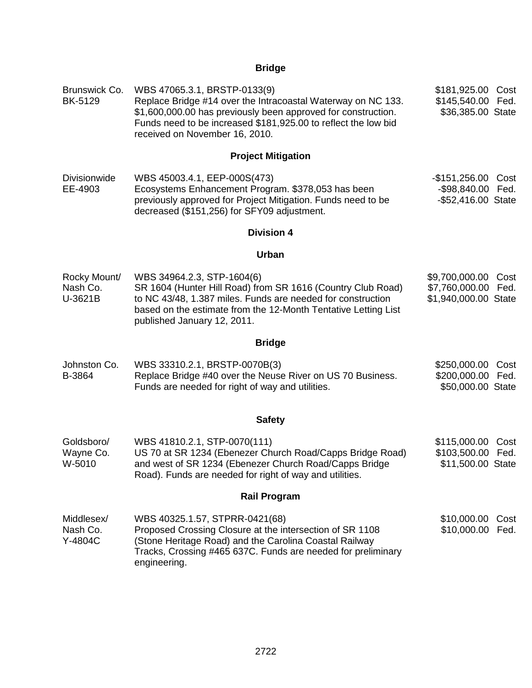# **Bridge**

| Brunswick Co.<br><b>BK-5129</b>     | WBS 47065.3.1, BRSTP-0133(9)<br>Replace Bridge #14 over the Intracoastal Waterway on NC 133.<br>\$1,600,000.00 has previously been approved for construction.<br>Funds need to be increased \$181,925.00 to reflect the low bid<br>received on November 16, 2010. | \$181,925.00<br>Cost<br>\$145,540.00<br>Fed.<br>\$36,385.00 State      |
|-------------------------------------|-------------------------------------------------------------------------------------------------------------------------------------------------------------------------------------------------------------------------------------------------------------------|------------------------------------------------------------------------|
|                                     | <b>Project Mitigation</b>                                                                                                                                                                                                                                         |                                                                        |
| <b>Divisionwide</b><br>EE-4903      | WBS 45003.4.1, EEP-000S(473)<br>Ecosystems Enhancement Program. \$378,053 has been<br>previously approved for Project Mitigation. Funds need to be<br>decreased (\$151,256) for SFY09 adjustment.                                                                 | $-$ \$151,256.00<br>Cost<br>-\$98,840.00<br>Fed.<br>-\$52,416.00 State |
|                                     | <b>Division 4</b>                                                                                                                                                                                                                                                 |                                                                        |
|                                     | Urban                                                                                                                                                                                                                                                             |                                                                        |
| Rocky Mount/<br>Nash Co.<br>U-3621B | WBS 34964.2.3, STP-1604(6)<br>SR 1604 (Hunter Hill Road) from SR 1616 (Country Club Road)<br>to NC 43/48, 1.387 miles. Funds are needed for construction<br>based on the estimate from the 12-Month Tentative Letting List<br>published January 12, 2011.         | \$9,700,000.00<br>Cost<br>\$7,760,000.00 Fed.<br>\$1,940,000.00 State  |
|                                     | <b>Bridge</b>                                                                                                                                                                                                                                                     |                                                                        |
| Johnston Co.<br>B-3864              | WBS 33310.2.1, BRSTP-0070B(3)<br>Replace Bridge #40 over the Neuse River on US 70 Business.<br>Funds are needed for right of way and utilities.                                                                                                                   | \$250,000.00<br>Cost<br>\$200,000.00 Fed.<br>\$50,000.00 State         |
|                                     | <b>Safety</b>                                                                                                                                                                                                                                                     |                                                                        |
| Goldsboro/<br>Wayne Co.<br>W-5010   | WBS 41810.2.1, STP-0070(111)<br>US 70 at SR 1234 (Ebenezer Church Road/Capps Bridge Road)<br>and west of SR 1234 (Ebenezer Church Road/Capps Bridge<br>Road). Funds are needed for right of way and utilities.                                                    | \$115,000.00<br>Cost<br>\$103,500.00 Fed.<br>\$11,500.00 State         |
|                                     | <b>Rail Program</b>                                                                                                                                                                                                                                               |                                                                        |
| Middlesex/<br>Nash Co.<br>Y-4804C   | WBS 40325.1.57, STPRR-0421(68)<br>Proposed Crossing Closure at the intersection of SR 1108<br>(Stone Heritage Road) and the Carolina Coastal Railway<br>Tracks, Crossing #465 637C. Funds are needed for preliminary<br>engineering.                              | \$10,000.00<br>Cost<br>\$10,000.00 Fed.                                |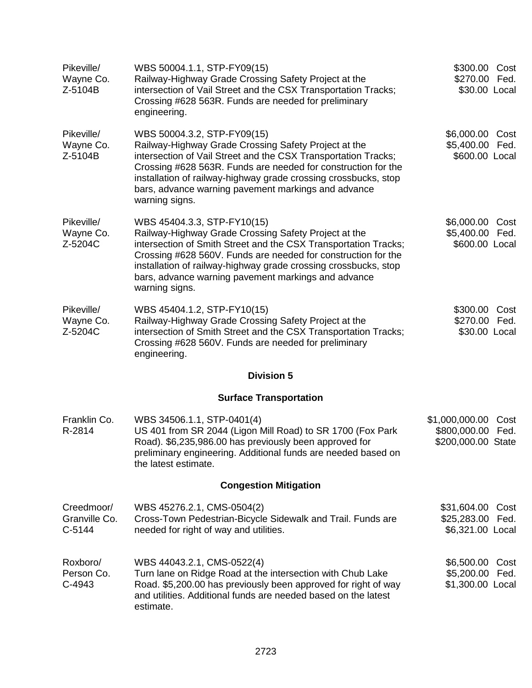| Pikeville/<br>Wayne Co.<br>Z-5104B      | WBS 50004.1.1, STP-FY09(15)<br>Railway-Highway Grade Crossing Safety Project at the<br>intersection of Vail Street and the CSX Transportation Tracks;<br>Crossing #628 563R. Funds are needed for preliminary<br>engineering.                                                                                                                                       | \$300.00 Cost<br>\$270.00 Fed.<br>\$30.00 Local        |              |
|-----------------------------------------|---------------------------------------------------------------------------------------------------------------------------------------------------------------------------------------------------------------------------------------------------------------------------------------------------------------------------------------------------------------------|--------------------------------------------------------|--------------|
| Pikeville/<br>Wayne Co.<br>Z-5104B      | WBS 50004.3.2, STP-FY09(15)<br>Railway-Highway Grade Crossing Safety Project at the<br>intersection of Vail Street and the CSX Transportation Tracks;<br>Crossing #628 563R. Funds are needed for construction for the<br>installation of railway-highway grade crossing crossbucks, stop<br>bars, advance warning pavement markings and advance<br>warning signs.  | \$6,000.00 Cost<br>\$5,400.00 Fed.<br>\$600.00 Local   |              |
| Pikeville/<br>Wayne Co.<br>Z-5204C      | WBS 45404.3.3, STP-FY10(15)<br>Railway-Highway Grade Crossing Safety Project at the<br>intersection of Smith Street and the CSX Transportation Tracks;<br>Crossing #628 560V. Funds are needed for construction for the<br>installation of railway-highway grade crossing crossbucks, stop<br>bars, advance warning pavement markings and advance<br>warning signs. | \$6,000.00 Cost<br>\$5,400.00 Fed.<br>\$600.00 Local   |              |
| Pikeville/<br>Wayne Co.<br>Z-5204C      | WBS 45404.1.2, STP-FY10(15)<br>Railway-Highway Grade Crossing Safety Project at the<br>intersection of Smith Street and the CSX Transportation Tracks;<br>Crossing #628 560V. Funds are needed for preliminary<br>engineering.                                                                                                                                      | \$300.00 Cost<br>\$270.00 Fed.<br>\$30.00 Local        |              |
|                                         | <b>Division 5</b>                                                                                                                                                                                                                                                                                                                                                   |                                                        |              |
|                                         | <b>Surface Transportation</b>                                                                                                                                                                                                                                                                                                                                       |                                                        |              |
| Franklin Co.<br>R-2814                  | WBS 34506.1.1, STP-0401(4)<br>US 401 from SR 2044 (Ligon Mill Road) to SR 1700 (Fox Park<br>Road). \$6,235,986.00 has previously been approved for<br>preliminary engineering. Additional funds are needed based on<br>the latest estimate.                                                                                                                         | \$1,000,000.00<br>\$800,000.00<br>\$200,000.00 State   | Cost<br>Fed. |
|                                         | <b>Congestion Mitigation</b>                                                                                                                                                                                                                                                                                                                                        |                                                        |              |
| Creedmoor/<br>Granville Co.<br>$C-5144$ | WBS 45276.2.1, CMS-0504(2)<br>Cross-Town Pedestrian-Bicycle Sidewalk and Trail. Funds are<br>needed for right of way and utilities.                                                                                                                                                                                                                                 | \$31,604.00<br>\$25,283.00<br>\$6,321.00 Local         | Cost<br>Fed. |
| Roxboro/<br>Person Co.<br>C-4943        | WBS 44043.2.1, CMS-0522(4)<br>Turn lane on Ridge Road at the intersection with Chub Lake<br>Road. \$5,200.00 has previously been approved for right of way<br>and utilities. Additional funds are needed based on the latest<br>estimate.                                                                                                                           | \$6,500.00 Cost<br>\$5,200.00 Fed.<br>\$1,300.00 Local |              |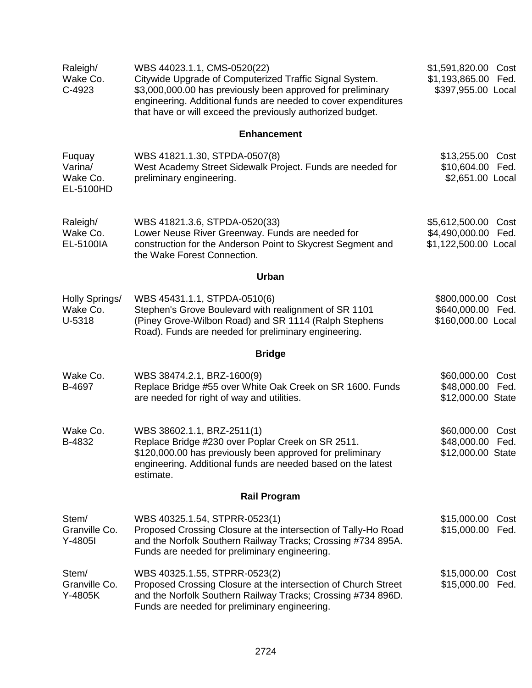| Raleigh/<br>Wake Co.<br>C-4923             | WBS 44023.1.1, CMS-0520(22)<br>Citywide Upgrade of Computerized Traffic Signal System.<br>\$3,000,000.00 has previously been approved for preliminary<br>engineering. Additional funds are needed to cover expenditures<br>that have or will exceed the previously authorized budget. | \$1,591,820.00<br>\$1,193,865.00<br>\$397,955.00 Local             | Cost<br>Fed. |
|--------------------------------------------|---------------------------------------------------------------------------------------------------------------------------------------------------------------------------------------------------------------------------------------------------------------------------------------|--------------------------------------------------------------------|--------------|
|                                            | <b>Enhancement</b>                                                                                                                                                                                                                                                                    |                                                                    |              |
| Fuquay<br>Varina/<br>Wake Co.<br>EL-5100HD | WBS 41821.1.30, STPDA-0507(8)<br>West Academy Street Sidewalk Project. Funds are needed for<br>preliminary engineering.                                                                                                                                                               | \$13,255.00<br>\$10,604.00 Fed.<br>\$2,651.00 Local                | Cost         |
| Raleigh/<br>Wake Co.<br>EL-5100IA          | WBS 41821.3.6, STPDA-0520(33)<br>Lower Neuse River Greenway. Funds are needed for<br>construction for the Anderson Point to Skycrest Segment and<br>the Wake Forest Connection.                                                                                                       | \$5,612,500.00 Cost<br>\$4,490,000.00 Fed.<br>\$1,122,500.00 Local |              |
|                                            | Urban                                                                                                                                                                                                                                                                                 |                                                                    |              |
| Holly Springs/<br>Wake Co.<br>U-5318       | WBS 45431.1.1, STPDA-0510(6)<br>Stephen's Grove Boulevard with realignment of SR 1101<br>(Piney Grove-Wilbon Road) and SR 1114 (Ralph Stephens<br>Road). Funds are needed for preliminary engineering.                                                                                | \$800,000.00<br>\$640,000.00 Fed.<br>\$160,000.00 Local            | Cost         |
|                                            | <b>Bridge</b>                                                                                                                                                                                                                                                                         |                                                                    |              |
| Wake Co.<br>B-4697                         | WBS 38474.2.1, BRZ-1600(9)<br>Replace Bridge #55 over White Oak Creek on SR 1600. Funds<br>are needed for right of way and utilities.                                                                                                                                                 | \$60,000.00<br>\$48,000.00<br>\$12,000.00 State                    | Cost<br>Fed. |
| Wake Co.<br>B-4832                         | WBS 38602.1.1, BRZ-2511(1)<br>Replace Bridge #230 over Poplar Creek on SR 2511.<br>\$120,000.00 has previously been approved for preliminary<br>engineering. Additional funds are needed based on the latest<br>estimate.                                                             | \$60,000.00 Cost<br>\$48,000.00 Fed.<br>\$12,000.00 State          |              |
|                                            | <b>Rail Program</b>                                                                                                                                                                                                                                                                   |                                                                    |              |
| Stem/<br>Granville Co.<br>$Y-4805I$        | WBS 40325.1.54, STPRR-0523(1)<br>Proposed Crossing Closure at the intersection of Tally-Ho Road<br>and the Norfolk Southern Railway Tracks; Crossing #734 895A.<br>Funds are needed for preliminary engineering.                                                                      | \$15,000.00<br>\$15,000.00 Fed.                                    | Cost         |
| Stem/<br>Granville Co.<br>Y-4805K          | WBS 40325.1.55, STPRR-0523(2)<br>Proposed Crossing Closure at the intersection of Church Street<br>and the Norfolk Southern Railway Tracks; Crossing #734 896D.<br>Funds are needed for preliminary engineering.                                                                      | \$15,000.00<br>\$15,000.00                                         | Cost<br>Fed. |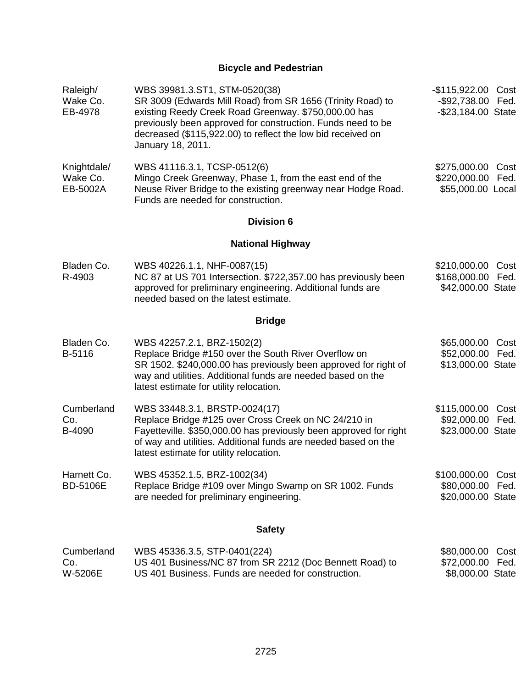# **Bicycle and Pedestrian**

| Raleigh/<br>Wake Co.<br>EB-4978     | WBS 39981.3.ST1, STM-0520(38)<br>SR 3009 (Edwards Mill Road) from SR 1656 (Trinity Road) to<br>existing Reedy Creek Road Greenway. \$750,000.00 has<br>previously been approved for construction. Funds need to be<br>decreased (\$115,922.00) to reflect the low bid received on<br>January 18, 2011. | -\$115,922.00 Cost<br>-\$92,738.00 Fed.<br>-\$23,184.00 State |              |
|-------------------------------------|--------------------------------------------------------------------------------------------------------------------------------------------------------------------------------------------------------------------------------------------------------------------------------------------------------|---------------------------------------------------------------|--------------|
| Knightdale/<br>Wake Co.<br>EB-5002A | WBS 41116.3.1, TCSP-0512(6)<br>Mingo Creek Greenway, Phase 1, from the east end of the<br>Neuse River Bridge to the existing greenway near Hodge Road.<br>Funds are needed for construction.                                                                                                           | \$275,000.00<br>\$220,000.00 Fed.<br>\$55,000.00 Local        | Cost         |
|                                     | <b>Division 6</b>                                                                                                                                                                                                                                                                                      |                                                               |              |
|                                     | <b>National Highway</b>                                                                                                                                                                                                                                                                                |                                                               |              |
| Bladen Co.<br>R-4903                | WBS 40226.1.1, NHF-0087(15)<br>NC 87 at US 701 Intersection. \$722,357.00 has previously been<br>approved for preliminary engineering. Additional funds are<br>needed based on the latest estimate.                                                                                                    | \$210,000.00 Cost<br>\$168,000.00 Fed.<br>\$42,000.00 State   |              |
|                                     | <b>Bridge</b>                                                                                                                                                                                                                                                                                          |                                                               |              |
| Bladen Co.<br>B-5116                | WBS 42257.2.1, BRZ-1502(2)<br>Replace Bridge #150 over the South River Overflow on<br>SR 1502. \$240,000.00 has previously been approved for right of<br>way and utilities. Additional funds are needed based on the<br>latest estimate for utility relocation.                                        | \$65,000.00 Cost<br>\$52,000.00 Fed.<br>\$13,000.00 State     |              |
| Cumberland<br>Co.<br>B-4090         | WBS 33448.3.1, BRSTP-0024(17)<br>Replace Bridge #125 over Cross Creek on NC 24/210 in<br>Fayetteville. \$350,000.00 has previously been approved for right<br>of way and utilities. Additional funds are needed based on the<br>latest estimate for utility relocation.                                | \$115,000.00<br>\$92,000.00 Fed.<br>\$23,000.00 State         | Cost         |
| Harnett Co.<br><b>BD-5106E</b>      | WBS 45352.1.5, BRZ-1002(34)<br>Replace Bridge #109 over Mingo Swamp on SR 1002. Funds<br>are needed for preliminary engineering.                                                                                                                                                                       | \$100,000.00 Cost<br>\$80,000.00 Fed.<br>\$20,000.00 State    |              |
|                                     | <b>Safety</b>                                                                                                                                                                                                                                                                                          |                                                               |              |
| Cumberland<br>Co.<br>W-5206E        | WBS 45336.3.5, STP-0401(224)<br>US 401 Business/NC 87 from SR 2212 (Doc Bennett Road) to<br>US 401 Business. Funds are needed for construction.                                                                                                                                                        | \$80,000.00<br>\$72,000.00<br>\$8,000.00 State                | Cost<br>Fed. |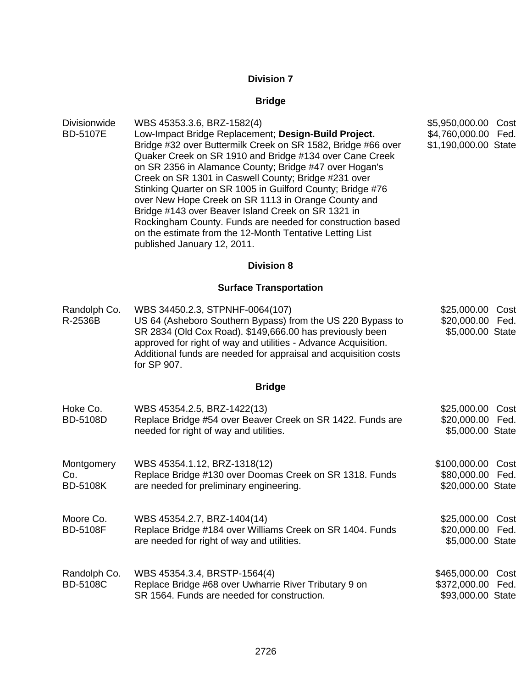# **Division 7**

# **Bridge**

| Divisionwide<br><b>BD-5107E</b>      | WBS 45353.3.6, BRZ-1582(4)<br>Low-Impact Bridge Replacement; Design-Build Project.<br>Bridge #32 over Buttermilk Creek on SR 1582, Bridge #66 over<br>Quaker Creek on SR 1910 and Bridge #134 over Cane Creek<br>on SR 2356 in Alamance County; Bridge #47 over Hogan's<br>Creek on SR 1301 in Caswell County; Bridge #231 over<br>Stinking Quarter on SR 1005 in Guilford County; Bridge #76<br>over New Hope Creek on SR 1113 in Orange County and<br>Bridge #143 over Beaver Island Creek on SR 1321 in<br>Rockingham County. Funds are needed for construction based<br>on the estimate from the 12-Month Tentative Letting List<br>published January 12, 2011. | \$5,950,000.00<br>\$4,760,000.00 Fed.<br>\$1,190,000.00 State | Cost         |
|--------------------------------------|---------------------------------------------------------------------------------------------------------------------------------------------------------------------------------------------------------------------------------------------------------------------------------------------------------------------------------------------------------------------------------------------------------------------------------------------------------------------------------------------------------------------------------------------------------------------------------------------------------------------------------------------------------------------|---------------------------------------------------------------|--------------|
|                                      | <b>Division 8</b>                                                                                                                                                                                                                                                                                                                                                                                                                                                                                                                                                                                                                                                   |                                                               |              |
|                                      | <b>Surface Transportation</b>                                                                                                                                                                                                                                                                                                                                                                                                                                                                                                                                                                                                                                       |                                                               |              |
| Randolph Co.<br>R-2536B              | WBS 34450.2.3, STPNHF-0064(107)<br>US 64 (Asheboro Southern Bypass) from the US 220 Bypass to<br>SR 2834 (Old Cox Road). \$149,666.00 has previously been<br>approved for right of way and utilities - Advance Acquisition.<br>Additional funds are needed for appraisal and acquisition costs<br>for SP 907.                                                                                                                                                                                                                                                                                                                                                       | \$25,000.00 Cost<br>\$20,000.00 Fed.<br>\$5,000.00 State      |              |
|                                      | <b>Bridge</b>                                                                                                                                                                                                                                                                                                                                                                                                                                                                                                                                                                                                                                                       |                                                               |              |
| Hoke Co.<br><b>BD-5108D</b>          | WBS 45354.2.5, BRZ-1422(13)<br>Replace Bridge #54 over Beaver Creek on SR 1422. Funds are<br>needed for right of way and utilities.                                                                                                                                                                                                                                                                                                                                                                                                                                                                                                                                 | \$25,000.00 Cost<br>\$20,000.00 Fed.<br>\$5,000.00 State      |              |
| Montgomery<br>Co.<br><b>BD-5108K</b> | WBS 45354.1.12, BRZ-1318(12)<br>Replace Bridge #130 over Doomas Creek on SR 1318. Funds<br>are needed for preliminary engineering.                                                                                                                                                                                                                                                                                                                                                                                                                                                                                                                                  | \$100,000.00<br>\$80,000.00 Fed.<br>\$20,000.00 State         | Cost         |
| Moore Co.<br><b>BD-5108F</b>         | WBS 45354.2.7, BRZ-1404(14)<br>Replace Bridge #184 over Williams Creek on SR 1404. Funds<br>are needed for right of way and utilities.                                                                                                                                                                                                                                                                                                                                                                                                                                                                                                                              | \$25,000.00<br>\$20,000.00<br>\$5,000.00 State                | Cost<br>Fed. |
| Randolph Co.<br><b>BD-5108C</b>      | WBS 45354.3.4, BRSTP-1564(4)<br>Replace Bridge #68 over Uwharrie River Tributary 9 on<br>SR 1564. Funds are needed for construction.                                                                                                                                                                                                                                                                                                                                                                                                                                                                                                                                | \$465,000.00<br>\$372,000.00<br>\$93,000.00 State             | Cost<br>Fed. |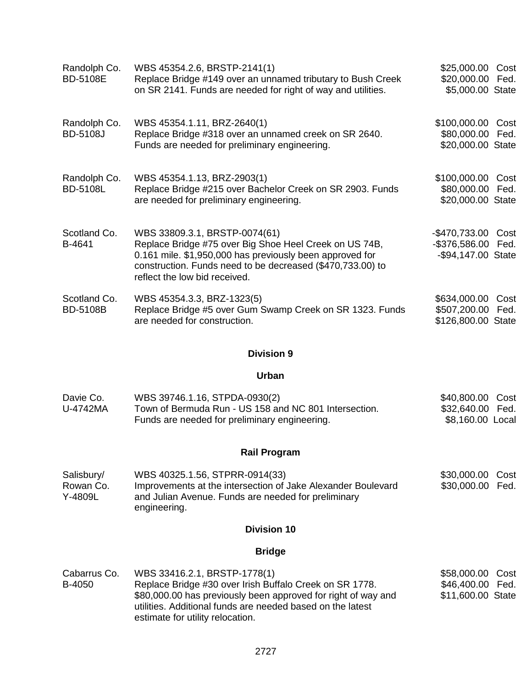| Randolph Co.<br><b>BD-5108E</b> | WBS 45354.2.6, BRSTP-2141(1)<br>Replace Bridge #149 over an unnamed tributary to Bush Creek<br>on SR 2141. Funds are needed for right of way and utilities.                                                                                        | \$25,000.00 Cost<br>\$20,000.00 Fed.<br>\$5,000.00 State       |      |
|---------------------------------|----------------------------------------------------------------------------------------------------------------------------------------------------------------------------------------------------------------------------------------------------|----------------------------------------------------------------|------|
| Randolph Co.<br><b>BD-5108J</b> | WBS 45354.1.11, BRZ-2640(1)<br>Replace Bridge #318 over an unnamed creek on SR 2640.<br>Funds are needed for preliminary engineering.                                                                                                              | \$100,000.00<br>\$80,000.00 Fed.<br>\$20,000.00 State          | Cost |
| Randolph Co.<br><b>BD-5108L</b> | WBS 45354.1.13, BRZ-2903(1)<br>Replace Bridge #215 over Bachelor Creek on SR 2903. Funds<br>are needed for preliminary engineering.                                                                                                                | \$100,000.00<br>\$80,000.00 Fed.<br>\$20,000.00 State          | Cost |
| Scotland Co.<br>B-4641          | WBS 33809.3.1, BRSTP-0074(61)<br>Replace Bridge #75 over Big Shoe Heel Creek on US 74B,<br>0.161 mile. \$1,950,000 has previously been approved for<br>construction. Funds need to be decreased (\$470,733.00) to<br>reflect the low bid received. | -\$470,733.00 Cost<br>-\$376,586.00 Fed.<br>-\$94,147.00 State |      |
| Scotland Co.<br><b>BD-5108B</b> | WBS 45354.3.3, BRZ-1323(5)<br>Replace Bridge #5 over Gum Swamp Creek on SR 1323. Funds<br>are needed for construction.                                                                                                                             | \$634,000.00<br>\$507,200.00 Fed.<br>\$126,800.00 State        | Cost |

## **Division 9**

#### **Urban**

| Davie Co. | WBS 39746.1.16, STPDA-0930(2)                         | \$40,800.00 Cost |  |
|-----------|-------------------------------------------------------|------------------|--|
| U-4742MA  | Town of Bermuda Run - US 158 and NC 801 Intersection. |                  |  |
|           | Funds are needed for preliminary engineering.         | \$8,160.00 Local |  |

## **Rail Program**

| Salisbury/ | WBS 40325.1.56, STPRR-0914(33)                               | \$30,000.00 Cost |  |
|------------|--------------------------------------------------------------|------------------|--|
| Rowan Co.  | Improvements at the intersection of Jake Alexander Boulevard | \$30,000.00 Fed. |  |
| Y-4809L    | and Julian Avenue. Funds are needed for preliminary          |                  |  |
|            | engineering.                                                 |                  |  |

#### **Division 10**

## **Bridge**

Cabarrus Co. B-4050 WBS 33416.2.1, BRSTP-1778(1) Replace Bridge #30 over Irish Buffalo Creek on SR 1778. \$80,000.00 has previously been approved for right of way and utilities. Additional funds are needed based on the latest estimate for utility relocation. \$58,000.00 Cost \$46,400.00 Fed. \$11,600.00 State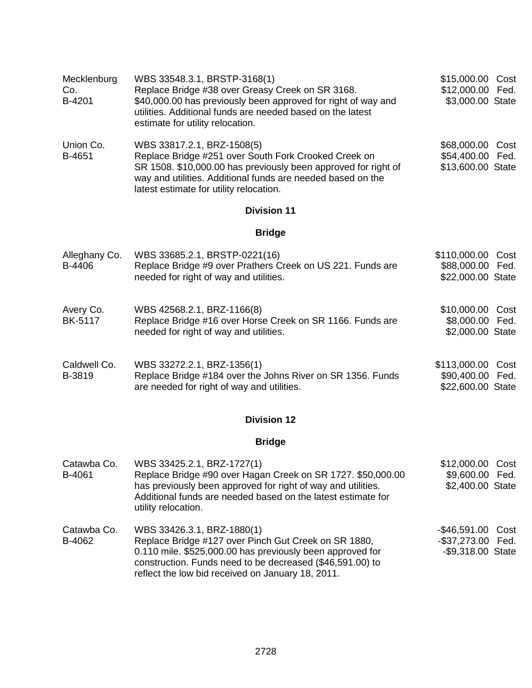| Mecklenburg<br>Co.<br>B-4201 | WBS 33548.3.1, BRSTP-3168(1)<br>Replace Bridge #38 over Greasy Creek on SR 3168.<br>\$40,000.00 has previously been approved for right of way and<br>utilities. Additional funds are needed based on the latest<br>estimate for utility relocation.            | \$15,000.00 Cost<br>\$12,000.00 Fed.<br>\$3,000.00 State      |
|------------------------------|----------------------------------------------------------------------------------------------------------------------------------------------------------------------------------------------------------------------------------------------------------------|---------------------------------------------------------------|
| Union Co.<br>B-4651          | WBS 33817.2.1, BRZ-1508(5)<br>Replace Bridge #251 over South Fork Crooked Creek on<br>SR 1508. \$10,000.00 has previously been approved for right of<br>way and utilities. Additional funds are needed based on the<br>latest estimate for utility relocation. | \$68,000.00<br>Cost<br>\$54,400.00 Fed.<br>\$13,600.00 State  |
|                              | <b>Division 11</b>                                                                                                                                                                                                                                             |                                                               |
|                              | <b>Bridge</b>                                                                                                                                                                                                                                                  |                                                               |
| Alleghany Co.<br>B-4406      | WBS 33685.2.1, BRSTP-0221(16)<br>Replace Bridge #9 over Prathers Creek on US 221. Funds are<br>needed for right of way and utilities.                                                                                                                          | \$110,000.00<br>Cost<br>\$88,000.00 Fed.<br>\$22,000.00 State |
| Avery Co.<br><b>BK-5117</b>  | WBS 42568.2.1, BRZ-1166(8)<br>Replace Bridge #16 over Horse Creek on SR 1166. Funds are<br>needed for right of way and utilities.                                                                                                                              | \$10,000.00 Cost<br>\$8,000.00 Fed.<br>\$2,000.00 State       |
| Caldwell Co.<br>B-3819       | WBS 33272.2.1, BRZ-1356(1)<br>Replace Bridge #184 over the Johns River on SR 1356. Funds<br>are needed for right of way and utilities.                                                                                                                         | \$113,000.00<br>Cost<br>\$90,400.00 Fed.<br>\$22,600.00 State |
|                              | <b>Division 12</b>                                                                                                                                                                                                                                             |                                                               |
|                              | <b>Bridge</b>                                                                                                                                                                                                                                                  |                                                               |
| Catawba Co.<br>B-4061        | WBS 33425.2.1, BRZ-1727(1)<br>Replace Bridge #90 over Hagan Creek on SR 1727. \$50,000.00<br>has previously been approved for right of way and utilities.<br>Additional funds are needed based on the latest estimate for<br>utility relocation.               | \$12,000.00 Cost<br>\$9,600.00 Fed.<br>\$2,400.00 State       |
|                              |                                                                                                                                                                                                                                                                |                                                               |

Catawba Co. B-4062 WBS 33426.3.1, BRZ-1880(1) Replace Bridge #127 over Pinch Gut Creek on SR 1880, 0.110 mile. \$525,000.00 has previously been approved for construction. Funds need to be decreased (\$46,591.00) to reflect the low bid received on January 18, 2011. -\$46,591.00 Cost -\$37,273.00 Fed. -\$9,318.00 State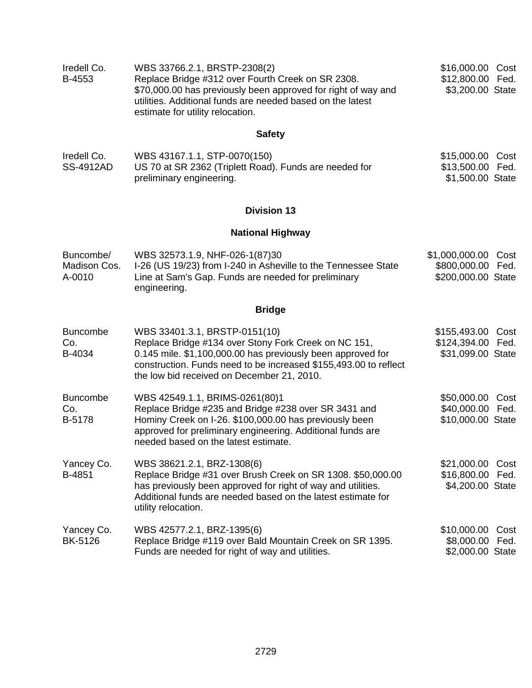| Iredell Co. | WBS 33766.2.1, BRSTP-2308(2)                                                                                                                                    | \$16,000.00 Cost |  |
|-------------|-----------------------------------------------------------------------------------------------------------------------------------------------------------------|------------------|--|
| B-4553      | Replace Bridge #312 over Fourth Creek on SR 2308.                                                                                                               | \$12,800.00 Fed. |  |
|             | \$70,000.00 has previously been approved for right of way and<br>utilities. Additional funds are needed based on the latest<br>estimate for utility relocation. | \$3,200.00 State |  |

# **Safety**

| Iredell Co.      | WBS 43167.1.1, STP-0070(150)                           | \$15,000.00 Cost |  |
|------------------|--------------------------------------------------------|------------------|--|
| <b>SS-4912AD</b> | US 70 at SR 2362 (Triplett Road). Funds are needed for | \$13,500.00 Fed. |  |
|                  | preliminary engineering.                               | \$1,500.00 State |  |

## **Division 13**

# **National Highway**

| Buncombe/<br>Madison Cos.<br>A-0010 | WBS 32573.1.9, NHF-026-1(87)30<br>I-26 (US 19/23) from I-240 in Asheville to the Tennessee State<br>Line at Sam's Gap. Funds are needed for preliminary<br>engineering.                                                                                                | \$1,000,000.00<br>Cost<br>\$800,000.00<br>Fed.<br>\$200,000.00 State |
|-------------------------------------|------------------------------------------------------------------------------------------------------------------------------------------------------------------------------------------------------------------------------------------------------------------------|----------------------------------------------------------------------|
|                                     | <b>Bridge</b>                                                                                                                                                                                                                                                          |                                                                      |
| <b>Buncombe</b><br>Co.<br>B-4034    | WBS 33401.3.1, BRSTP-0151(10)<br>Replace Bridge #134 over Stony Fork Creek on NC 151,<br>0.145 mile. \$1,100,000.00 has previously been approved for<br>construction. Funds need to be increased \$155,493.00 to reflect<br>the low bid received on December 21, 2010. | \$155,493.00 Cost<br>\$124,394.00 Fed.<br>\$31,099.00 State          |
| <b>Buncombe</b><br>Co.<br>B-5178    | WBS 42549.1.1, BRIMS-0261(80)1<br>Replace Bridge #235 and Bridge #238 over SR 3431 and<br>Hominy Creek on I-26. \$100,000.00 has previously been<br>approved for preliminary engineering. Additional funds are<br>needed based on the latest estimate.                 | \$50,000.00 Cost<br>\$40,000.00 Fed.<br>\$10,000.00 State            |
| Yancey Co.<br>B-4851                | WBS 38621.2.1, BRZ-1308(6)<br>Replace Bridge #31 over Brush Creek on SR 1308. \$50,000.00<br>has previously been approved for right of way and utilities.<br>Additional funds are needed based on the latest estimate for<br>utility relocation.                       | \$21,000.00 Cost<br>\$16,800.00 Fed.<br>\$4,200.00 State             |
| Yancey Co.<br>BK-5126               | WBS 42577.2.1, BRZ-1395(6)<br>Replace Bridge #119 over Bald Mountain Creek on SR 1395.<br>Funds are needed for right of way and utilities.                                                                                                                             | \$10,000.00 Cost<br>\$8,000.00 Fed.<br>\$2,000.00 State              |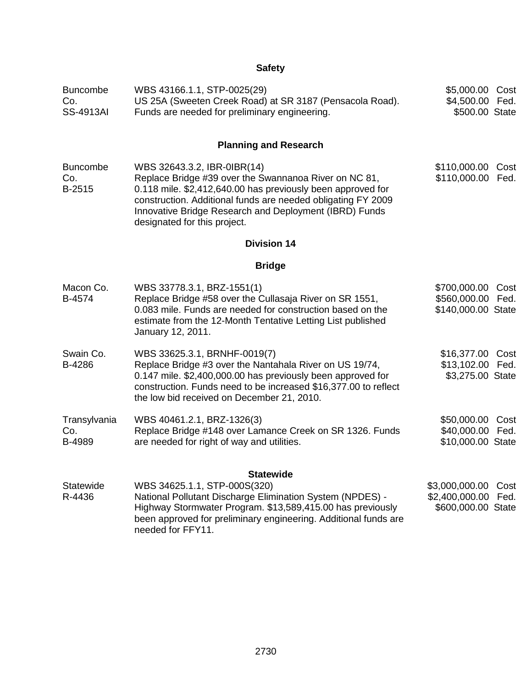# **Safety**

| <b>Buncombe</b><br>Co.<br><b>SS-4913AI</b> | WBS 43166.1.1, STP-0025(29)<br>US 25A (Sweeten Creek Road) at SR 3187 (Pensacola Road).<br>Funds are needed for preliminary engineering.                                                                                                                                                                      | \$5,000.00 Cost<br>\$4,500.00 Fed.<br>\$500.00 State         |              |
|--------------------------------------------|---------------------------------------------------------------------------------------------------------------------------------------------------------------------------------------------------------------------------------------------------------------------------------------------------------------|--------------------------------------------------------------|--------------|
|                                            | <b>Planning and Research</b>                                                                                                                                                                                                                                                                                  |                                                              |              |
| <b>Buncombe</b><br>Co.<br>B-2515           | WBS 32643.3.2, IBR-0IBR(14)<br>Replace Bridge #39 over the Swannanoa River on NC 81,<br>0.118 mile. \$2,412,640.00 has previously been approved for<br>construction. Additional funds are needed obligating FY 2009<br>Innovative Bridge Research and Deployment (IBRD) Funds<br>designated for this project. | \$110,000.00 Cost<br>\$110,000.00 Fed.                       |              |
|                                            | <b>Division 14</b>                                                                                                                                                                                                                                                                                            |                                                              |              |
|                                            | <b>Bridge</b>                                                                                                                                                                                                                                                                                                 |                                                              |              |
| Macon Co.<br>B-4574                        | WBS 33778.3.1, BRZ-1551(1)<br>Replace Bridge #58 over the Cullasaja River on SR 1551,<br>0.083 mile. Funds are needed for construction based on the<br>estimate from the 12-Month Tentative Letting List published<br>January 12, 2011.                                                                       | \$700,000.00 Cost<br>\$560,000.00 Fed.<br>\$140,000.00 State |              |
| Swain Co.<br>B-4286                        | WBS 33625.3.1, BRNHF-0019(7)<br>Replace Bridge #3 over the Nantahala River on US 19/74,<br>0.147 mile. \$2,400,000.00 has previously been approved for<br>construction. Funds need to be increased \$16,377.00 to reflect<br>the low bid received on December 21, 2010.                                       | \$16,377.00 Cost<br>\$13,102.00 Fed.<br>\$3,275.00 State     |              |
| Transylvania<br>Co.<br>B-4989              | WBS 40461.2.1, BRZ-1326(3)<br>Replace Bridge #148 over Lamance Creek on SR 1326. Funds<br>are needed for right of way and utilities.                                                                                                                                                                          | \$50,000.00<br>\$40,000.00 Fed.<br>\$10,000.00 State         | Cost         |
| Statewide<br>R-4436                        | <b>Statewide</b><br>WBS 34625.1.1, STP-000S(320)<br>National Pollutant Discharge Elimination System (NPDES) -<br>Highway Stormwater Program. \$13,589,415.00 has previously<br>been approved for preliminary engineering. Additional funds are<br>needed for FFY11.                                           | \$3,000,000.00<br>\$2,400,000.00<br>\$600,000.00 State       | Cost<br>Fed. |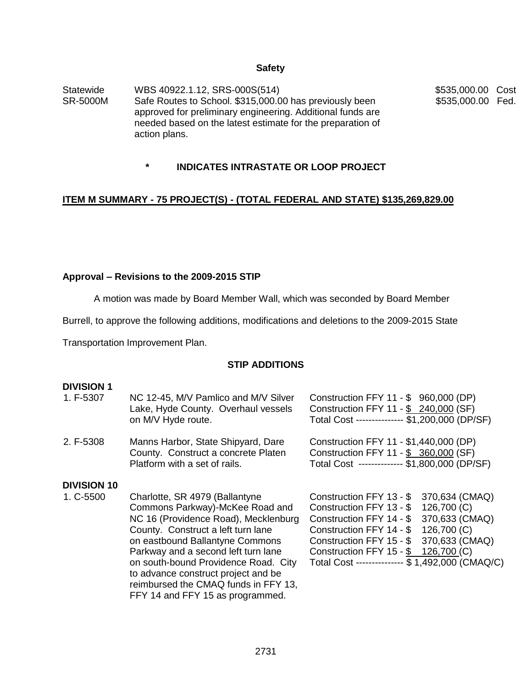#### **Safety**

Statewide SR-5000M WBS 40922.1.12, SRS-000S(514) Safe Routes to School. \$315,000.00 has previously been approved for preliminary engineering. Additional funds are needed based on the latest estimate for the preparation of action plans.

\$535,000.00 Cost \$535,000.00 Fed.

# **\* INDICATES INTRASTATE OR LOOP PROJECT**

#### **ITEM M SUMMARY - 75 PROJECT(S) - (TOTAL FEDERAL AND STATE) \$135,269,829.00**

#### **Approval – Revisions to the 2009-2015 STIP**

A motion was made by Board Member Wall, which was seconded by Board Member

Burrell, to approve the following additions, modifications and deletions to the 2009-2015 State

Transportation Improvement Plan.

### **STIP ADDITIONS**

#### **DIVISION 1**

| 1. F-5307          | NC 12-45, M/V Pamlico and M/V Silver<br>Lake, Hyde County. Overhaul vessels<br>on M/V Hyde route.                                                                                                                                                                                                                                                                                    | Construction FFY 11 - \$ 960,000 (DP)<br>Construction FFY 11 - \$ 240,000 (SF)<br>Total Cost -------------- \$1,200,000 (DP/SF)                                                                                                                                                                                         |
|--------------------|--------------------------------------------------------------------------------------------------------------------------------------------------------------------------------------------------------------------------------------------------------------------------------------------------------------------------------------------------------------------------------------|-------------------------------------------------------------------------------------------------------------------------------------------------------------------------------------------------------------------------------------------------------------------------------------------------------------------------|
| 2. F-5308          | Manns Harbor, State Shipyard, Dare<br>County. Construct a concrete Platen<br>Platform with a set of rails.                                                                                                                                                                                                                                                                           | Construction FFY 11 - \$1,440,000 (DP)<br>Construction FFY 11 - \$ 360,000 (SF)<br>Total Cost ------------- \$1,800,000 (DP/SF)                                                                                                                                                                                         |
| <b>DIVISION 10</b> |                                                                                                                                                                                                                                                                                                                                                                                      |                                                                                                                                                                                                                                                                                                                         |
| 1. C-5500          | Charlotte, SR 4979 (Ballantyne<br>Commons Parkway)-McKee Road and<br>NC 16 (Providence Road), Mecklenburg<br>County. Construct a left turn lane<br>on eastbound Ballantyne Commons<br>Parkway and a second left turn lane<br>on south-bound Providence Road. City<br>to advance construct project and be<br>reimbursed the CMAQ funds in FFY 13,<br>FFY 14 and FFY 15 as programmed. | 370,634 (CMAQ)<br>Construction FFY 13 - \$<br>126,700 (C)<br>Construction FFY 13 - \$<br>370,633 (CMAQ)<br>Construction FFY 14 - \$<br>126,700 (C)<br>Construction FFY 14 - \$<br>370,633 (CMAQ)<br>Construction FFY 15 - \$<br>Construction FFY 15 - \$ 126,700 (C)<br>Total Cost -------------- \$ 1,492,000 (CMAQ/C) |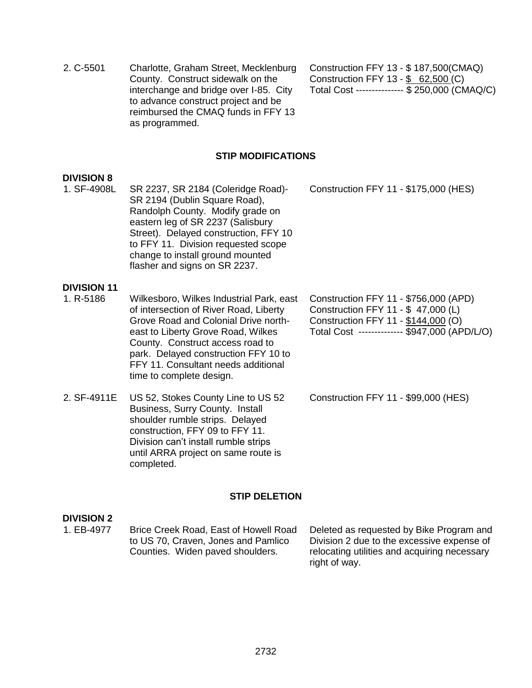- 2. C-5501 Charlotte, Graham Street, Mecklenburg County. Construct sidewalk on the interchange and bridge over I-85. City to advance construct project and be reimbursed the CMAQ funds in FFY 13 as programmed. Construction FFY 13 - \$ 187,500(CMAQ) Construction FFY 13 - \$ 62,500 (C) Total Cost --------------- \$ 250,000 (CMAQ/C) **STIP MODIFICATIONS DIVISION 8** 1. SF-4908L SR 2237, SR 2184 (Coleridge Road)- SR 2194 (Dublin Square Road), Randolph County. Modify grade on eastern leg of SR 2237 (Salisbury Street). Delayed construction, FFY 10 to FFY 11. Division requested scope change to install ground mounted flasher and signs on SR 2237. Construction FFY 11 - \$175,000 (HES) **DIVISION 11** 1. R-5186 Wilkesboro, Wilkes Industrial Park, east of intersection of River Road, Liberty Grove Road and Colonial Drive northeast to Liberty Grove Road, Wilkes County. Construct access road to park. Delayed construction FFY 10 to FFY 11. Consultant needs additional time to complete design. Construction FFY 11 - \$756,000 (APD) Construction FFY 11 - \$ 47,000 (L) Construction FFY 11 - \$144,000 (O) Total Cost -------------- \$947,000 (APD/L/O) 2. SF-4911E US 52, Stokes County Line to US 52 Construction FFY 11 - \$99,000 (HES)
- Business, Surry County. Install shoulder rumble strips. Delayed construction, FFY 09 to FFY 11. Division can't install rumble strips until ARRA project on same route is completed.

# **STIP DELETION**

### **DIVISION 2**

1. EB-4977 Brice Creek Road, East of Howell Road to US 70, Craven, Jones and Pamlico Counties. Widen paved shoulders. Deleted as requested by Bike Program and Division 2 due to the excessive expense of relocating utilities and acquiring necessary right of way.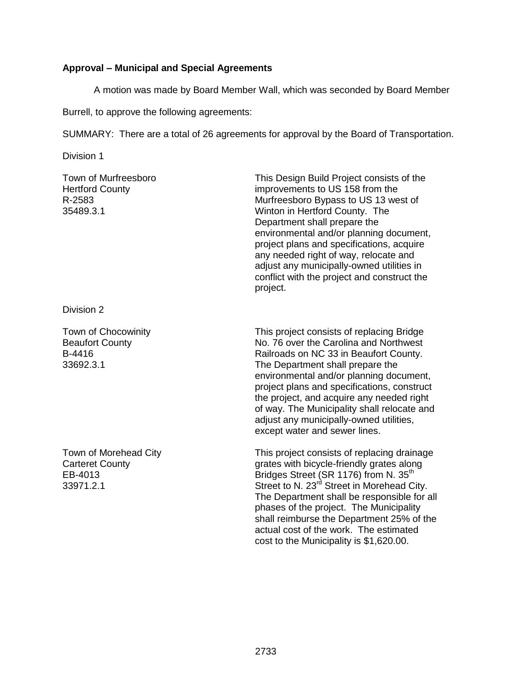## **Approval – Municipal and Special Agreements**

A motion was made by Board Member Wall, which was seconded by Board Member

Burrell, to approve the following agreements:

SUMMARY: There are a total of 26 agreements for approval by the Board of Transportation.

Division 1

Town of Murfreesboro Hertford County R-2583 35489.3.1

This Design Build Project consists of the improvements to US 158 from the Murfreesboro Bypass to US 13 west of Winton in Hertford County. The Department shall prepare the environmental and/or planning document, project plans and specifications, acquire any needed right of way, relocate and adjust any municipally-owned utilities in conflict with the project and construct the project.

Division 2

Town of Chocowinity Beaufort County B-4416 33692.3.1

Town of Morehead City Carteret County EB-4013 33971.2.1

This project consists of replacing Bridge No. 76 over the Carolina and Northwest Railroads on NC 33 in Beaufort County. The Department shall prepare the environmental and/or planning document, project plans and specifications, construct the project, and acquire any needed right of way. The Municipality shall relocate and adjust any municipally-owned utilities, except water and sewer lines.

This project consists of replacing drainage grates with bicycle-friendly grates along Bridges Street (SR 1176) from N. 35<sup>th</sup> Street to N. 23<sup>rd</sup> Street in Morehead City. The Department shall be responsible for all phases of the project. The Municipality shall reimburse the Department 25% of the actual cost of the work. The estimated cost to the Municipality is \$1,620.00.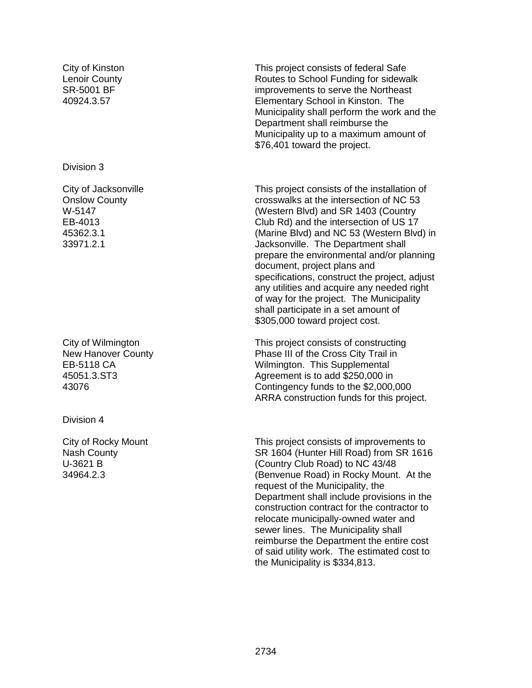City of Kinston Lenoir County SR-5001 BF 40924.3.57

#### Division 3

City of Jacksonville Onslow County W-5147 EB-4013 45362.3.1 33971.2.1

City of Wilmington New Hanover County EB-5118 CA 45051.3.ST3 43076

Division 4

City of Rocky Mount Nash County U-3621 B 34964.2.3

This project consists of federal Safe Routes to School Funding for sidewalk improvements to serve the Northeast Elementary School in Kinston. The Municipality shall perform the work and the Department shall reimburse the Municipality up to a maximum amount of \$76,401 toward the project.

This project consists of the installation of crosswalks at the intersection of NC 53 (Western Blvd) and SR 1403 (Country Club Rd) and the intersection of US 17 (Marine Blvd) and NC 53 (Western Blvd) in Jacksonville. The Department shall prepare the environmental and/or planning document, project plans and specifications, construct the project, adjust any utilities and acquire any needed right of way for the project. The Municipality shall participate in a set amount of \$305,000 toward project cost.

This project consists of constructing Phase III of the Cross City Trail in Wilmington. This Supplemental Agreement is to add \$250,000 in Contingency funds to the \$2,000,000 ARRA construction funds for this project.

This project consists of improvements to SR 1604 (Hunter Hill Road) from SR 1616 (Country Club Road) to NC 43/48 (Benvenue Road) in Rocky Mount. At the request of the Municipality, the Department shall include provisions in the construction contract for the contractor to relocate municipally-owned water and sewer lines. The Municipality shall reimburse the Department the entire cost of said utility work. The estimated cost to the Municipality is \$334,813.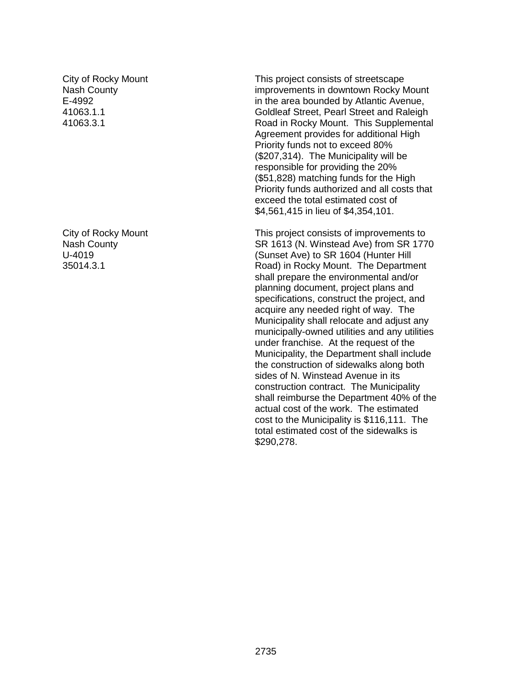City of Rocky Mount Nash County E-4992 41063.1.1 41063.3.1

City of Rocky Mount Nash County U-4019 35014.3.1

This project consists of streetscape improvements in downtown Rocky Mount in the area bounded by Atlantic Avenue, Goldleaf Street, Pearl Street and Raleigh Road in Rocky Mount. This Supplemental Agreement provides for additional High Priority funds not to exceed 80% (\$207,314). The Municipality will be responsible for providing the 20% (\$51,828) matching funds for the High Priority funds authorized and all costs that exceed the total estimated cost of \$4,561,415 in lieu of \$4,354,101.

This project consists of improvements to SR 1613 (N. Winstead Ave) from SR 1770 (Sunset Ave) to SR 1604 (Hunter Hill Road) in Rocky Mount. The Department shall prepare the environmental and/or planning document, project plans and specifications, construct the project, and acquire any needed right of way. The Municipality shall relocate and adjust any municipally-owned utilities and any utilities under franchise. At the request of the Municipality, the Department shall include the construction of sidewalks along both sides of N. Winstead Avenue in its construction contract. The Municipality shall reimburse the Department 40% of the actual cost of the work. The estimated cost to the Municipality is \$116,111. The total estimated cost of the sidewalks is \$290,278.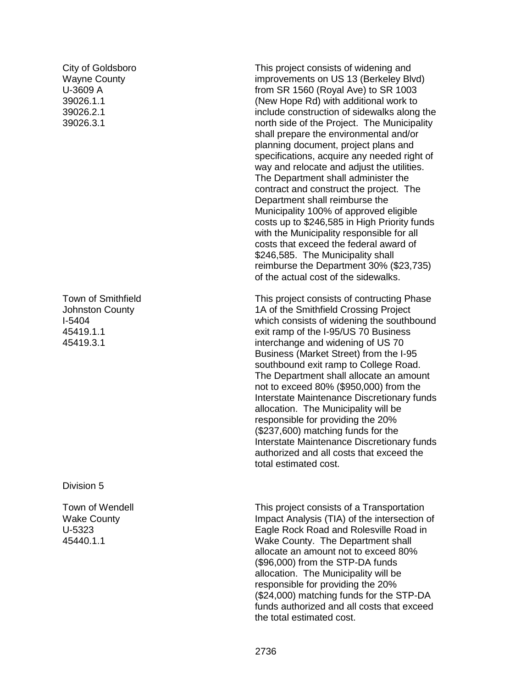City of Goldsboro Wayne County U-3609 A 39026.1.1 39026.2.1 39026.3.1

Town of Smithfield Johnston County I-5404 45419.1.1 45419.3.1

Division 5

Town of Wendell Wake County U-5323 45440.1.1

This project consists of widening and improvements on US 13 (Berkeley Blvd) from SR 1560 (Royal Ave) to SR 1003 (New Hope Rd) with additional work to include construction of sidewalks along the north side of the Project. The Municipality shall prepare the environmental and/or planning document, project plans and specifications, acquire any needed right of way and relocate and adjust the utilities. The Department shall administer the contract and construct the project. The Department shall reimburse the Municipality 100% of approved eligible costs up to \$246,585 in High Priority funds with the Municipality responsible for all costs that exceed the federal award of \$246,585. The Municipality shall reimburse the Department 30% (\$23,735) of the actual cost of the sidewalks.

This project consists of contructing Phase 1A of the Smithfield Crossing Project which consists of widening the southbound exit ramp of the I -95/US 70 Business interchange and widening of US 70 Business (Market Street) from the I -95 southbound exit ramp to College Road. The Department shall allocate an amount not to exceed 80% (\$950,000) from the Interstate Maintenance Discretionary funds allocation. The Municipality will be responsible for providing the 20% (\$237,600) matching funds for the Interstate Maintenance Discretionary funds authorized and all costs that exceed the total estimated cost.

This project consists of a Transportation Impact Analysis (TIA) of the intersection of Eagle Rock Road and Rolesville Road in Wake County. The Department shall allocate an amount not to exceed 80% (\$96,000) from the STP -DA funds allocation. The Municipality will be responsible for providing the 20% (\$24,000) matching funds for the STP -DA funds authorized and all costs that exceed the total estimated cost.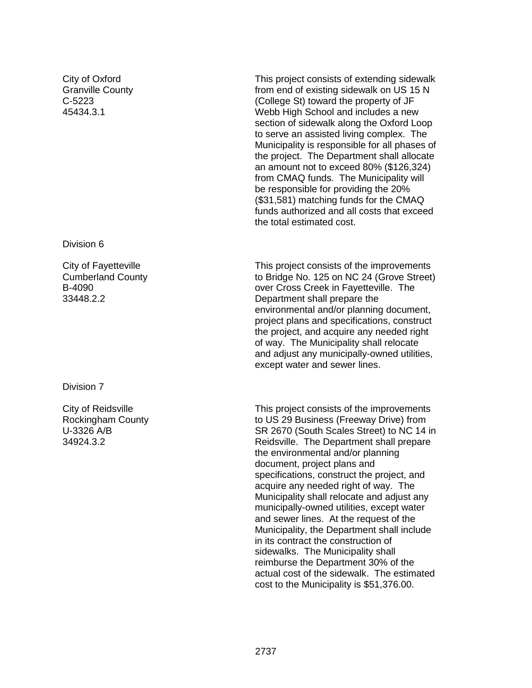City of Oxford Granville County C-5223 45434.3.1

Division 6

City of Fayetteville Cumberland County B-4090 33448.2.2

Division 7

City of Reidsville Rockingham County U-3326 A/B 34924.3.2

This project consists of extending sidewalk from end of existing sidewalk on US 15 N (College St) toward the property of JF Webb High School and includes a new section of sidewalk along the Oxford Loop to serve an assisted living complex. The Municipality is responsible for all phases of the project. The Department shall allocate an amount not to exceed 80% (\$126,324) from CMAQ funds. The Municipality will be responsible for providing the 20% (\$31,581) matching funds for the CMAQ funds authorized and all costs that exceed the total estimated cost.

This project consists of the improvements to Bridge No. 125 on NC 24 (Grove Street) over Cross Creek in Fayetteville. The Department shall prepare the environmental and/or planning document, project plans and specifications, construct the project, and acquire any needed right of way. The Municipality shall relocate and adjust any municipally-owned utilities, except water and sewer lines.

This project consists of the improvements to US 29 Business (Freeway Drive) from SR 2670 (South Scales Street) to NC 14 in Reidsville. The Department shall prepare the environmental and/or planning document, project plans and specifications, construct the project, and acquire any needed right of way. The Municipality shall relocate and adjust any municipally-owned utilities, except water and sewer lines. At the request of the Municipality, the Department shall include in its contract the construction of sidewalks. The Municipality shall reimburse the Department 30% of the actual cost of the sidewalk. The estimated cost to the Municipality is \$51,376.00.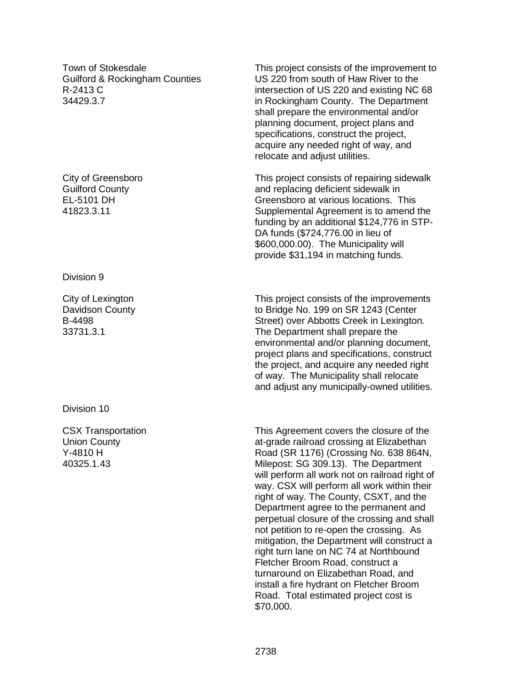Town of Stokesdale Guilford & Rockingham Counties R-2413 C 34429.3.7

City of Greensboro Guilford County EL-5101 DH 41823.3.11

Division 9

City of Lexington Davidson County B-4498 33731.3.1

Division 10

CSX Transportation Union County Y-4810 H 40325.1.43

This project consists of the improvement to US 220 from south of Haw River to the intersection of US 220 and existing NC 68 in Rockingham County. The Department shall prepare the environmental and/or planning document, project plans and specifications, construct the project, acquire any needed right of way, and relocate and adjust utilities.

This project consists of repairing sidewalk and replacing deficient sidewalk in Greensboro at various locations. This Supplemental Agreement is to amend the funding by an additional \$124,776 in STP-DA funds (\$724,776.00 in lieu of \$600,000.00). The Municipality will provide \$31,194 in matching funds.

This project consists of the improvements to Bridge No. 199 on SR 1243 (Center Street) over Abbotts Creek in Lexington. The Department shall prepare the environmental and/or planning document, project plans and specifications, construct the project, and acquire any needed right of way. The Municipality shall relocate and adjust any municipally-owned utilities.

This Agreement covers the closure of the at-grade railroad crossing at Elizabethan Road (SR 1176) (Crossing No. 638 864N, Milepost: SG 309.13). The Department will perform all work not on railroad right of way. CSX will perform all work within their right of way. The County, CSXT, and the Department agree to the permanent and perpetual closure of the crossing and shall not petition to re-open the crossing. As mitigation, the Department will construct a right turn lane on NC 74 at Northbound Fletcher Broom Road, construct a turnaround on Elizabethan Road, and install a fire hydrant on Fletcher Broom Road. Total estimated project cost is \$70,000.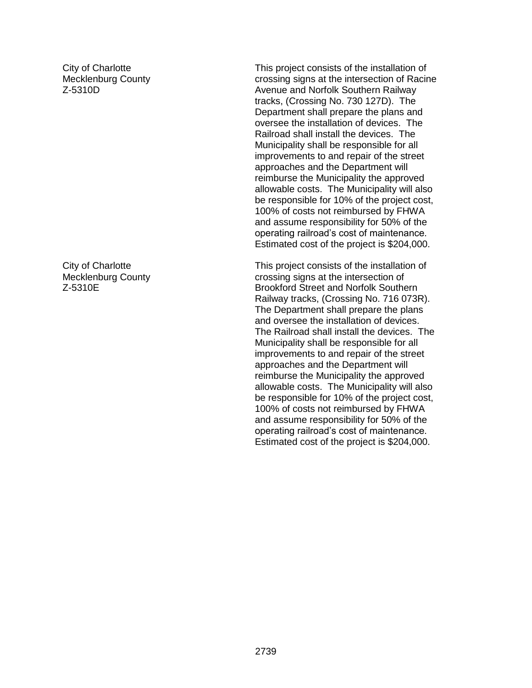City of Charlotte Mecklenburg County Z-5310D

City of Charlotte Mecklenburg County Z-5310E

This project consists of the installation of crossing signs at the intersection of Racine Avenue and Norfolk Southern Railway tracks, (Crossing No. 730 127D). The Department shall prepare the plans and oversee the installation of devices. The Railroad shall install the devices. The Municipality shall be responsible for all improvements to and repair of the street approaches and the Department will reimburse the Municipality the approved allowable costs. The Municipality will also be responsible for 10% of the project cost, 100% of costs not reimbursed by FHWA and assume responsibility for 50% of the operating railroad's cost of maintenance. Estimated cost of the project is \$204,000.

This project consists of the installation of crossing signs at the intersection of Brookford Street and Norfolk Southern Railway tracks, (Crossing No. 716 073R). The Department shall prepare the plans and oversee the installation of devices. The Railroad shall install the devices. The Municipality shall be responsible for all improvements to and repair of the street approaches and the Department will reimburse the Municipality the approved allowable costs. The Municipality will also be responsible for 10% of the project cost, 100% of costs not reimbursed by FHWA and assume responsibility for 50% of the operating railroad's cost of maintenance. Estimated cost of the project is \$204,000.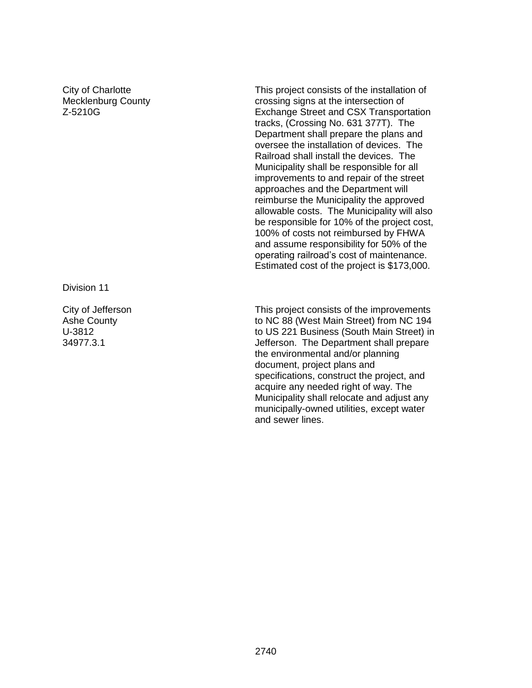City of Charlotte Mecklenburg County Z-5210G

Division 11

City of Jefferson Ashe County U-3812 34977.3.1

This project consists of the installation of crossing signs at the intersection of Exchange Street and CSX Transportation tracks, (Crossing No. 631 377T). The Department shall prepare the plans and oversee the installation of devices. The Railroad shall install the devices. The Municipality shall be responsible for all improvements to and repair of the street approaches and the Department will reimburse the Municipality the approved allowable costs. The Municipality will also be responsible for 10% of the project cost, 100% of costs not reimbursed by FHWA and assume responsibility for 50% of the operating railroad's cost of maintenance. Estimated cost of the project is \$173,000.

This project consists of the improvements to NC 88 (West Main Street) from NC 194 to US 221 Business (South Main Street) in Jefferson. The Department shall prepare the environmental and/or planning document, project plans and specifications, construct the project, and acquire any needed right of way. The Municipality shall relocate and adjust any municipally-owned utilities, except water and sewer lines.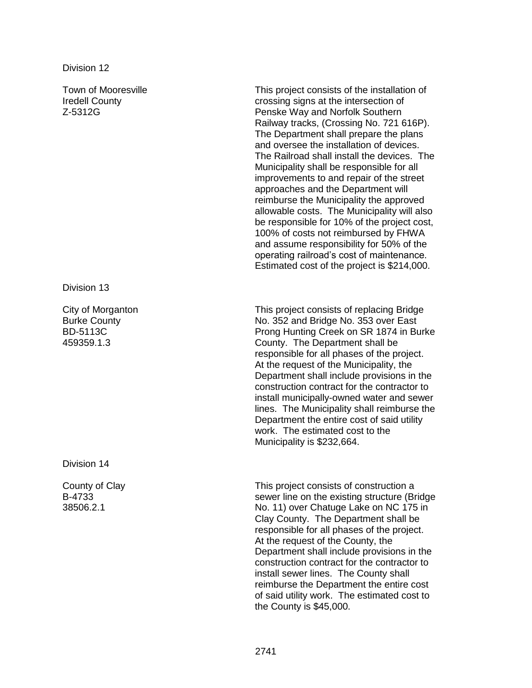Division 12

Town of Mooresville Iredell County Z-5312G

Division 13

City of Morganton Burke County BD-5113C 459359.1.3

Division 14

County of Clay B-4733 38506.2.1

This project consists of the installation of crossing signs at the intersection of Penske Way and Norfolk Southern Railway tracks, (Crossing No. 721 616P). The Department shall prepare the plans and oversee the installation of devices. The Railroad shall install the devices. The Municipality shall be responsible for all improvements to and repair of the street approaches and the Department will reimburse the Municipality the approved allowable costs. The Municipality will also be responsible for 10% of the project cost, 100% of costs not reimbursed by FHWA and assume responsibility for 50% of the operating railroad's cost of maintenance. Estimated cost of the project is \$214,000.

This project consists of replacing Bridge No. 352 and Bridge No. 353 over East Prong Hunting Creek on SR 1874 in Burke County. The Department shall be responsible for all phases of the project. At the request of the Municipality, the Department shall include provisions in the construction contract for the contractor to install municipally-owned water and sewer lines. The Municipality shall reimburse the Department the entire cost of said utility work. The estimated cost to the Municipality is \$232,664.

This project consists of construction a sewer line on the existing structure (Bridge No. 11) over Chatuge Lake on NC 175 in Clay County. The Department shall be responsible for all phases of the project. At the request of the County, the Department shall include provisions in the construction contract for the contractor to install sewer lines. The County shall reimburse the Department the entire cost of said utility work. The estimated cost to the County is \$45,000.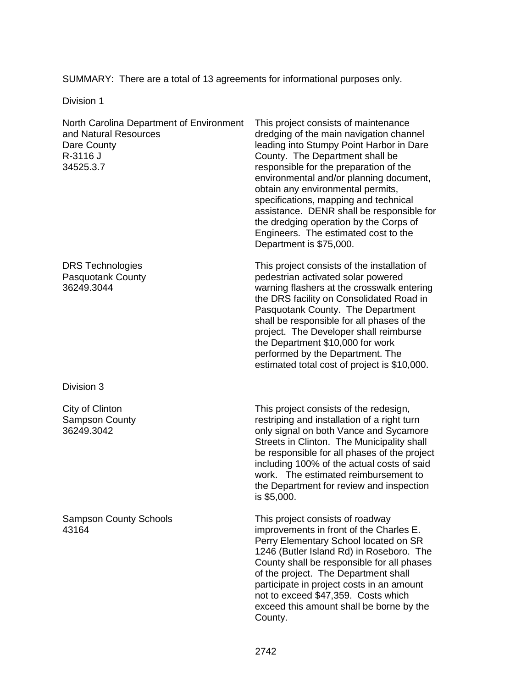SUMMARY: There are a total of 13 agreements for informational purposes only.

Division 1

North Carolina Department of Environment and Natural Resources Dare County R-3116 J 34525.3.7

DRS Technologies Pasquotank County 36249.3044

Division 3

City of Clinton Sampson County 36249.3042

Sampson County Schools 43164

This project consists of maintenance dredging of the main navigation channel leading into Stumpy Point Harbor in Dare County. The Department shall be responsible for the preparation of the environmental and/or planning document, obtain any environmental permits, specifications, mapping and technical assistance. DENR shall be responsible for the dredging operation by the Corps of Engineers. The estimated cost to the Department is \$75,000.

This project consists of the installation of pedestrian activated solar powered warning flashers at the crosswalk entering the DRS facility on Consolidated Road in Pasquotank County. The Department shall be responsible for all phases of the project. The Developer shall reimburse the Department \$10,000 for work performed by the Department. The estimated total cost of project is \$10,000.

This project consists of the redesign, restriping and installation of a right turn only signal on both Vance and Sycamore Streets in Clinton. The Municipality shall be responsible for all phases of the project including 100% of the actual costs of said work. The estimated reimbursement to the Department for review and inspection is \$5,000.

This project consists of roadway improvements in front of the Charles E. Perry Elementary School located on SR 1246 (Butler Island Rd) in Roseboro. The County shall be responsible for all phases of the project. The Department shall participate in project costs in an amount not to exceed \$47,359. Costs which exceed this amount shall be borne by the County.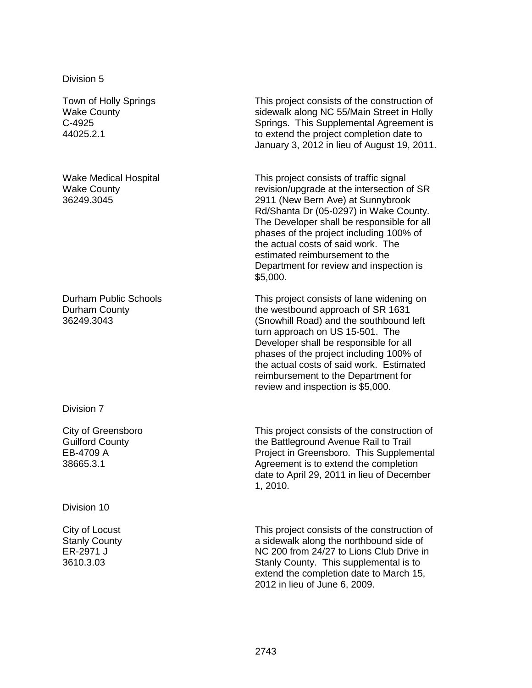Division 5

Town of Holly Springs Wake County C-4925 44025.2.1

Wake Medical Hospital Wake County 36249.3045

Durham Public Schools Durham County 36249.3043

Division 7

City of Greensboro Guilford County EB-4709 A 38665.3.1

Division 10

City of Locust Stanly County ER-2971 J 3610.3.03

This project consists of the construction of sidewalk along NC 55/Main Street in Holly Springs. This Supplemental Agreement is to extend the project completion date to January 3, 2012 in lieu of August 19, 2011.

This project consists of traffic signal revision/upgrade at the intersection of SR 2911 (New Bern Ave) at Sunnybrook Rd/Shanta Dr (05-0297) in Wake County. The Developer shall be responsible for all phases of the project including 100% of the actual costs of said work. The estimated reimbursement to the Department for review and inspection is \$5,000.

This project consists of lane widening on the westbound approach of SR 1631 (Snowhill Road) and the southbound left turn approach on US 15-501. The Developer shall be responsible for all phases of the project including 100% of the actual costs of said work. Estimated reimbursement to the Department for review and inspection is \$5,000.

This project consists of the construction of the Battleground Avenue Rail to Trail Project in Greensboro. This Supplemental Agreement is to extend the completion date to April 29, 2011 in lieu of December 1, 2010.

This project consists of the construction of a sidewalk along the northbound side of NC 200 from 24/27 to Lions Club Drive in Stanly County. This supplemental is to extend the completion date to March 15, 2012 in lieu of June 6, 2009.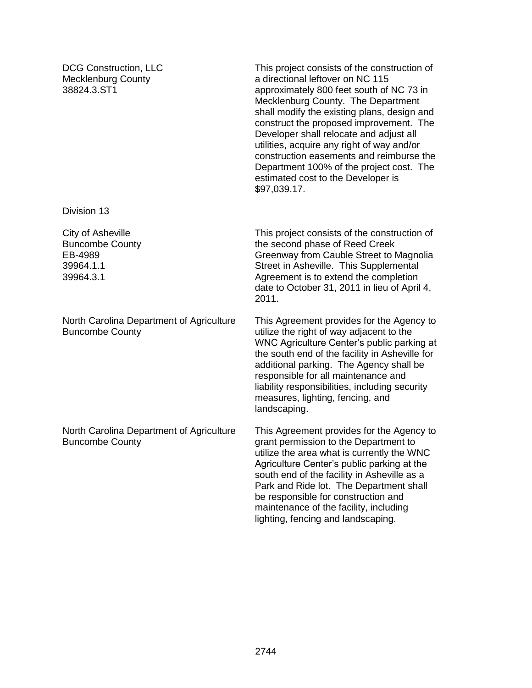DCG Construction, LLC Mecklenburg County 38824.3.ST1

This project consists of the construction of a directional leftover on NC 115 approximately 800 feet south of NC 73 in Mecklenburg County. The Department shall modify the existing plans, design and construct the proposed improvement. The Developer shall relocate and adjust all utilities, acquire any right of way and/or construction easements and reimburse the Department 100% of the project cost. The estimated cost to the Developer is \$97,039.17.

Division 13

City of Asheville Buncombe County EB-4989 39964.1.1 39964.3.1

North Carolina Department of Agriculture Buncombe County

North Carolina Department of Agriculture Buncombe County

This project consists of the construction of the second phase of Reed Creek Greenway from Cauble Street to Magnolia Street in Asheville. This Supplemental Agreement is to extend the completion date to October 31, 2011 in lieu of April 4, 2011.

This Agreement provides for the Agency to utilize the right of way adjacent to the WNC Agriculture Center's public parking at the south end of the facility in Asheville for additional parking. The Agency shall be responsible for all maintenance and liability responsibilities, including security measures, lighting, fencing, and landscaping.

This Agreement provides for the Agency to grant permission to the Department to utilize the area what is currently the WNC Agriculture Center's public parking at the south end of the facility in Asheville as a Park and Ride lot. The Department shall be responsible for construction and maintenance of the facility, including lighting, fencing and landscaping.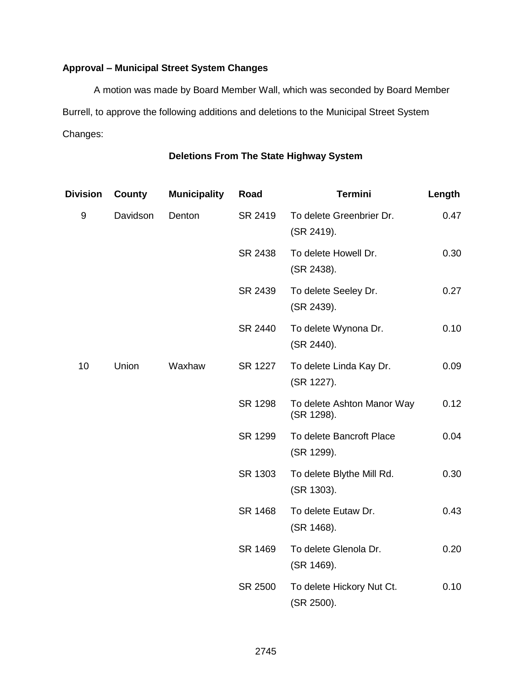# **Approval – Municipal Street System Changes**

A motion was made by Board Member Wall, which was seconded by Board Member Burrell, to approve the following additions and deletions to the Municipal Street System Changes:

# **Deletions From The State Highway System**

| <b>Division</b> | <b>County</b> | <b>Municipality</b> | Road    | <b>Termini</b>                           | Length |
|-----------------|---------------|---------------------|---------|------------------------------------------|--------|
| 9               | Davidson      | Denton              | SR 2419 | To delete Greenbrier Dr.<br>(SR 2419).   | 0.47   |
|                 |               |                     | SR 2438 | To delete Howell Dr.<br>(SR 2438).       | 0.30   |
|                 |               |                     | SR 2439 | To delete Seeley Dr.<br>(SR 2439).       | 0.27   |
|                 |               |                     | SR 2440 | To delete Wynona Dr.<br>(SR 2440).       | 0.10   |
| 10              | Union         | Waxhaw              | SR 1227 | To delete Linda Kay Dr.<br>(SR 1227).    | 0.09   |
|                 |               |                     | SR 1298 | To delete Ashton Manor Way<br>(SR 1298). | 0.12   |
|                 |               |                     | SR 1299 | To delete Bancroft Place<br>(SR 1299).   | 0.04   |
|                 |               |                     | SR 1303 | To delete Blythe Mill Rd.<br>(SR 1303).  | 0.30   |
|                 |               |                     | SR 1468 | To delete Eutaw Dr.<br>(SR 1468).        | 0.43   |
|                 |               |                     | SR 1469 | To delete Glenola Dr.<br>(SR 1469).      | 0.20   |
|                 |               |                     | SR 2500 | To delete Hickory Nut Ct.<br>(SR 2500).  | 0.10   |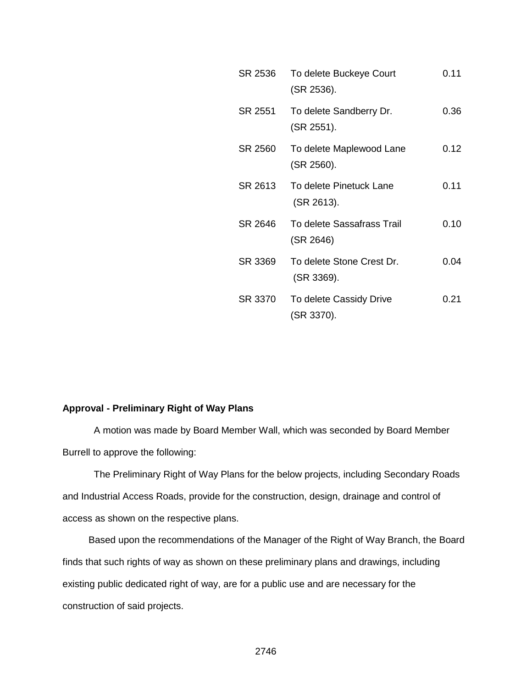| SR 2536 | To delete Buckeye Court<br>(SR 2536).   | 0.11 |
|---------|-----------------------------------------|------|
| SR 2551 | To delete Sandberry Dr.<br>(SR 2551).   | 0.36 |
| SR 2560 | To delete Maplewood Lane<br>(SR 2560).  | 0.12 |
| SR 2613 | To delete Pinetuck Lane<br>(SR 2613).   | 0.11 |
| SR 2646 | To delete Sassafrass Trail<br>(SR 2646) | 0.10 |
| SR 3369 | To delete Stone Crest Dr.<br>(SR 3369). | 0.04 |
| SR 3370 | To delete Cassidy Drive<br>(SR 3370).   | 0.21 |

#### **Approval - Preliminary Right of Way Plans**

A motion was made by Board Member Wall, which was seconded by Board Member Burrell to approve the following:

The Preliminary Right of Way Plans for the below projects, including Secondary Roads and Industrial Access Roads, provide for the construction, design, drainage and control of access as shown on the respective plans.

Based upon the recommendations of the Manager of the Right of Way Branch, the Board finds that such rights of way as shown on these preliminary plans and drawings, including existing public dedicated right of way, are for a public use and are necessary for the construction of said projects.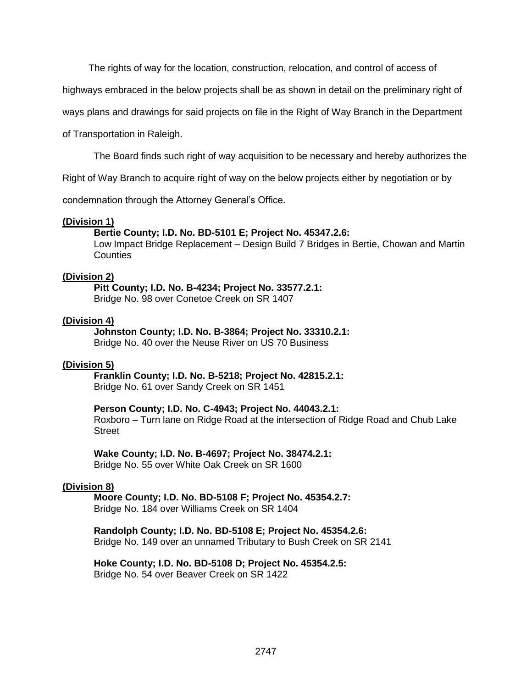The rights of way for the location, construction, relocation, and control of access of

highways embraced in the below projects shall be as shown in detail on the preliminary right of

ways plans and drawings for said projects on file in the Right of Way Branch in the Department

of Transportation in Raleigh.

The Board finds such right of way acquisition to be necessary and hereby authorizes the

Right of Way Branch to acquire right of way on the below projects either by negotiation or by

condemnation through the Attorney General's Office.

#### **(Division 1)**

#### **Bertie County; I.D. No. BD-5101 E; Project No. 45347.2.6:**

Low Impact Bridge Replacement – Design Build 7 Bridges in Bertie, Chowan and Martin **Counties** 

#### **(Division 2)**

# **Pitt County; I.D. No. B-4234; Project No. 33577.2.1:**

Bridge No. 98 over Conetoe Creek on SR 1407

#### **(Division 4)**

**Johnston County; I.D. No. B-3864; Project No. 33310.2.1:** Bridge No. 40 over the Neuse River on US 70 Business

#### **(Division 5)**

**Franklin County; I.D. No. B-5218; Project No. 42815.2.1:** Bridge No. 61 over Sandy Creek on SR 1451

#### **Person County; I.D. No. C-4943; Project No. 44043.2.1:**

Roxboro – Turn lane on Ridge Road at the intersection of Ridge Road and Chub Lake **Street** 

**Wake County; I.D. No. B-4697; Project No. 38474.2.1:** Bridge No. 55 over White Oak Creek on SR 1600

#### **(Division 8)**

**Moore County; I.D. No. BD-5108 F; Project No. 45354.2.7:** Bridge No. 184 over Williams Creek on SR 1404

**Randolph County; I.D. No. BD-5108 E; Project No. 45354.2.6:** Bridge No. 149 over an unnamed Tributary to Bush Creek on SR 2141

**Hoke County; I.D. No. BD-5108 D; Project No. 45354.2.5:** Bridge No. 54 over Beaver Creek on SR 1422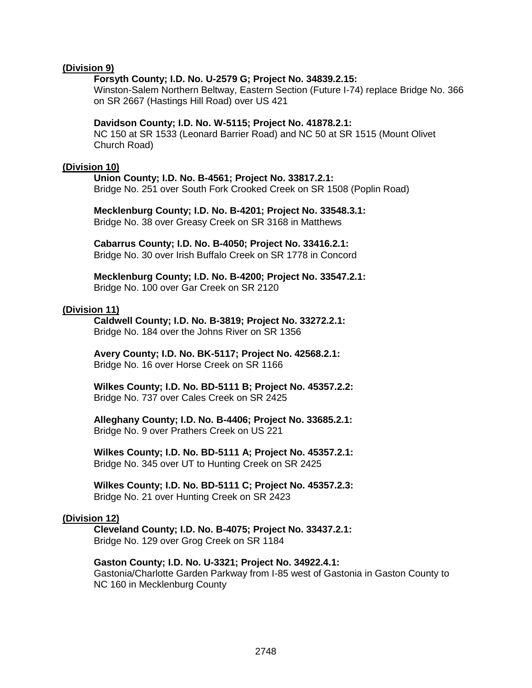#### **(Division 9)**

#### **Forsyth County; I.D. No. U-2579 G; Project No. 34839.2.15:**

Winston-Salem Northern Beltway, Eastern Section (Future I-74) replace Bridge No. 366 on SR 2667 (Hastings Hill Road) over US 421

#### **Davidson County; I.D. No. W-5115; Project No. 41878.2.1:**

NC 150 at SR 1533 (Leonard Barrier Road) and NC 50 at SR 1515 (Mount Olivet Church Road)

#### **(Division 10)**

**Union County; I.D. No. B-4561; Project No. 33817.2.1:** Bridge No. 251 over South Fork Crooked Creek on SR 1508 (Poplin Road)

**Mecklenburg County; I.D. No. B-4201; Project No. 33548.3.1:** Bridge No. 38 over Greasy Creek on SR 3168 in Matthews

**Cabarrus County; I.D. No. B-4050; Project No. 33416.2.1:** Bridge No. 30 over Irish Buffalo Creek on SR 1778 in Concord

**Mecklenburg County; I.D. No. B-4200; Project No. 33547.2.1:** Bridge No. 100 over Gar Creek on SR 2120

#### **(Division 11)**

**Caldwell County; I.D. No. B-3819; Project No. 33272.2.1:** Bridge No. 184 over the Johns River on SR 1356

**Avery County; I.D. No. BK-5117; Project No. 42568.2.1:** Bridge No. 16 over Horse Creek on SR 1166

**Wilkes County; I.D. No. BD-5111 B; Project No. 45357.2.2:** Bridge No. 737 over Cales Creek on SR 2425

**Alleghany County; I.D. No. B-4406; Project No. 33685.2.1:** Bridge No. 9 over Prathers Creek on US 221

**Wilkes County; I.D. No. BD-5111 A; Project No. 45357.2.1:** Bridge No. 345 over UT to Hunting Creek on SR 2425

**Wilkes County; I.D. No. BD-5111 C; Project No. 45357.2.3:** Bridge No. 21 over Hunting Creek on SR 2423

#### **(Division 12)**

**Cleveland County; I.D. No. B-4075; Project No. 33437.2.1:** Bridge No. 129 over Grog Creek on SR 1184

# **Gaston County; I.D. No. U-3321; Project No. 34922.4.1:**

Gastonia/Charlotte Garden Parkway from I-85 west of Gastonia in Gaston County to NC 160 in Mecklenburg County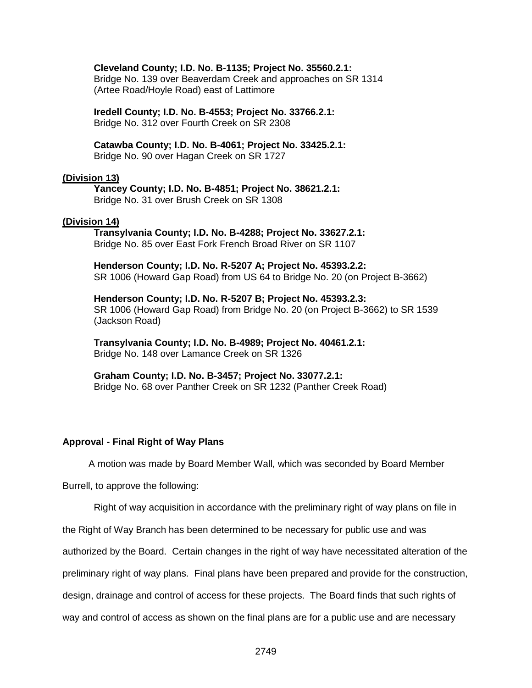#### **Cleveland County; I.D. No. B-1135; Project No. 35560.2.1:**

Bridge No. 139 over Beaverdam Creek and approaches on SR 1314 (Artee Road/Hoyle Road) east of Lattimore

**Iredell County; I.D. No. B-4553; Project No. 33766.2.1:** Bridge No. 312 over Fourth Creek on SR 2308

**Catawba County; I.D. No. B-4061; Project No. 33425.2.1:** Bridge No. 90 over Hagan Creek on SR 1727

#### **(Division 13)**

**Yancey County; I.D. No. B-4851; Project No. 38621.2.1:** Bridge No. 31 over Brush Creek on SR 1308

#### **(Division 14)**

#### **Transylvania County; I.D. No. B-4288; Project No. 33627.2.1:** Bridge No. 85 over East Fork French Broad River on SR 1107

**Henderson County; I.D. No. R-5207 A; Project No. 45393.2.2:** SR 1006 (Howard Gap Road) from US 64 to Bridge No. 20 (on Project B-3662)

**Henderson County; I.D. No. R-5207 B; Project No. 45393.2.3:** SR 1006 (Howard Gap Road) from Bridge No. 20 (on Project B-3662) to SR 1539 (Jackson Road)

**Transylvania County; I.D. No. B-4989; Project No. 40461.2.1:** Bridge No. 148 over Lamance Creek on SR 1326

**Graham County; I.D. No. B-3457; Project No. 33077.2.1:** Bridge No. 68 over Panther Creek on SR 1232 (Panther Creek Road)

#### **Approval - Final Right of Way Plans**

A motion was made by Board Member Wall, which was seconded by Board Member

Burrell, to approve the following:

Right of way acquisition in accordance with the preliminary right of way plans on file in

the Right of Way Branch has been determined to be necessary for public use and was

authorized by the Board. Certain changes in the right of way have necessitated alteration of the

preliminary right of way plans. Final plans have been prepared and provide for the construction,

design, drainage and control of access for these projects. The Board finds that such rights of

way and control of access as shown on the final plans are for a public use and are necessary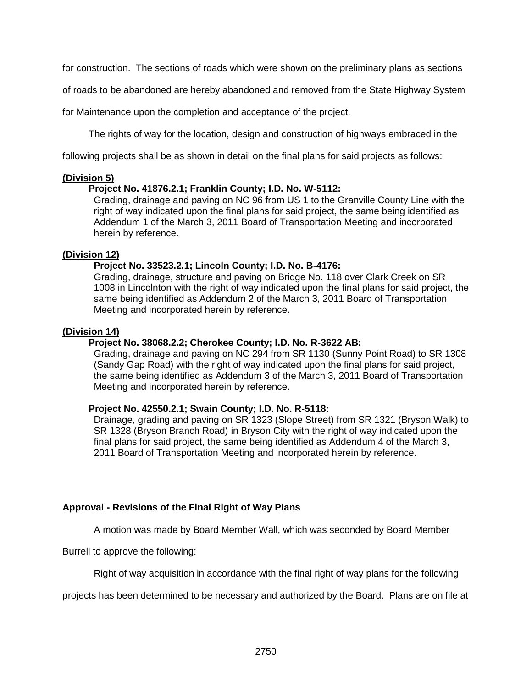for construction. The sections of roads which were shown on the preliminary plans as sections

of roads to be abandoned are hereby abandoned and removed from the State Highway System

for Maintenance upon the completion and acceptance of the project.

The rights of way for the location, design and construction of highways embraced in the

following projects shall be as shown in detail on the final plans for said projects as follows:

#### **(Division 5)**

## **Project No. 41876.2.1; Franklin County; I.D. No. W-5112:**

Grading, drainage and paving on NC 96 from US 1 to the Granville County Line with the right of way indicated upon the final plans for said project, the same being identified as Addendum 1 of the March 3, 2011 Board of Transportation Meeting and incorporated herein by reference.

## **(Division 12)**

## **Project No. 33523.2.1; Lincoln County; I.D. No. B-4176:**

Grading, drainage, structure and paving on Bridge No. 118 over Clark Creek on SR 1008 in Lincolnton with the right of way indicated upon the final plans for said project, the same being identified as Addendum 2 of the March 3, 2011 Board of Transportation Meeting and incorporated herein by reference.

#### **(Division 14)**

## **Project No. 38068.2.2; Cherokee County; I.D. No. R-3622 AB:**

Grading, drainage and paving on NC 294 from SR 1130 (Sunny Point Road) to SR 1308 (Sandy Gap Road) with the right of way indicated upon the final plans for said project, the same being identified as Addendum 3 of the March 3, 2011 Board of Transportation Meeting and incorporated herein by reference.

#### **Project No. 42550.2.1; Swain County; I.D. No. R-5118:**

Drainage, grading and paving on SR 1323 (Slope Street) from SR 1321 (Bryson Walk) to SR 1328 (Bryson Branch Road) in Bryson City with the right of way indicated upon the final plans for said project, the same being identified as Addendum 4 of the March 3, 2011 Board of Transportation Meeting and incorporated herein by reference.

#### **Approval - Revisions of the Final Right of Way Plans**

A motion was made by Board Member Wall, which was seconded by Board Member

Burrell to approve the following:

Right of way acquisition in accordance with the final right of way plans for the following

projects has been determined to be necessary and authorized by the Board. Plans are on file at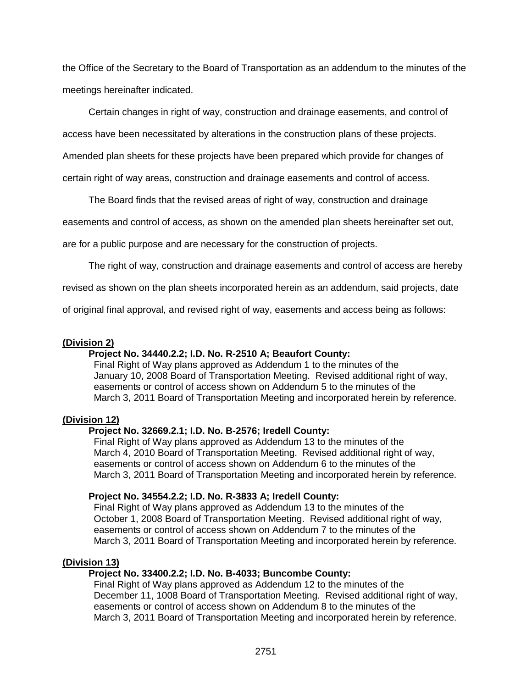the Office of the Secretary to the Board of Transportation as an addendum to the minutes of the meetings hereinafter indicated.

Certain changes in right of way, construction and drainage easements, and control of

access have been necessitated by alterations in the construction plans of these projects.

Amended plan sheets for these projects have been prepared which provide for changes of

certain right of way areas, construction and drainage easements and control of access.

The Board finds that the revised areas of right of way, construction and drainage

easements and control of access, as shown on the amended plan sheets hereinafter set out,

are for a public purpose and are necessary for the construction of projects.

The right of way, construction and drainage easements and control of access are hereby

revised as shown on the plan sheets incorporated herein as an addendum, said projects, date

of original final approval, and revised right of way, easements and access being as follows:

## **(Division 2)**

# **Project No. 34440.2.2; I.D. No. R-2510 A; Beaufort County:**

Final Right of Way plans approved as Addendum 1 to the minutes of the January 10, 2008 Board of Transportation Meeting. Revised additional right of way, easements or control of access shown on Addendum 5 to the minutes of the March 3, 2011 Board of Transportation Meeting and incorporated herein by reference.

#### **(Division 12)**

# **Project No. 32669.2.1; I.D. No. B-2576; Iredell County:**

Final Right of Way plans approved as Addendum 13 to the minutes of the March 4, 2010 Board of Transportation Meeting. Revised additional right of way, easements or control of access shown on Addendum 6 to the minutes of the March 3, 2011 Board of Transportation Meeting and incorporated herein by reference.

#### **Project No. 34554.2.2; I.D. No. R-3833 A; Iredell County:**

Final Right of Way plans approved as Addendum 13 to the minutes of the October 1, 2008 Board of Transportation Meeting. Revised additional right of way, easements or control of access shown on Addendum 7 to the minutes of the March 3, 2011 Board of Transportation Meeting and incorporated herein by reference.

#### **(Division 13)**

## **Project No. 33400.2.2; I.D. No. B-4033; Buncombe County:**

Final Right of Way plans approved as Addendum 12 to the minutes of the December 11, 1008 Board of Transportation Meeting. Revised additional right of way, easements or control of access shown on Addendum 8 to the minutes of the March 3, 2011 Board of Transportation Meeting and incorporated herein by reference.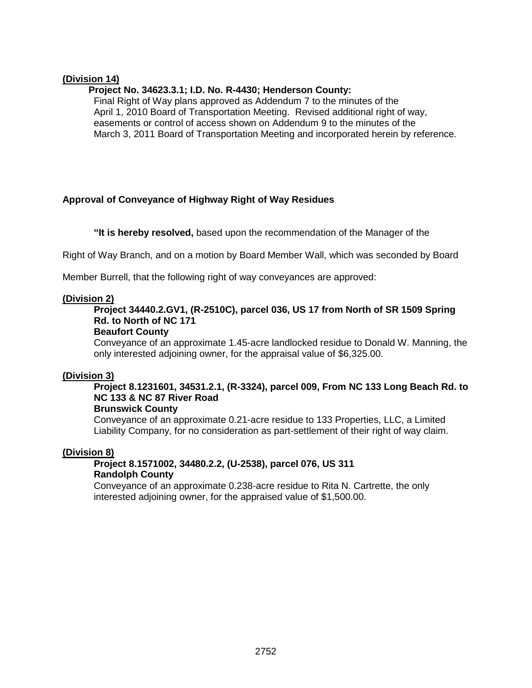## **(Division 14)**

## **Project No. 34623.3.1; I.D. No. R-4430; Henderson County:**

Final Right of Way plans approved as Addendum 7 to the minutes of the April 1, 2010 Board of Transportation Meeting. Revised additional right of way, easements or control of access shown on Addendum 9 to the minutes of the March 3, 2011 Board of Transportation Meeting and incorporated herein by reference.

# **Approval of Conveyance of Highway Right of Way Residues**

**"It is hereby resolved,** based upon the recommendation of the Manager of the

Right of Way Branch, and on a motion by Board Member Wall, which was seconded by Board

Member Burrell, that the following right of way conveyances are approved:

#### **(Division 2)**

# **Project 34440.2.GV1, (R-2510C), parcel 036, US 17 from North of SR 1509 Spring Rd. to North of NC 171**

#### **Beaufort County**

Conveyance of an approximate 1.45-acre landlocked residue to Donald W. Manning, the only interested adjoining owner, for the appraisal value of \$6,325.00.

#### **(Division 3)**

# **Project 8.1231601, 34531.2.1, (R-3324), parcel 009, From NC 133 Long Beach Rd. to NC 133 & NC 87 River Road**

## **Brunswick County**

Conveyance of an approximate 0.21-acre residue to 133 Properties, LLC, a Limited Liability Company, for no consideration as part-settlement of their right of way claim.

# **(Division 8)**

# **Project 8.1571002, 34480.2.2, (U-2538), parcel 076, US 311 Randolph County**

Conveyance of an approximate 0.238-acre residue to Rita N. Cartrette, the only interested adjoining owner, for the appraised value of \$1,500.00.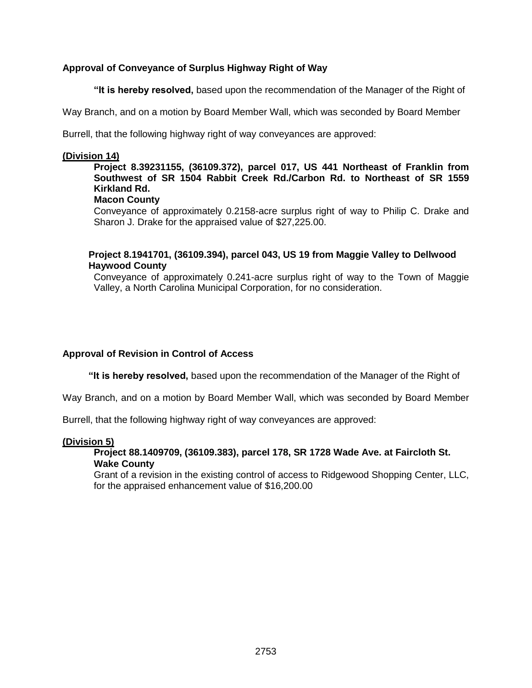# **Approval of Conveyance of Surplus Highway Right of Way**

**"It is hereby resolved,** based upon the recommendation of the Manager of the Right of

Way Branch, and on a motion by Board Member Wall, which was seconded by Board Member

Burrell, that the following highway right of way conveyances are approved:

#### **(Division 14)**

# **Project 8.39231155, (36109.372), parcel 017, US 441 Northeast of Franklin from Southwest of SR 1504 Rabbit Creek Rd./Carbon Rd. to Northeast of SR 1559 Kirkland Rd.**

#### **Macon County**

Conveyance of approximately 0.2158-acre surplus right of way to Philip C. Drake and Sharon J. Drake for the appraised value of \$27,225.00.

# **Project 8.1941701, (36109.394), parcel 043, US 19 from Maggie Valley to Dellwood Haywood County**

Conveyance of approximately 0.241-acre surplus right of way to the Town of Maggie Valley, a North Carolina Municipal Corporation, for no consideration.

# **Approval of Revision in Control of Access**

**"It is hereby resolved,** based upon the recommendation of the Manager of the Right of

Way Branch, and on a motion by Board Member Wall, which was seconded by Board Member

Burrell, that the following highway right of way conveyances are approved:

#### **(Division 5)**

## **Project 88.1409709, (36109.383), parcel 178, SR 1728 Wade Ave. at Faircloth St. Wake County**

Grant of a revision in the existing control of access to Ridgewood Shopping Center, LLC, for the appraised enhancement value of \$16,200.00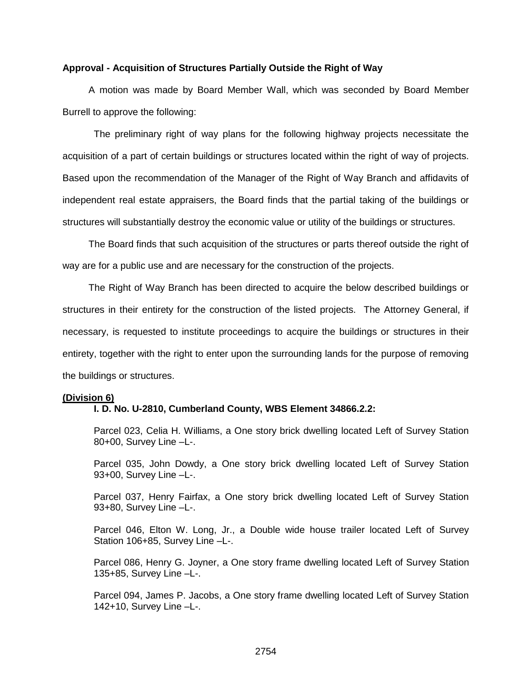#### **Approval - Acquisition of Structures Partially Outside the Right of Way**

A motion was made by Board Member Wall, which was seconded by Board Member Burrell to approve the following:

The preliminary right of way plans for the following highway projects necessitate the acquisition of a part of certain buildings or structures located within the right of way of projects. Based upon the recommendation of the Manager of the Right of Way Branch and affidavits of independent real estate appraisers, the Board finds that the partial taking of the buildings or structures will substantially destroy the economic value or utility of the buildings or structures.

The Board finds that such acquisition of the structures or parts thereof outside the right of way are for a public use and are necessary for the construction of the projects.

The Right of Way Branch has been directed to acquire the below described buildings or structures in their entirety for the construction of the listed projects. The Attorney General, if necessary, is requested to institute proceedings to acquire the buildings or structures in their entirety, together with the right to enter upon the surrounding lands for the purpose of removing the buildings or structures.

#### **(Division 6)**

#### **I. D. No. U-2810, Cumberland County, WBS Element 34866.2.2:**

Parcel 023, Celia H. Williams, a One story brick dwelling located Left of Survey Station 80+00, Survey Line –L-.

Parcel 035, John Dowdy, a One story brick dwelling located Left of Survey Station 93+00, Survey Line –L-.

Parcel 037, Henry Fairfax, a One story brick dwelling located Left of Survey Station 93+80, Survey Line –L-.

Parcel 046, Elton W. Long, Jr., a Double wide house trailer located Left of Survey Station 106+85, Survey Line –L-.

Parcel 086, Henry G. Joyner, a One story frame dwelling located Left of Survey Station 135+85, Survey Line –L-.

Parcel 094, James P. Jacobs, a One story frame dwelling located Left of Survey Station 142+10, Survey Line –L-.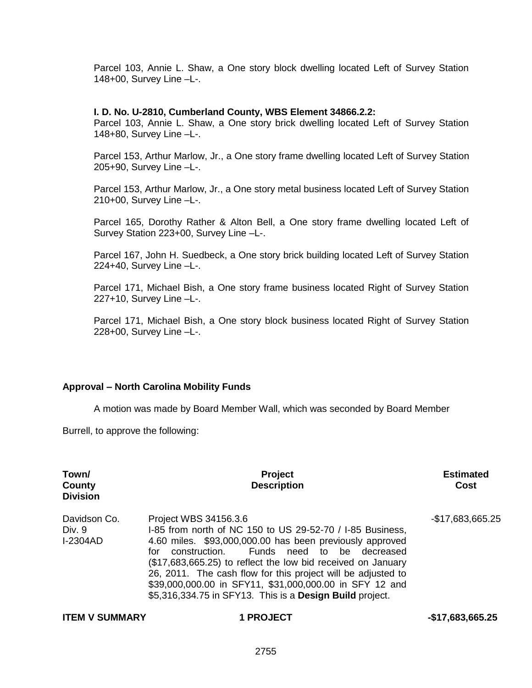Parcel 103, Annie L. Shaw, a One story block dwelling located Left of Survey Station 148+00, Survey Line –L-.

#### **I. D. No. U-2810, Cumberland County, WBS Element 34866.2.2:**

Parcel 103, Annie L. Shaw, a One story brick dwelling located Left of Survey Station 148+80, Survey Line –L-.

Parcel 153, Arthur Marlow, Jr., a One story frame dwelling located Left of Survey Station 205+90, Survey Line –L-.

Parcel 153, Arthur Marlow, Jr., a One story metal business located Left of Survey Station 210+00, Survey Line –L-.

Parcel 165, Dorothy Rather & Alton Bell, a One story frame dwelling located Left of Survey Station 223+00, Survey Line –L-.

Parcel 167, John H. Suedbeck, a One story brick building located Left of Survey Station 224+40, Survey Line –L-.

Parcel 171, Michael Bish, a One story frame business located Right of Survey Station 227+10, Survey Line –L-.

Parcel 171, Michael Bish, a One story block business located Right of Survey Station 228+00, Survey Line –L-.

#### **Approval – North Carolina Mobility Funds**

A motion was made by Board Member Wall, which was seconded by Board Member

Burrell, to approve the following:

| Town/<br>County<br><b>Division</b>        | <b>Project</b><br><b>Description</b>                                                                                                                                                                                                                                                                                                                                                                                                                        | <b>Estimated</b><br>Cost |
|-------------------------------------------|-------------------------------------------------------------------------------------------------------------------------------------------------------------------------------------------------------------------------------------------------------------------------------------------------------------------------------------------------------------------------------------------------------------------------------------------------------------|--------------------------|
| Davidson Co.<br>Div. 9<br><b>I-2304AD</b> | Project WBS 34156.3.6<br>I-85 from north of NC 150 to US 29-52-70 / I-85 Business,<br>4.60 miles. \$93,000,000.00 has been previously approved<br>Funds need to be decreased<br>construction.<br>for<br>(\$17,683,665.25) to reflect the low bid received on January<br>26, 2011. The cash flow for this project will be adjusted to<br>\$39,000,000.00 in SFY11, \$31,000,000.00 in SFY 12 and<br>\$5,316,334.75 in SFY13. This is a Design Build project. | $-$17,683,665.25$        |

#### **ITEM V SUMMARY**  1 PROJECT **1 2008 1 2008 1 2008 1 2008 1 2019 10:47 1 2008 1 2019 10:47 1 2008 10:47 10:47 10:47 10:47 10:47 10:47 10:47 10:47 10:47 10:47 10:47 10:47 10:47 10:47 10:47 10:47 10:47 10:47 10:47 10:47 10:47**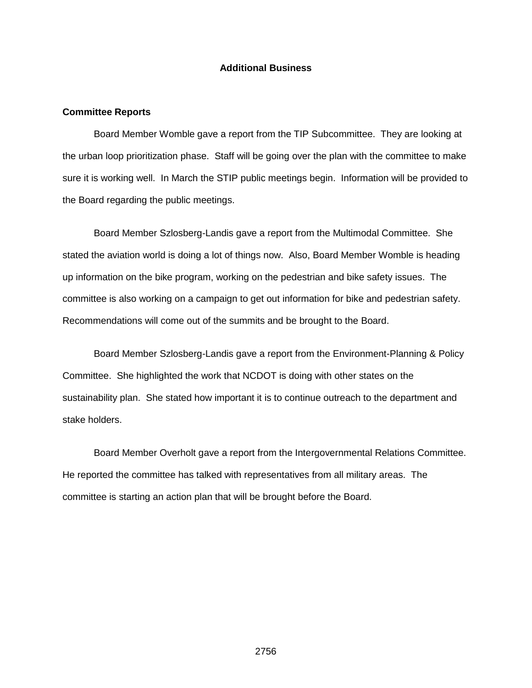## **Additional Business**

#### **Committee Reports**

Board Member Womble gave a report from the TIP Subcommittee. They are looking at the urban loop prioritization phase. Staff will be going over the plan with the committee to make sure it is working well. In March the STIP public meetings begin. Information will be provided to the Board regarding the public meetings.

Board Member Szlosberg-Landis gave a report from the Multimodal Committee. She stated the aviation world is doing a lot of things now. Also, Board Member Womble is heading up information on the bike program, working on the pedestrian and bike safety issues. The committee is also working on a campaign to get out information for bike and pedestrian safety. Recommendations will come out of the summits and be brought to the Board.

Board Member Szlosberg-Landis gave a report from the Environment-Planning & Policy Committee. She highlighted the work that NCDOT is doing with other states on the sustainability plan. She stated how important it is to continue outreach to the department and stake holders.

Board Member Overholt gave a report from the Intergovernmental Relations Committee. He reported the committee has talked with representatives from all military areas. The committee is starting an action plan that will be brought before the Board.

2756